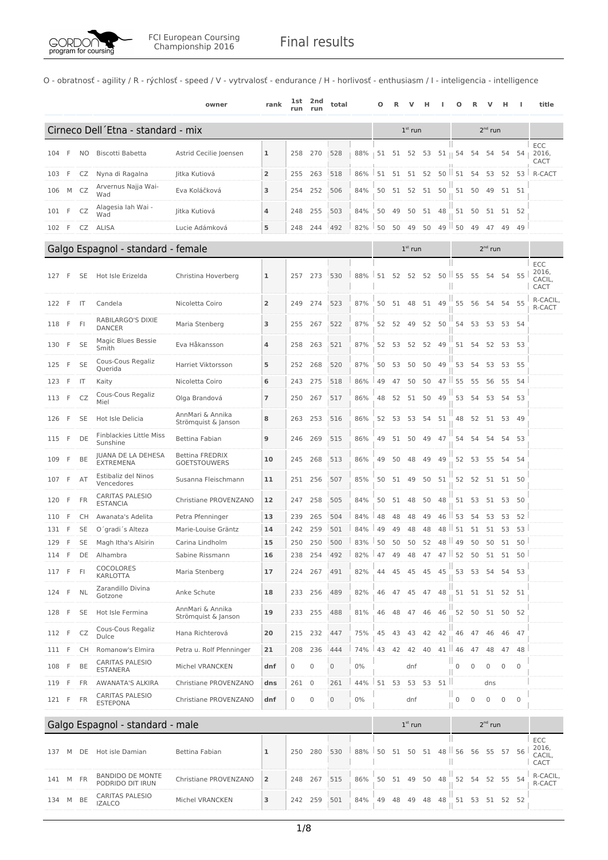

O - obratnosť - agility / R - rýchlosť - speed / V - vytrvalosť - endurance / H - horlivosť - enthusiasm / I - inteligencia - intelligence

|     |     |           |                                             | owner                                         | rank           | 1st<br>run | 2nd<br>run     | total               |       | Ω  |    |           |       |          |                     |                |                     |             |                 | title                          |
|-----|-----|-----------|---------------------------------------------|-----------------------------------------------|----------------|------------|----------------|---------------------|-------|----|----|-----------|-------|----------|---------------------|----------------|---------------------|-------------|-----------------|--------------------------------|
|     |     |           | Cirneco Dell'Etna - standard - mix          |                                               |                |            |                |                     |       |    |    | $1st$ run |       |          |                     |                | $2nd$ run           |             |                 |                                |
| 104 | F   | NO        | Biscotti Babetta                            | Astrid Cecilie Joensen                        | 1              | 258        | 270            | 528                 | 88%   | 51 |    | 51 52     | 53    |          | $51 \parallel 54$   | 54             | 54                  | 54          | 54 <sub>1</sub> | ECC<br>2016,<br>CACT           |
| 103 | F   | CZ        | Nyna di Ragalna                             | Jitka Kutiová                                 | $\overline{2}$ | 255        | 263            | 518                 | 86%   | 51 | 51 | 51        | 52    |          | $50$ $\parallel$ 51 | 54             | 53                  | 52          | 53 <sup>1</sup> | R-CACT                         |
| 106 | М   | CZ        | Arvernus Najja Wai-<br>Wad                  | Eva Koláčková                                 | 3              | 254        | 252            | 506                 | 84%   | 50 | 51 | 52        | 51    | 50       | 51                  | 50             | 49                  |             | 51 51           |                                |
| 101 | F   | CZ        | Alagesia Iah Wai -                          | Jitka Kutiová                                 | 4              | 248        | 255            | 503                 | 84%   | 50 | 49 | 50        | 51    | 48       | 51                  | 50             | 51                  |             | 51 52           |                                |
| 102 | F   | CZ        | Wad<br>ALISA                                | Lucie Adámková                                | 5              | 248        | 244            | 492                 | 82%   | 50 | 50 | 49        | 50    |          | $49$   50           | 49             | 47                  | 49          | 49              |                                |
|     |     |           | Galgo Espagnol - standard - female          |                                               |                |            |                |                     |       |    |    | $1st$ run |       |          |                     |                | $2^{nd}$ run        |             |                 |                                |
|     |     |           |                                             |                                               |                |            |                |                     |       |    |    |           |       |          |                     |                |                     |             |                 | ECC                            |
| 127 | F   | SE        | Hot Isle Erizelda                           | Christina Hoverberg                           | ı              | 257        | 273            | 530                 | 88%   | 51 | 52 | 52        | 52    |          | $50$   55           | 55             | 54                  | 54          | 55              | 2016,<br>CACIL,<br>CACT        |
| 122 | F   | IT        | Candela                                     | Nicoletta Coiro                               | 2              | 249        | 274            | 523                 | 87%   | 50 | 51 | 48        | 51 49 |          | 55                  | 56             | 54                  |             | 54 55           | R-CACIL,<br>R-CACT             |
| 118 | F   | FI        | RABILARGO'S DIXIE<br><b>DANCER</b>          | Maria Stenberg                                | 3              | 255        | 267            | 522                 | 87%   | 52 | 52 | 49        | 52    | 50       | 54                  | 53             | 53                  |             | 53 54           |                                |
| 130 | F   | <b>SE</b> | Magic Blues Bessie<br>Smith                 | Eva Håkansson                                 | 4              | 258        | 263            | 521                 | 87%   | 52 | 53 | 52        |       | 52 49    | 51                  | 54             | 52                  |             | 53 53           |                                |
| 125 | F   | <b>SE</b> | Cous-Cous Regaliz<br>Ouerida                | Harriet Viktorsson                            | 5              | 252        | 268            | 520                 | 87%   | 50 | 53 | 50        | 50    | 49       | 53                  | 54             | 53                  |             | 53 55           |                                |
| 123 | F   | IT        | Kaity                                       | Nicoletta Coiro                               | 6              | 243        | 275            | 518                 | 86%   | 49 | 47 | 50        | 50    | $47$ II  | 55                  | 55             | 56                  | 55          | 54              |                                |
| 113 | F   | CZ        | Cous-Cous Regaliz<br>Miel                   | Olga Brandová                                 | 7              | 250        | 267            | 517                 | 86%   | 48 | 52 | 51        | 50    | 49       | 53                  | 54             | 53                  |             | 54 53           |                                |
| 126 | F   | SE        | Hot Isle Delicia                            | AnnMari & Annika<br>Strömquist & Janson       | 8              | 263        | 253            | 516                 | 86%   | 52 | 53 | 53        |       | 54 51    | 48                  | 52             |                     | 51 53 49    |                 |                                |
| 115 | F   | DE        | <b>Finblackies Little Miss</b><br>Sunshine  | Bettina Fabian                                | 9              | 246        | 269            | 515                 | 86%   | 49 | 51 | 50        | 49    | 47       | 54                  | 54             | 54                  |             | 54 53           |                                |
| 109 | F   | BE        | JUANA DE LA DEHESA<br><b>EXTREMENA</b>      | <b>Bettina FREDRIX</b><br><b>GOETSTOUWERS</b> | 10             | 245        | 268            | 513                 | 86%   | 49 | 50 | 48        | 49    | 49       | 52                  | 53             | 55                  |             | 54 54           |                                |
| 107 | F   | AT        | Estibaliz del Ninos<br>Vencedores           | Susanna Fleischmann                           | 11             |            | 251 256        | 507                 | 85%   | 50 | 51 | 49        | 50    | 51       |                     | 52 52          | 51 51 50            |             |                 |                                |
| 120 | F   | FR        | <b>CARITAS PALESIO</b><br><b>ESTANCIA</b>   | Christiane PROVENZANO                         | 12             | 247        | 258            | 505                 | 84%   | 50 | 51 | 48        | 50    | 48       | 51                  | 53             | 51                  |             | 53 50           |                                |
| 110 | F   | CН        | Awanata's Adelita                           | Petra Pfenninger                              | 13             | 239        | 265            | 504                 | 84%   | 48 | 48 | 48        | 49    | 46       | ш<br>53             | 54             | 53                  | 53          | 52              |                                |
| 131 | F   | SE        | O'gradi's Alteza                            | Marie-Louise Gräntz                           | 14             | 242        | 259            | 501                 | 84%   | 49 | 49 | 48        | 48    | 48       | 51                  | 51             | 51                  | 53          | 53              |                                |
| 129 | F   | SE        | Magh Itha's Alsirin                         | Carina Lindholm                               | 15             | 250        | 250            | 500                 | 83%   | 50 | 50 | 50        | 52    | 48       | 49                  | 50             | 50                  |             | 51 50           |                                |
| 114 | F   | DE        | Alhambra                                    | Sabine Rissmann                               | 16             | 238        | 254            | 492                 | 82%   | 47 | 49 | 48        | 47    |          | $47$   52           | 50             | 51                  | 51          | 50              |                                |
| 117 | F   | FI        | COCOLORES<br><b>KARLOTTA</b>                | Maria Stenberg                                | 17             | 224        | 267            | 491                 | 82%   | 44 | 45 | 45        | 45    | 45       | 53                  | 53             | 54                  | 54          | 53              |                                |
| 124 | F   | NL        | Zarandillo Divina<br>Gotzone                | Anke Schute                                   | 18             | 233        | 256            | 489                 | 82%   | 46 | 47 | 45        | 47    | 48       |                     | 51 51 51 52 51 |                     |             |                 |                                |
| 128 | F   | SE        | Hot Isle Fermina                            | AnnMari & Annika<br>Strömquist & Janson       | 19             | 233        | 255            | 488                 | 81%   | 46 | 48 | 47        | 46    | 46       | 52                  | 50             | 51                  |             | 50 52           |                                |
| 112 | F   | CZ        | Cous-Cous Regaliz<br>Dulce                  | Hana Richterová                               | 20             | 215        | 232            | 447                 | 75%   | 45 | 43 | 43        | 42    | 42       | 46                  | 47             | 46                  | 46          | 47              |                                |
| 111 | F   | CH        | Romanow's Elmira                            | Petra u. Rolf Pfenninger                      | 21             | 208        | 236            | 444                 | 74%   | 43 | 42 | 42        | 40    | 41       | 46                  | 47             | 48                  | 47          | 48              |                                |
| 108 | F   | BE        | CARITAS PALESIO<br><b>ESTANERA</b>          | Michel VRANCKEN                               | dnf            | 0          | 0              | 0                   | $0\%$ |    |    | dnf       |       |          | 0                   | $\mathbf{0}$   | 0                   | 0           | $\mathbf 0$     |                                |
| 119 | F   | FR        | <b>AWANATA'S ALKIRA</b>                     | Christiane PROVENZANO                         | dns            | 261        | $\overline{0}$ | 261                 | 44%   | 51 | 53 |           |       | 53 53 51 |                     |                | dns                 |             |                 |                                |
| 121 | - F | FR        | <b>CARITAS PALESIO</b><br><b>ESTEPONA</b>   | Christiane PROVENZANO                         | dnf            | 0          | 0              | $\mathsf{O}\xspace$ | $0\%$ |    |    | dnf       |       |          | 0                   | $\mathbf 0$    | $\mathsf{O}\xspace$ | $\mathbf 0$ | $\mathbf{0}$    |                                |
|     |     |           |                                             |                                               |                |            |                |                     |       |    |    | $1st$ run |       |          |                     |                | $2nd$ run           |             |                 |                                |
|     |     |           | Galgo Espagnol - standard - male            |                                               |                |            |                |                     |       |    |    |           |       |          |                     |                |                     |             |                 |                                |
| 137 | M   | DE        | Hot isle Damian                             | Bettina Fabian                                | 1              | 250        | 280            | 530                 | 88%   | 50 | 51 | 50        | 51    | 48 56    | Ш                   | 56             | 55                  | 57 56       |                 | ECC<br>2016,<br>CACIL,<br>CACT |
| 141 | M   | FR        | <b>BANDIDO DE MONTE</b><br>PODRIDO DIT IRUN | Christiane PROVENZANO                         | $\overline{2}$ | 248        | 267            | 515                 | 86%   | 50 |    | 51 49     | 50    | 48       | 52                  | 54             |                     | 52 55 54    |                 | R-CACIL,<br>R-CACT             |
| 134 | M   | BE        | <b>CARITAS PALESIO</b><br><b>IZALCO</b>     | Michel VRANCKEN                               | з              | 242        | 259            | 501                 | 84%   | 49 | 48 | 49        | 48    | 48       | 51                  | 53             | 51 52 52            |             |                 |                                |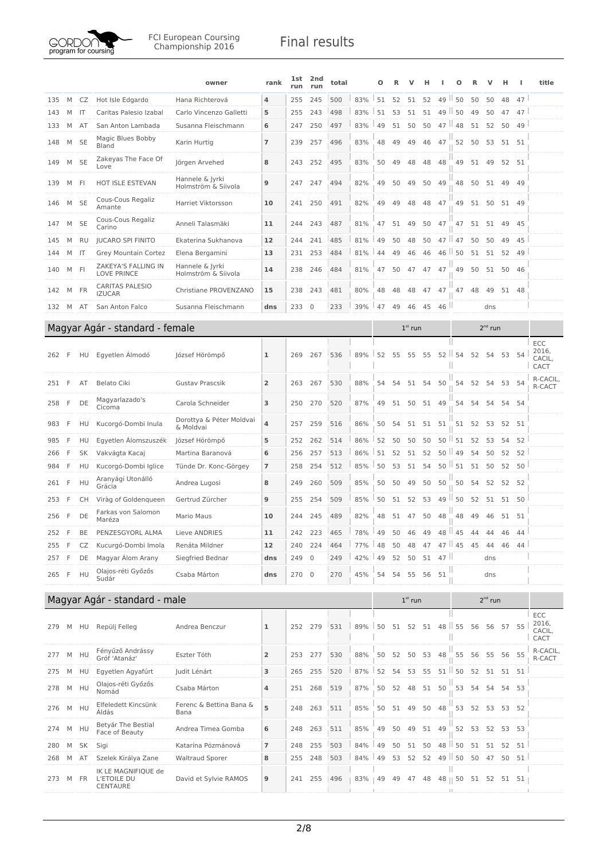

|     |     |              |                                                | owner                                  | rank           | <b>1st</b><br>run | 2nd<br>run  | total                                 |     | О  | R  | v         | н  |                                     | О              | R    | v            | н        | H             | title                          |
|-----|-----|--------------|------------------------------------------------|----------------------------------------|----------------|-------------------|-------------|---------------------------------------|-----|----|----|-----------|----|-------------------------------------|----------------|------|--------------|----------|---------------|--------------------------------|
| 135 | M   | CZ           | Hot Isle Edgardo                               | Hana Richterová                        | 4              | 255               | 245         | 500                                   | 83% | 51 | 52 | 51        | 52 | 49                                  | 50             | 50   | 50           | 48       | 47            |                                |
| 143 | M   | -IT          | Caritas Palesio Izabal                         | Carlo Vincenzo Galletti                | 5              | 255               | 243         | 498                                   | 83% | 51 | 53 | 51        | 51 | $49$                                | 50             | 49   | 50           | 47       | 47            |                                |
| 133 | M   | AT           | San Anton Lambada                              | Susanna Fleischmann                    | 6              | 247               | 250         | 497                                   | 83% | 49 | 51 | 50        | 50 | $47$   48                           |                | 51   | 52           | 50       | 49            |                                |
| 148 | M   | <b>SE</b>    | Magic Blues Bobby<br>Bland                     | Karin Hurtig                           | 7              | 239               | 257         | 496                                   | 83% | 48 | 49 | 49        | 46 | 47                                  | 52             | 50   | 53           | 51 51    |               |                                |
| 149 | M   | <b>SE</b>    | Zakeyas The Face Of<br>Love                    | Jörgen Arvehed                         | 8              | 243               | 252         | 495                                   | 83% | 50 | 49 | 48        | 48 | 48                                  | 49             | 51   | 49           | 52 51    |               |                                |
| 139 | M   | FI           | <b>HOT ISLE ESTEVAN</b>                        | Hannele & Jyrki<br>Holmström & Siivola | 9              | 247               | 247         | 494                                   | 82% | 49 | 50 | 49        | 50 | 49                                  | 48             | 50   | 51 49        |          | 49            |                                |
| 146 | M   | <b>SE</b>    | Cous-Cous Regaliz<br>Amante                    | Harriet Viktorsson                     | 10             | 241               | 250         | 491                                   | 82% | 49 | 49 | 48        | 48 | 47                                  | 49             | 51   |              | 50 51 49 |               |                                |
| 147 | M   | <b>SE</b>    | Cous-Cous Regaliz<br>Carino                    | Anneli Talasmäki                       | 11             | 244               | 243         | 487                                   | 81% | 47 | 51 | 49        | 50 | 47                                  | 47             | 51   | 51           | 49       | 45            |                                |
| 145 | M   | RU           | <b>JUCARO SPI FINITO</b>                       | Ekaterina Sukhanova                    | 12             | 244               | 241         | 485                                   | 81% | 49 | 50 | 48        | 50 | $47$ $\parallel$                    | 47             | 50   | 50           | 49       | 45            |                                |
| 144 | M   | $\mathsf{I}$ | Grey Mountain Cortez                           | Elena Bergamini                        | 13             | 231               | 253         | 484                                   | 81% | 44 | 49 | 46        | 46 | 46                                  | ш<br>50        | 51   | 51           | 52       | 49            |                                |
| 140 | M   | - FI         | ZAKEYA'S FALLING IN<br><b>LOVE PRINCE</b>      | Hannele & Jyrki<br>Holmström & Siivola | 14             | 238               | 246         | 484                                   | 81% | 47 | 50 | 47        | 47 | 47                                  | 49             | 50   | 51           | 50       | -46           |                                |
| 142 | M   | FR           | <b>CARITAS PALESIO</b><br><b>IZUCAR</b>        | Christiane PROVENZANO                  | 15             | 238               | 243         | 481                                   | 80% | 48 | 48 | 48        | 47 | 47                                  | 47             | 48   | 49           | 51 48    |               |                                |
| 132 | M   | AT           | San Anton Falco                                | Susanna Fleischmann                    | dns            | 233               | $\mathbf 0$ | 233                                   | 39% | 47 | 49 | 46        | 45 | 46                                  |                |      | dns          |          |               |                                |
|     |     |              | Magyar Agár - standard - female                |                                        |                |                   |             |                                       |     |    |    | $1st$ run |    |                                     |                |      | $2^{nd}$ run |          |               |                                |
|     |     |              |                                                |                                        |                |                   |             |                                       |     |    |    |           |    |                                     |                |      |              |          |               | ECC                            |
| 262 | F   | HU           | Egyetlen Álmodó                                | József Hörömpő                         | ı              | 269               | 267         | 536                                   | 89% | 52 | 55 | 55        | 55 | 52<br>Ш                             | 54             | 52   | 54           | 53       | 54            | 2016,<br>CACIL,<br>CACT        |
| 251 | F   | AT           | <b>Belato Ciki</b>                             | <b>Gustav Prascsik</b>                 | 2              | 263               | 267         | 530                                   | 88% | 54 | 54 | 51        | 54 | 50                                  | 54             | 52   | 54           | 53       | 54            | R-CACIL,<br>R-CACT             |
| 258 | F   | DE           | Magyarlazado's<br>Cicoma                       | Carola Schneider                       | 3              | 250               | 270         | 520                                   | 87% | 49 | 51 | 50        |    | 51 49                               | 54             | 54   | 54           | 54 54    |               |                                |
| 983 | F   | HU           | Kucorgó-Dombi Inula                            | Dorottya & Péter Moldvai<br>& Moldvai  | 4              | 257               | 259         | 516                                   | 86% | 50 | 54 | 51        |    | 51 51                               | 51             | 52   | 53           | 52 51    |               |                                |
| 985 | F   | HU           | Egyetlen Álomszuszék                           | József Hörömpő                         | 5              | 252               | 262         | 514                                   | 86% | 52 | 50 | 50        | 50 | 50                                  | 51             | 52   | 53           | 54       | 52            |                                |
| 266 | F   | SK           | Vakvágta Kacaj                                 | Martina Baranová                       | 6              | 256               | 257         | 513                                   | 86% | 51 | 52 | 51        | 52 | 50                                  | $\parallel$ 49 | 54   | 50           | 52       | 52            |                                |
| 984 | F   | HU           | Kucorgó-Dombi Iglice                           | Tünde Dr. Konc-Görgey                  | 7              | 258               | 254         | 512                                   | 85% | 50 | 53 | 51        | 54 | 50                                  | 51             | 51   | 50           | 52       | 50            |                                |
| 261 | -F  | HU           | Aranyági Utonálló<br>Grácia                    | Andrea Lugosi                          | 8              | 249               | 260         | 509                                   | 85% | 50 | 50 | 49        | 50 | 50                                  | 50             | 54   | 52           |          | 52 52         |                                |
| 253 | F   | СH           | Viràg of Goldenqueen                           | Gertrud Zürcher                        | 9              | 255               | 254         | 509                                   | 85% | 50 | 51 | 52        | 53 | 49                                  | 50             | 52   | 51           |          | 51 50         |                                |
| 256 | F   | DE           | Farkas von Salomon<br>Maréza                   | Mario Maus                             | 10             | 244               | 245         | 489                                   | 82% | 48 | 51 | 47        | 50 | 48                                  | 48             | 49   | 46           | 51 51    |               |                                |
| 252 | F   | BE           | PENZESGYORL ALMA Lieve ANDRIES                 |                                        | ${\bf 11}$     |                   | 242 223     | 465 78% 49 50 46 49 48 45 44 44 46 44 |     |    |    |           |    |                                     |                |      |              |          |               |                                |
| 255 |     | CZ           | Kucurgó-Dombi Imola                            | Renáta Mildner                         | 12             | 240               | 224         | 464                                   | 77% | 48 | 50 | 48        | 47 | $47$   $45$                         |                | 45   | 44           | 46       | 44            |                                |
| 257 | F   | DE           | Magyar Álom Arany                              | Siegfried Bednar                       | dns            | 249               | $\mathbb O$ | 249                                   | 42% | 49 | 52 | 50        | 51 | 47                                  |                |      | dns          |          |               |                                |
| 265 | - F | HU           | Olajos-réti Győzős<br>Sudár                    | Csaba Márton                           | dns            | 270 0             |             | 270                                   | 45% | 54 | 54 | 55        | 56 | 51                                  |                |      | dns          |          |               |                                |
|     |     |              | Magyar Agár - standard - male                  |                                        |                |                   |             |                                       |     |    |    | $1st$ run |    |                                     |                |      | $2nd$ run    |          |               |                                |
| 279 | M   |              | HU Repülj Felleg                               | Andrea Benczur                         | ı              | 252               | 279         | 531                                   | 89% | 50 | 51 |           |    | $52 \quad 51 \quad 48 \parallel 55$ |                | 56   | 56           | 57 55    |               | ECC<br>2016,<br>CACIL,<br>CACT |
| 277 | M   | HU           | Fényűző Andrássy<br>Gróf 'Atanáz'              | Eszter Tóth                            | $\overline{2}$ | 253               | 277         | 530                                   | 88% | 50 | 52 | 50        | 53 | 48                                  | 55             | - 56 | 55           | 56 55    |               | R-CACIL,<br>R-CACT             |
| 275 | M   | HU           | Egyetlen Agyafúrt                              | Judit Lénárt                           | 3              | 265               | 255         | 520                                   | 87% | 52 | 54 | 53        | 55 | 51                                  | 50             | 52   | 51           | 51 51    |               |                                |
| 278 | M   | HU           | Olajos-réti Győzős<br>Nomád                    | Csaba Márton                           | 4              | 251               | 268         | 519                                   | 87% | 50 | 52 | 48        |    | 51 50                               | 53             | 54   | 54           | 54 53    |               |                                |
| 276 | M   | HU           | Elfeledett Kincsünk<br>Áldás                   | Ferenc & Bettina Bana &<br>Bana        | 5              | 248               | 263         | 511                                   | 85% | 50 | 51 | 49        | 50 | 48                                  | 53             | 52   | 53           |          | 53 52         |                                |
| 274 | М   | HU           | Betyár The Bestial<br>Face of Beauty           | Andrea Timea Gomba                     | 6              | 248               | 263         | 511                                   | 85% | 49 | 50 | 49        | 51 | 49                                  | 52             | 53   | 52           | 53       | - 53          |                                |
| 280 | М   | SK           | Sigi                                           | Katarína Pózmánová                     | 7              | 248               | 255         | 503                                   | 84% | 49 | 50 | 51        | 50 | 48                                  | 50             | 51   | 51           | 52       | 51            |                                |
| 268 | M   | AT           | Szelek Királya Zane                            | <b>Waltraud Sporer</b>                 | 8              | 255               | 248         | 503                                   | 84% | 49 | 53 | 52        | 52 | 49                                  | 50             | 50   | 47           | 50       | 51            |                                |
| 273 | M   | FR           | IK LE MAGNIFIQUE de<br>L'ETOILE DU<br>CENTAURE | David et Sylvie RAMOS                  | 9              | 241               | 255         | 496                                   | 83% | 49 | 49 | 47        | 48 | Ш<br>48    50                       |                | 51   | 52           |          | $51 \quad 51$ |                                |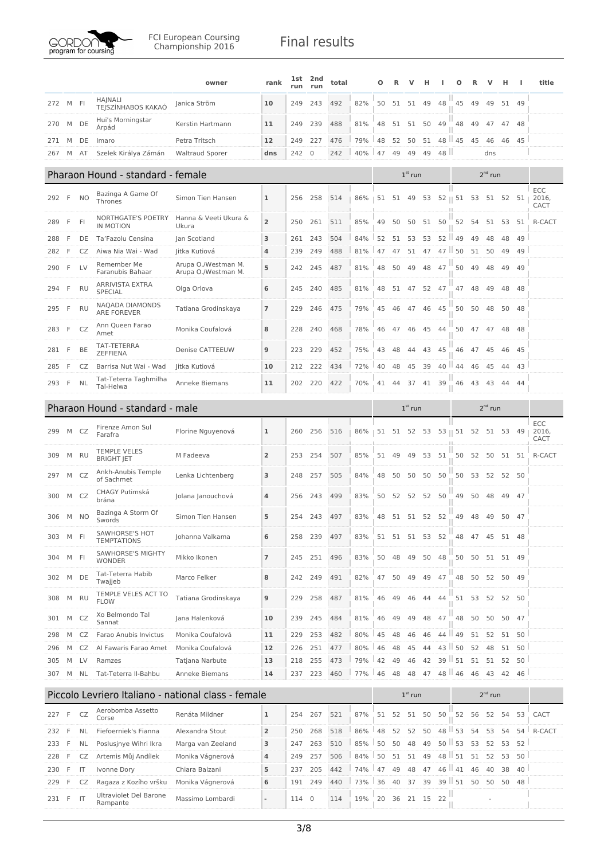

|            |        |                |                                          | owner                                               | rank                    | lst<br>run | 2nd<br>run   | total      |            | Ω        |          |           | н        |            | Ω                          |          |              | н        |                 | title                |
|------------|--------|----------------|------------------------------------------|-----------------------------------------------------|-------------------------|------------|--------------|------------|------------|----------|----------|-----------|----------|------------|----------------------------|----------|--------------|----------|-----------------|----------------------|
| 272        | M      | -FI            | <b>HAJNALI</b><br>TEJSZÍNHABOS KAKAÓ     | Janica Ström                                        | 10                      | 249        | 243          | 492        | 82%        | 50       | 51       | 51        | 49       | 48         | 45                         | 49       | 49           |          | 51 49           |                      |
| 270        | M      | DE             | Hui's Morningstar<br>Árpád               | Kerstin Hartmann                                    | 11                      | 249        | 239          | 488        | 81%        | 48       | 51       | 51        | 50       | 49         | 48                         | 49       | 47           | 47       | 48              |                      |
| 271        | M      | DE             | Imaro                                    | Petra Tritsch                                       | 12                      | 249        | 227          | 476        | 79%        | 48       | 52       | 50        | 51       | 48         | $\parallel$ 45             | 45       | 46           | 46       | 45              |                      |
| 267        | M      | AT             | Szelek Királya Zámán                     | <b>Waltraud Sporer</b>                              | dns                     | 242        | $\mathbf{0}$ | 242        | 40%        | 47       | 49       | 49        | 49       | 48         |                            |          | dns          |          |                 |                      |
|            |        |                | Pharaon Hound - standard - female        |                                                     |                         |            |              |            |            |          |          | $1st$ run |          |            |                            |          | $2^{nd}$ run |          |                 |                      |
| 292        | F      | N <sub>O</sub> | Bazinga A Game Of<br>Thrones             | Simon Tien Hansen                                   | 1                       | 256        | 258          | 514        | 86%        | 51       |          | 51 49     |          |            | 53 52    51 53 51 52 51    |          |              |          |                 | ECC<br>2016,         |
| 289        | F      | <b>FI</b>      | NORTHGATE'S POETRY                       | Hanna & Veeti Ukura &                               | $\overline{2}$          | 250        | 261          | 511        | 85%        | 49       | 50       | 50        |          | 51 50      | 52                         | - 54     | 51           | 53       | -51             | CACT<br>R-CACT       |
|            |        |                | IN MOTION                                | Ukura                                               |                         |            |              |            |            |          |          |           |          |            |                            |          |              |          |                 |                      |
| 288<br>282 | F<br>F | DE<br>CZ       | Ta'Fazolu Censina<br>Aiwa Nia Wai - Wad  | Jan Scotland<br>Jitka Kutiová                       | 3<br>4                  | 261<br>239 | 243<br>249   | 504<br>488 | 84%<br>81% | 52<br>47 | 51<br>47 | 53<br>51  | 53<br>47 | 52<br>$47$ | 49<br>50                   | 49<br>51 | 48<br>50     | 48<br>49 | 49<br>49        |                      |
|            |        |                | Remember Me                              | Arupa O./Westman M.                                 |                         |            |              |            |            |          |          |           |          |            |                            |          |              |          |                 |                      |
| 290        | F      | <b>LV</b>      | Faranubis Bahaar                         | Arupa O./Westman M.                                 | 5                       | 242        | 245          | 487        | 81%        | 48       | 50       | 49        | 48       | 47         | 50                         | 49       | 48           | 49       | 49              |                      |
| 294        | F      | <b>RU</b>      | <b>ARRIVISTA EXTRA</b><br><b>SPECIAL</b> | Olga Orlova                                         | 6                       | 245        | 240          | 485        | 81%        | 48       | 51       | 47        | 52       | 47         | 47                         | 48       | 49           | 48       | 48              |                      |
| 295        | F      | <b>RU</b>      | NAQADA DIAMONDS<br><b>ARE FOREVER</b>    | Tatiana Grodinskaya                                 | $\overline{7}$          | 229        | 246          | 475        | 79%        | 45       | 46       | 47        | 46       | 45         | 50                         | 50       | 48           | 50       | 48              |                      |
| 283        | F      | CZ             | Ann Queen Farao<br>Amet                  | Monika Coufalová                                    | 8                       | 228        | 240          | 468        | 78%        | 46       | 47       | 46        | 45       | 44         | 50                         | 47       | 47           | 48       | 48              |                      |
| 281        | F      | BE             | TAT-TETERRA<br><b>ZEFFIENA</b>           | Denise CATTEEUW                                     | 9                       | 223        | 229          | 452        | 75%        | 43       | 48       | 44        | 43       | 45         | 46                         | 47       | 45           | 46       | - 45            |                      |
| 285        | F      | CZ             | Barrisa Nut Wai - Wad                    | Jitka Kutiová                                       | 10                      | 212        | 222          | 434        | 72%        | 40       | 48       | 45        | 39       | 40         | 44                         | 46       | 45           | 44       | 43              |                      |
| 293        | -F     | <b>NL</b>      | Tat-Teterra Taghmilha<br>Tal-Helwa       | Anneke Biemans                                      | 11                      | 202        | 220          | 422        | 70%        | 41       | 44       | 37        | 41       | 39         | 46                         | 43       | 43           | 44       | 44              |                      |
|            |        |                | Pharaon Hound - standard - male          |                                                     |                         |            |              |            |            |          |          | $1st$ run |          |            |                            |          | $2nd$ run    |          |                 |                      |
| 299        | M      | CZ             | Firenze Amon Sul<br>Farafra              | Florine Nguyenová                                   | 1                       | 260        | 256          | 516        | 86%        | 51       | 51       |           |          |            | 52 53 53    51 52 51 53 49 |          |              |          |                 | ECC<br>2016,<br>CACT |
| 309        | M      | <b>RU</b>      | <b>TEMPLE VELES</b><br><b>BRIGHT JET</b> | M Fadeeva                                           | 2                       | 253        | 254          | 507        | 85%        | 51       | 49       | 49        | 53       | 51         | 50                         | 52       | 50           |          | 51 51           | R-CACT               |
| 297        | M      | CZ             | Ankh-Anubis Temple<br>of Sachmet         | Lenka Lichtenberg                                   | 3                       | 248        | 257          | 505        | 84%        | 48       | 50       | 50        | 50       | 50         | 50                         | 53       | 52           |          | 52 50           |                      |
| 300        | M      | CZ             | CHAGY Putimská<br>brána                  | Jolana Janouchová                                   | 4                       | 256        | 243          | 499        | 83%        | 50       | 52       | 52        | 52       | 50         | 49                         | 50       | 48           | 49       | 47              |                      |
| 306        | M      | <b>NO</b>      | Bazinga A Storm Of<br>Swords             | Simon Tien Hansen                                   | 5                       | 254        | 243          | 497        | 83%        | 48       | 51       | 51 52 52  |          |            | 49                         | 48       | 49           | 50       | - 47            |                      |
| 303        | M      | - FI           | SAWHORSE'S HOT<br><b>TEMPTATIONS</b>     | Johanna Valkama                                     | 6                       | 258        | 239          | 497        | 83%        | 51       | 51       | 51 53 52  |          |            | 48                         | 47       | 45           | 51 48    |                 |                      |
| 304        | М      | FI             | SAWHORSE'S MIGHTY<br><b>WONDER</b>       | Mikko Ikonen                                        | 7                       | 245        | 251          | 496        | 83%        | 50       | 48       | 49        | 50       | 48         | 50                         | 50       | 51           |          | 51 49           |                      |
| 302        | М      | DE             | Tat-Teterra Habib<br>Twajjeb             | Marco Felker                                        | 8                       | 242        | 249          | 491        | 82%        | 47       | 50       | 49        | 49       | 47         | 48                         | 50       | 52           |          | 50 49           |                      |
| 308        | M      | <b>RU</b>      | TEMPLE VELES ACT TO<br><b>FLOW</b>       | Tatiana Grodinskaya                                 | 9                       | 229        | 258          | 487        | 81%        | 46       | 49       | 46        | 44       | 44         | 51                         | 53       | 52           |          | 52 50           |                      |
| 301        | М      | CZ             | Xo Belmondo Tal<br>Sannat                | Jana Halenková                                      | 10                      | 239        | 245          | 484        | 81%        | 46       | 49       | 49        | 48       | 47         | 48                         | 50       | 50           | 50       | 47              |                      |
| 298        | M      | CZ             | Farao Anubis Invictus                    | Monika Coufalová                                    | 11                      | 229        | 253          | 482        | 80%        | 45       | 48       | 46        | 46       | 44         | 49                         | 51       | 52           |          | 51 50           |                      |
| 296        | M      | CZ             | Al Fawaris Farao Amet                    | Monika Coufalová                                    | 12                      | 226        | 251          | 477        | 80%        | 46       | 48       | 45        | 44       | 43         | 50                         | 52       | 48           |          | 51 50           |                      |
| 305        | М      | LV             | Ramzes                                   | Tatjana Narbute                                     | 13                      | 218        | 255          | 473        | 79%        | 42       | 49       | 46        | 42       | 39         | 51                         | 51       | 51           | 52       | 50              |                      |
| 307        | М      | NL             | Tat-Teterra Il-Bahbu                     | Anneke Biemans                                      | 14                      | 237        | 223          | 460        | 77%        | 146      | 48       | 48        | 47       |            | $48$   $46$                | 46       | 43           |          | 42 46           |                      |
|            |        |                |                                          | Piccolo Levriero Italiano - national class - female |                         |            |              |            |            |          |          | $1st$ run |          |            |                            |          | $2nd$ run    |          |                 |                      |
| 227        | - F    | CZ             | Aerobomba Assetto<br>Corse               | Renáta Mildner                                      | 1                       | 254        | 267          | 521        | 87%        | 51       | 52       | 51        | 50       | 50         | 52                         | 56       | 52           | 54       | 53              | CACT                 |
| 232        | F      | <b>NL</b>      | Fiefoerniek's Fianna                     | Alexandra Stout                                     | $\overline{\mathbf{c}}$ | 250        | 268          | 518        | 86%        | 48       | 52       | 52        | 50       | 48         | ш<br>53                    | 54       | 53           | 54       | 54 <sup>1</sup> | R-CACT               |
| 233        | F      | <b>NL</b>      | Poslusjnye Wihri Ikra                    | Marga van Zeeland                                   | 3                       | 247        | 263          | 510        | 85%        | 50       | 50       | 48        | 49       | $50$       | 53                         | 53       | 52           | 53       | 52              |                      |
| 228        | F      | CZ             | Artemis Můj Andílek                      | Monika Vágnerová                                    | 4                       | 249        | 257          | 506        | 84%        | 50       | 51       | 51        | 49       | 48         | 51                         | 51       | 52           | 53       | 50              |                      |
| 230        | F      | IT             | Ivonne Dory                              | Chiara Balzani                                      | 5                       | 237        | 205          | 442        | 74%        | 47       | 49       | 48        | 47       |            | $46$   $41$                | 46       | 40           | 38       | 40              |                      |
| 229        | F      | CZ             | Ragaza z Kozího vršku                    | Monika Vágnerová                                    | 6                       | 191        | 249          | 440        | 73%        | 36       | 40       | 37        | 39       |            | $39$   $51$                | 50       | 50           | 50       | 48              |                      |
| 231        | - F    | IT             | Ultraviolet Del Barone<br>Rampante       | Massimo Lombardi                                    | $\overline{a}$          | 114        | $\mathbf 0$  | 114        | 19%        | 20       | 36       | 21 15     |          | 22         |                            |          |              |          |                 |                      |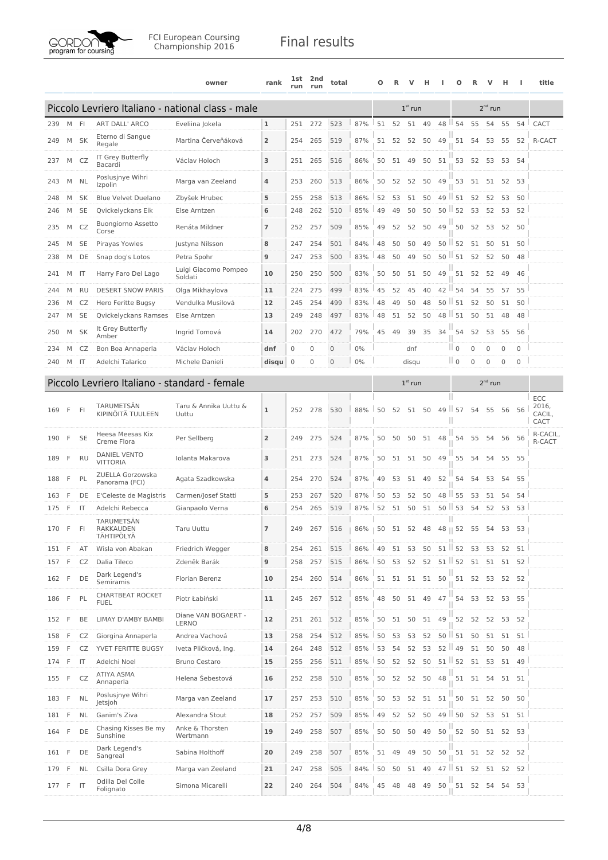

|       |     |              |                                               | owner                                             | rank           | 1st<br>run  | 2nd<br>run | total        |                | Ο  | R     | v         | н     |                  | Ο                   | R           | v              | н           | H            | title                          |
|-------|-----|--------------|-----------------------------------------------|---------------------------------------------------|----------------|-------------|------------|--------------|----------------|----|-------|-----------|-------|------------------|---------------------|-------------|----------------|-------------|--------------|--------------------------------|
|       |     |              |                                               | Piccolo Levriero Italiano - national class - male |                |             |            |              |                |    |       | $1st$ run |       |                  |                     |             | $2nd$ run      |             |              |                                |
| 239   | M   | - FI         | <b>ART DALL' ARCO</b>                         | Eveliina Jokela                                   | 1              | 251         | 272        | 523          | 87%            | 51 | 52    | 51        | 49    | 48               | 54<br>ш             | 55          | 54             | 55          | 54           | CACT                           |
| 249   | M   | <b>SK</b>    | Eterno di Sangue<br>Regale                    | Martina Červeňáková                               | $\overline{2}$ | 254         | 265        | 519          | 87%            | 51 | 52    | 52        | 50    | 49               | 51                  | 54          | 53             | 55          | 52           | R-CACT                         |
| 237   | M   | CZ           | IT Grey Butterfly<br>Bacardi                  | Václav Holoch                                     | 3              | 251         | 265        | 516          | 86%            | 50 | 51    | 49        | 50    | 51               | 53                  | 52          | 53             |             | 53 54        |                                |
| 243   | М   | <b>NL</b>    | Poslusjnye Wihri<br>Izpolin                   | Marga van Zeeland                                 | 4              | 253         | 260        | 513          | 86%            | 50 | 52    | 52        | 50    | 49               | 53                  | 51          | 51             | 52          | 53           |                                |
| 248   | M   | SK           | <b>Blue Velvet Duelano</b>                    | Zbyšek Hrubec                                     | 5              | 255         | 258        | 513          | 86%            | 52 | 53    | 51        | 50    | 49               | 51                  | 52          | 52             | 53          | 50           |                                |
| 246   | M   | <b>SE</b>    | Qvickelyckans Eik                             | Else Arntzen                                      | 6              | 248         | 262        | 510          | 85%            | 49 | 49    | 50        | 50    | $50$ $\parallel$ | 52                  | 53          | 52             | 53          | 52           |                                |
| 235   | М   | CZ           | <b>Buongiorno Assetto</b><br>Corse            | Renáta Mildner                                    | 7              | 252         | 257        | 509          | 85%            | 49 | 52    | 52        | 50    | 49               | 50                  | 52          | 53             | 52          | 50           |                                |
| 245   | М   | <b>SE</b>    | Pirayas Yowles                                | Justyna Nilsson                                   | 8              | 247         | 254        | 501          | 84%            | 48 | 50    | 50        | 49    | 50               | ш<br>52             | 51          | 50             | 51          | 50           |                                |
| 238   | М   | DE           | Snap dog's Lotos                              | Petra Spohr                                       | 9              | 247         | 253        | 500          | 83%            | 48 | 50    | 49        | 50    | 50               | ш<br>51             | 52          | 52             | 50          | 48           |                                |
| 241   | М   | IT           | Harry Faro Del Lago                           | Luigi Giacomo Pompeo<br>Soldati                   | 10             | 250         | 250        | 500          | 83%            | 50 | 50    | 51        | 50    | 49               | 51                  | 52          | 52             | 49          | 46           |                                |
| 244   | M   | RU           | <b>DESERT SNOW PARIS</b>                      | Olga Mikhaylova                                   | 11             | 224         | 275        | 499          | 83%            | 45 | 52    | 45        | 40    | 42               | 54                  | 54          | 55             | 57          | 55           |                                |
| 236   | М   | CZ           | Hero Feritte Bugsy                            | Vendulka Musilová                                 | 12             | 245         | 254        | 499          | 83%            | 48 | 49    | 50        | 48    | $50$ $\parallel$ | 51                  | 52          | 50             | 51          | 50           |                                |
| 247   | M   | <b>SE</b>    | Qvickelyckans Ramses                          | Else Arntzen                                      | 13             | 249         | 248        | 497          | 83%            | 48 | 51    | 52        | 50    | 48               | 51                  | 50          | 51             | 48          | 48           |                                |
| 250   | M   | <b>SK</b>    | It Grey Butterfly<br>Amber                    | Ingrid Tomová                                     | 14             | 202         | 270        | 472          | 79%            | 45 | 49    | 39        | 35    | 34               | 54                  | 52          | 53             | 55          | 56           |                                |
| 234   | М   | CZ           | Bon Boa Annaperla                             | Václav Holoch                                     | dnf            | 0           | 0          | $\mathbf{0}$ | 0%             |    |       | dnf       |       |                  | $\mathbb{I}$ 0      | 0           | 0              | $\mathbf 0$ | 0            |                                |
| 240   | M   | -IT          | Adelchi Talarico                              | Michele Danieli                                   | disqu          | $\mathbf 0$ | 0          | $\mathbf{0}$ | 0%             |    |       | disqu     |       |                  | $\parallel$ 0       | $\mathbf 0$ | $\overline{0}$ | $\mathbf 0$ | $\mathbf{0}$ |                                |
|       |     |              | Piccolo Levriero Italiano - standard - female |                                                   |                |             |            |              |                |    |       |           |       |                  |                     |             |                |             |              |                                |
|       |     |              |                                               |                                                   |                |             |            |              |                |    |       | $1st$ run |       |                  |                     |             | $2^{nd}$ run   |             |              |                                |
| 169   | F   | FI           | TARUMETSÄN<br>KIPINÖITÄ TUULEEN               | Taru & Annika Uuttu &<br>Uuttu                    | $\mathbf{1}$   | 252         | 278        | 530          | 88%            | 50 | 52    | 51        | 50    | 49               | $\parallel$ 57<br>Ш | 54          | 55             | 56          | 56           | ECC<br>2016,<br>CACIL,<br>CACT |
| 190   | F   | <b>SE</b>    | Heesa Meesas Kix<br>Creme Flora               | Per Sellberg                                      | $\overline{2}$ | 249         | 275        | 524          | 87%            | 50 | 50    | 50        | 51    | 48               | 54                  | 55          | 54             |             | 56 56        | R-CACIL,<br>R-CACT             |
| 189   | F   | RU           | <b>DANIEL VENTO</b><br><b>VITTORIA</b>        | Iolanta Makarova                                  | 3              | 251         | 273        | 524          | 87%            | 50 | 51    | 51        | 50    | 49               | 55                  | 54          | 54             | 55          | -55          |                                |
| 188   | F   | PL           | ZUELLA Gorzowska<br>Panorama (FCI)            | Agata Szadkowska                                  | 4              | 254         | 270        | 524          | 87%            | 49 | 53    | 51        | 49    | 52               | 54                  | 54          | 53             | 54          | 55           |                                |
| 163   | F   | DE           | E'Celeste de Magistris                        | Carmen/Josef Statti                               | 5              | 253         | 267        | 520          | 87%            | 50 | 53    | 52        | 50    | 48               | ш.<br>55            | 53          | 51             | 54          | 54           |                                |
| 175   | -F  | -IT          | Adelchi Rebecca                               | Gianpaolo Verna                                   | 6              | 254         | 265        | 519          | 87%            | 52 | 51    | 50        | 51    |                  | $50$   53           | 54          | 52             | 53          | 53           |                                |
| 170 F |     | FI           | TARUMETSÄN<br>RAKKAUDEN<br>TÄHTIPÖLYÄ         | Taru Uuttu                                        | 7              | 249         | 267        | 516          | $86\%$   50 51 |    |       | 52        | 48    |                  | Ш<br>48    52       | 55          | 54             | 53          | 53           |                                |
| 151   | F   | AT           | Wisla von Abakan                              | Friedrich Wegger                                  | 8              | 254         | 261        | 515          | 86%            | 49 | 51    | 53        | 50    | 51               | 52                  | 53          | 53             | 52          | 51           |                                |
| 157   | F   | CZ           | Dalia Tileco                                  | Zdeněk Barák                                      | 9              | 258         | 257        | 515          | 86%            | 50 | 53    | 52        | 52    |                  | $51$   $52$         | 51          | 51             | 51          | 52           |                                |
| 162   | F   | DE           | Dark Legend's<br>Semiramis                    | <b>Florian Berenz</b>                             | 10             | 254         | 260        | 514          | 86%            | 51 |       | 51 51     | 51    | 50               |                     | 51 52       | 53             |             | 52 52        |                                |
| 186   | F   | PL           | <b>CHARTBEAT ROCKET</b><br><b>FUEL</b>        | Piotr Łabiński                                    | 11             | 245         | 267        | 512          | 85%            | 48 |       | 50 51     | 49 47 |                  |                     | 54 53 52    |                |             | 53 55        |                                |
| 152   | F   | BE           | LIMAY D'AMBY BAMBI                            | Diane VAN BOGAERT -<br>LERNO                      | 12             | 251         | 261        | 512          | 85%            | 50 |       | 51 50     | 51 49 |                  | 52                  | 52          | 52             |             | 53 52        |                                |
| 158   | F   | CZ           | Giorgina Annaperla                            | Andrea Vachová                                    | 13             | 258         | 254        | 512          | 85%            | 50 | 53    | 53        | 52    | 50               | $\parallel$ 51      | 50          | 51             | 51          | 51           |                                |
| 159   | F   | CZ           | YVET FERITTE BUGSY                            | Iveta Pličková, Ing.                              | 14             | 264         | 248        | 512          | 85%            | 53 | 54    | 52        | 53    |                  | $52$   49           | 51          | 50             | 50          | 48           |                                |
| 174   | F   | IT           | Adelchi Noel                                  | <b>Bruno Cestaro</b>                              | 15             | 255         | 256        | 511          | 85%            | 50 | 52    | 52        | 50    |                  | $51$   $52$         | 51          | 53             | 51          | 49           |                                |
| 155   | F   | CZ           | ATIYA ASMA<br>Annaperla                       | Helena Šebestová                                  | 16             | 252         | 258        | 510          | 85%            | 50 | 52    | 52        | 50    | 48               | 51                  | 51          | 54             |             | 51 51        |                                |
| 183   | F   | <b>NL</b>    | Poslusjnye Wihri<br>Jetsjoh                   | Marga van Zeeland                                 | 17             | 257         | 253        | 510          | 85%            |    | 50 53 | 52        | 51 51 |                  | 50                  | 51          | 52             |             | 50 50        |                                |
| 181   | F   | NL           | Ganim's Ziva                                  | Alexandra Stout                                   | 18             | 252         | 257        | 509          | 85%            | 49 | 52    | 52        | 50    | $49$ $\parallel$ | 50                  | 52          | 53             | 51          | 51           |                                |
| 164   | F   | DE           | Chasing Kisses Be my<br>Sunshine              | Anke & Thorsten<br>Wertmann                       | 19             | 249         | 258        | 507          | 85%            | 50 | 50    | 50        | 49    | 50               | 52                  | 50          | 51             | 52          | 53           |                                |
| 161   | F   | DE           | Dark Legend's<br>Sangreal                     | Sabina Holthoff                                   | 20             | 249         | 258        | 507          | 85%            | 51 | 49    | 49        | 50    | 50               |                     | 51 51 52    |                |             | 52 52        |                                |
| 179   | - F | NL           | Csilla Dora Grey                              | Marga van Zeeland                                 | 21             | 247         | 258        | 505          | 84%            | 50 | 50    | 51        | 49    | $47$             | 51                  | 52          | 51             | 52          | 52           |                                |
| 177 F |     | $\mathsf{I}$ | Odilla Del Colle<br>Folignato                 | Simona Micarelli                                  | 22             | 240         | 264        | 504          | 84%            | 45 | 48    | 48        | 49    | 50               |                     | 51 52 54    |                | 54          | 53           |                                |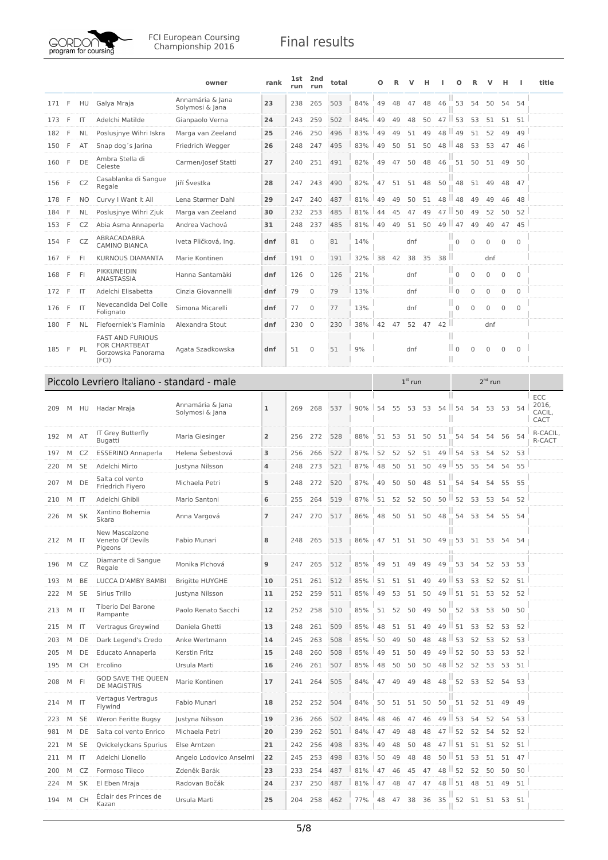

|     |              |              |                                                                                | owner                               | rank           | <b>1st</b><br>run | 2nd<br>run     | total |                                     | Ο  | R  | ν         |    |      | Ο                       |              |              | н            |              | title                   |
|-----|--------------|--------------|--------------------------------------------------------------------------------|-------------------------------------|----------------|-------------------|----------------|-------|-------------------------------------|----|----|-----------|----|------|-------------------------|--------------|--------------|--------------|--------------|-------------------------|
| 171 | F            | HU           | Galya Mraja                                                                    | Annamária & Jana<br>Solymosi & Jana | 23             | 238               | 265            | 503   | 84%                                 | 49 | 48 | 47        | 48 | 46   | 53                      | 54           | 50           | 54           | 54           |                         |
| 173 | F            | IT           | Adelchi Matilde                                                                | Gianpaolo Verna                     | 24             | 243               | 259            | 502   | 84%                                 | 49 | 49 | 48        | 50 | $47$ | 53                      | 53           | 51           | 51           | 51           |                         |
| 182 | F            | NL           | Poslusjnye Wihri Iskra                                                         | Marga van Zeeland                   | 25             | 246               | 250            | 496   | 83%                                 | 49 | 49 | 51        | 49 | 48   | 49                      | 51           | 52           | 49           | 49           |                         |
| 150 | F            | AT           | Snap dog's Jarina                                                              | Friedrich Wegger                    | 26             | 248               | 247            | 495   | 83%                                 | 49 | 50 | 51        | 50 | 48   | 48<br>ш                 | 53           | 53           | 47           | 46           |                         |
| 160 | F            | DE           | Ambra Stella di<br>Celeste                                                     | Carmen/Josef Statti                 | 27             | 240               | 251            | 491   | 82%                                 | 49 | 47 | 50        | 48 | 46   | 51                      | 50           | 51           | 49           | 50           |                         |
| 156 | F            | CZ           | Casablanka di Sangue<br>Regale                                                 | Jiří Švestka                        | 28             | 247               | 243            | 490   | 82%                                 | 47 | 51 | 51        | 48 | 50   | 48                      | 51           | 49           | 48           | 47           |                         |
| 178 | F            | NO           | Curvy I Want It All                                                            | Lena Størmer Dahl                   | 29             | 247               | 240            | 487   | 81%                                 | 49 | 49 | 50        | 51 | 48   | 48                      | 49           | 49           | 46           | 48           |                         |
| 184 | F            | <b>NL</b>    | Poslusjnye Wihri Zjuk                                                          | Marga van Zeeland                   | 30             | 232               | 253            | 485   | 81%                                 | 44 | 45 | 47        | 49 | 47   | 50                      | 49           | 52           | 50           | 52           |                         |
| 153 | F            | CZ           | Abia Asma Annaperla                                                            | Andrea Vachová                      | 31             | 248               | 237            | 485   | 81%                                 | 49 | 49 | 51        | 50 | 49   | 47                      | 49           | 49           | 47           | 45           |                         |
| 154 | F            | CZ           | ABRACADABRA<br><b>CAMINO BIANCA</b>                                            | Iveta Pličková, Ing.                | dnf            | 81                | $\mathbf{0}$   | 81    | 14%                                 |    |    | dnf       |    |      | $\mathbf 0$             | $\mathbf 0$  | $\mathbf 0$  | $\mathbf 0$  | $\mathbf 0$  |                         |
| 167 | F            | <b>FI</b>    | KURNOUS DIAMANTA                                                               | Marie Kontinen                      | dnf            | 191               | $\overline{0}$ | 191   | 32%                                 | 38 | 42 | 38        | 35 | 38   |                         |              | dnf          |              |              |                         |
| 168 | F            | FI           | PIKKUNEIDIN<br>ANASTASSIA                                                      | Hanna Santamäki                     | dnf            | 126               | $\overline{0}$ | 126   | 21%                                 |    |    | dnf       |    |      | $\mathbf 0$             | $\mathbf{0}$ | 0            | 0            | $\mathbf{0}$ |                         |
| 172 | F            | IT           | Adelchi Elisabetta                                                             | Cinzia Giovannelli                  | dnf            | 79                | $\mathbf 0$    | 79    | 13%                                 |    |    | dnf       |    |      | $\parallel$ 0           | $\mathbf 0$  | $\mathbf 0$  | 0            | $\mathbf 0$  |                         |
| 176 | F            | IT           | Nevecandida Del Colle<br>Folignato                                             | Simona Micarelli                    | dnf            | 77                | $\mathbf{0}$   | 77    | 13%                                 |    |    | dnf       |    |      | $\mathbf 0$             | $\mathbf{0}$ | $\mathbf{0}$ | $\mathbf{0}$ | $\mathbf 0$  |                         |
| 180 | F            | <b>NL</b>    | Fiefoerniek's Flaminia                                                         | Alexandra Stout                     | dnf            | 230               | $\mathbf{0}$   | 230   | 38%                                 | 42 | 47 | 52        | 47 | 42   | Ш                       |              | dnf          |              |              |                         |
| 185 | $\mathsf{F}$ | PL           | <b>FAST AND FURIOUS</b><br><b>FOR CHARTBEAT</b><br>Gorzowska Panorama<br>(FCI) | Agata Szadkowska                    | dnf            | 51                | $\mathbf{0}$   | 51    | 9%                                  |    |    | dnf       |    |      | Ш<br>$\parallel$ 0<br>Ш | $\mathbf 0$  | $\mathbf{0}$ | $\mathbf{0}$ | $\mathbf{0}$ |                         |
|     |              |              | Piccolo Levriero Italiano - standard - male                                    |                                     |                |                   |                |       |                                     |    |    | $1st$ run |    |      |                         |              | $2nd$ run    |              |              |                         |
|     |              |              |                                                                                |                                     |                |                   |                |       |                                     |    |    |           |    |      |                         |              |              |              |              | <b>ECC</b>              |
| 209 | М            | HU           | Hadar Mraja                                                                    | Annamária & Jana<br>Solymosi & Jana | 1              | 269               | 268            | 537   | 90%                                 | 54 | 55 | 53        | 53 | 54   | 54                      | 54           | 53           | 53           | 54           | 2016,<br>CACIL,<br>CACT |
| 192 | M            | AT           | IT Grey Butterfly<br>Bugatti                                                   | Maria Giesinger                     | $\overline{2}$ | 256               | 272            | 528   | 88%                                 | 51 | 53 | 51        | 50 | 51   | 54                      | 54           | 54           | 56           | -54          | R-CACIL,<br>R-CACT      |
| 197 | M            | CZ           | <b>ESSERINO Annaperla</b>                                                      | Helena Šebestová                    | 3              | 256               | 266            | 522   | 87%                                 | 52 | 52 | 52        | 51 | 49   | 54                      | 53           | 54           | 52           | 53           |                         |
| 220 | M            | <b>SE</b>    | Adelchi Mirto                                                                  | Justyna Nilsson                     | 4              | 248               | 273            | 521   | 87%                                 | 48 | 50 | 51        | 50 | 49   | ш<br>55                 | 55           | 54           | 54           | 55           |                         |
| 207 | M            | DE           | Salta col vento<br>Friedrich Fiyero                                            | Michaela Petri                      | 5              | 248               | 272            | 520   | 87%                                 | 49 | 50 | 50        | 48 | 51   | 54                      | 54           | 54           | 55           | 55           |                         |
| 210 | M            | $\mathsf{I}$ | Adelchi Ghibli                                                                 | Mario Santoni                       | 6              | 255               | 264            | 519   | 87%                                 | 51 | 52 | 52        | 50 | 50   | ш<br>52                 | 53           | 53           | 54           | 52           |                         |
| 226 | M            | SK           | Xantino Bohemia<br>Skara                                                       | Anna Vargová                        | $\overline{7}$ | 247               | 270            | 517   | 86%                                 | 48 | 50 | 51        | 50 | 48   | 54                      | 53           | 54           | 55           | 54           |                         |
| 212 | M            | - IT         | New Mascalzone<br>Veneto Of Devils<br>Pigeons                                  | Fabio Munari                        | 8              | 248               | 265            | 513   | 86%   47 51 51 50 49    53 51 53 54 |    |    |           |    |      |                         |              |              |              | 54           |                         |
| 196 | М            | CZ           | Diamante di Sangue<br>Regale                                                   | Monika Plchová                      | 9              | 247               | 265            | 512   | 85%                                 | 49 | 51 | 49        | 49 | 49   | 53                      | - 54         | 52           |              | 53 53        |                         |
| 193 | M            | BE           | LUCCA D'AMBY BAMBI                                                             | <b>Brigitte HUYGHE</b>              | 10             | 251               | 261            | 512   | 85%                                 | 51 | 51 | 51        | 49 |      | $49$   53               | 53           | 52           | 52           | 51           |                         |
| 222 | М            | <b>SE</b>    | Sirius Trillo                                                                  | Justyna Nilsson                     | 11             | 252               | 259            | 511   | 85%                                 | 49 | 53 | 51        | 50 |      | $49$   51               | 51           | 53           | 52           | 52           |                         |
| 213 | М            | IT           | Tiberio Del Barone<br>Rampante                                                 | Paolo Renato Sacchi                 | 12             | 252               | 258            | 510   | 85%                                 | 51 | 52 | 50        | 49 | 50   | 52                      | 53           | 53           | 50           | 50           |                         |
| 215 | M            | IT           | Vertragus Greywind                                                             | Daniela Ghetti                      | 13             | 248               | 261            | 509   | 85%                                 | 48 | 51 | 51        | 49 | 49   | $\mathsf{H}$ 51         | 53           | 52           | 53           | 52           |                         |
| 203 | M            | DE           | Dark Legend's Credo                                                            | Anke Wertmann                       | 14             | 245               | 263            | 508   | 85%                                 | 50 | 49 | 50        | 48 | 48   | 53                      | 52           | 53           | 52           | 53           |                         |
| 205 | M            | DE           | Educato Annaperla                                                              | Kerstin Fritz                       | 15             | 248               | 260            | 508   | 85%                                 | 49 | 51 | 50        | 49 | 49   | 52                      | 50           | 53           | 53           | 52           |                         |
| 195 | М            | <b>CH</b>    | Ercolino                                                                       | Ursula Marti                        | 16             | 246               | 261            | 507   | 85%                                 | 48 | 50 | 50        | 50 |      | 48   52                 | 52           | 53           | 53           | 51           |                         |
| 208 | M            | FI           | <b>GOD SAVE THE QUEEN</b><br><b>DE MAGISTRIS</b>                               | Marie Kontinen                      | 17             | 241               | 264            | 505   | 84%                                 | 47 | 49 | 49        | 48 | 48   | 52                      | 53           | 52 54 53     |              |              |                         |
| 214 | M            | IT           | Vertagus Vertragus<br>Flywind                                                  | Fabio Munari                        | 18             | 252               | 252            | 504   | 84%                                 | 50 | 51 | 51        | 50 | 50   | 51                      | 52           | 51           | 49           | 49           |                         |
| 223 | М            | <b>SE</b>    | Weron Feritte Bugsy                                                            | Justyna Nilsson                     | 19             | 236               | 266            | 502   | 84%                                 | 48 | 46 | 47        | 46 | 49   | ш<br>53                 | 54           | 52           | 54           | 53           |                         |
| 981 | M            | DE           | Salta col vento Enrico                                                         | Michaela Petri                      | 20             | 239               | 262            | 501   | 84%                                 | 47 | 49 | 48        | 48 | $47$ | 52                      | 52           | 54           | 52           | 52           |                         |
| 221 | M            | <b>SE</b>    | Qvickelyckans Spurius                                                          | Else Arntzen                        | 21             | 242               | 256            | 498   | 83%                                 | 49 | 48 | 50        | 48 |      | $47$   51               | 51           | 51           | 52           | 51           |                         |
| 211 | M            | IT           | Adelchi Lionello                                                               | Angelo Lodovico Anselmi             | 22             | 245               | 253            | 498   | 83%                                 | 50 | 49 | 48        | 48 |      | $50$   $51$             | 53           | 51           | 51           | 47           |                         |
| 200 | М            | CZ           | Formoso Tileco                                                                 | Zdeněk Barák                        | 23             | 233               | 254            | 487   | 81%                                 | 47 | 46 | 45        | 47 |      | 48 52                   | 52           | 50           | 50           | 50           |                         |
| 224 | M            | SK           | El Eben Mraja                                                                  | Radovan Bočák                       | 24             | 237               | 250            | 487   | 81%                                 | 47 | 48 | 47        | 47 |      | 48 51                   | 48           | 51           | 49           | 51           |                         |
| 194 | M            | <b>CH</b>    | Éclair des Princes de<br>Kazan                                                 | Ursula Marti                        | 25             | 204               | 258            | 462   | 77%                                 | 48 | 47 | 38        | 36 | 35   | 52                      | 51           | 51           | 53           | 51           |                         |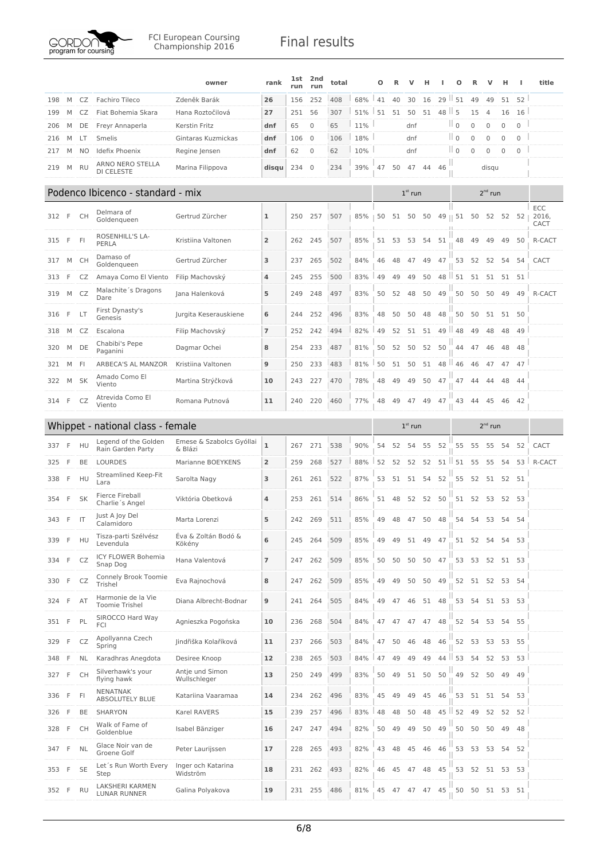

|       |              |           |                                       | owner                           | rank           | 1st<br>run | 2nd<br>run     | total |     | Ο  | R  | v         | н     |         | Ο                    | R           | v              | н            | H                   | title                |
|-------|--------------|-----------|---------------------------------------|---------------------------------|----------------|------------|----------------|-------|-----|----|----|-----------|-------|---------|----------------------|-------------|----------------|--------------|---------------------|----------------------|
| 198   | M            | CZ        | Fachiro Tileco                        | Zdeněk Barák                    | 26             | 156        | 252            | 408   | 68% | 41 | 40 | 30        | 16    | 29      | Ш<br>51              | 49          | 49             | 51           | 52                  |                      |
| 199   | M            | CZ        | Fiat Bohemia Skara                    | Hana Roztočilová                | 27             | 251        | 56             | 307   | 51% | 51 | 51 | 50        | 51    | 48      | Ш<br>5               | 15          | $\overline{4}$ | 16           | 16                  |                      |
| 206   | M            | DE        | Freyr Annaperla                       | Kerstin Fritz                   | dnf            | 65         | $\mathbf 0$    | 65    | 11% |    |    | dnf       |       |         | $\parallel$ 0        | 0           | $\mathbf 0$    | $\mathbf 0$  | $\mathsf{O}\xspace$ |                      |
| 216   | M            | LT        | Smelis                                | Gintaras Kuzmickas              | dnf            | 106        | $\overline{0}$ | 106   | 18% |    |    | dnf       |       |         | $\mathbb{I}$ o       | $\mathbf 0$ | $\mathbf{0}$   | $\mathbf{0}$ | $\mathbf 0$         |                      |
| 217   | M            | NO        | Idefix Phoenix                        | Regine Jensen                   | dnf            | 62         | $\mathbf{0}$   | 62    | 10% |    |    | dnf       |       |         | $\mathbb{I}$ 0       | 0           | $\mathbf{0}$   | $\mathbf{0}$ | $\mathbf 0$         |                      |
| 219   | M            | <b>RU</b> | ARNO NERO STELLA<br><b>DI CELESTE</b> | Marina Filippova                | disqu          | 234        | $\mathbf{0}$   | 234   | 39% | 47 | 50 | 47        | 44    | 46      |                      |             | disgu          |              |                     |                      |
|       |              |           | Podenco Ibicenco - standard - mix     |                                 |                |            |                |       |     |    |    | $1st$ run |       |         |                      |             | $2^{nd}$ run   |              |                     |                      |
| 312   | F            | <b>CH</b> | Delmara of<br>Goldenaueen             | Gertrud Zürcher                 | 1              | 250        | 257            | 507   | 85% | 50 | 51 | 50        | 50    |         | $49 \parallel 51$ 50 |             | 52 52 52       |              |                     | ECC<br>2016,<br>CACT |
| 315   | F            | FI        | ROSENHILL'S LA-<br>PERLA              | Kristiina Valtonen              | $\overline{2}$ | 262        | 245            | 507   | 85% | 51 | 53 | 53        | 54    | 51      | 48                   | 49          | 49             | 49           | 50                  | R-CACT               |
| 317   | М            | <b>CH</b> | Damaso of<br>Goldengueen              | Gertrud Zürcher                 | 3              | 237        | 265            | 502   | 84% | 46 | 48 | 47        | 49    | 47      | 53                   | 52          | 52             | 54           | 54                  | CACT                 |
| 313   | F            | CZ        | Amaya Como El Viento                  | Filip Machovský                 | 4              | 245        | 255            | 500   | 83% | 49 | 49 | 49        | 50    | 48      | 51                   | 51          | 51             | 51           | 51                  |                      |
| 319   | М            | CZ        | Malachite's Dragons<br>Dare           | Jana Halenková                  | 5              | 249        | 248            | 497   | 83% | 50 | 52 | 48        | 50    | 49      | 50                   | 50          | 50             | 49           | 49                  | R-CACT               |
| 316   | F            | LT        | First Dynasty's<br>Genesis            | Jurgita Keserauskiene           | 6              | 244        | 252            | 496   | 83% | 48 | 50 | 50        | 48    | 48      | 50                   | 50          | 51             |              | 51 50               |                      |
| 318   | M            | CZ        | Escalona                              | Filip Machovský                 | 7              | 252        | 242            | 494   | 82% | 49 | 52 | 51        | 51    | 49      | 48                   | 49          | 48             | 48           | 49                  |                      |
| 320   | M            | DE        | Chabibi's Pepe<br>Paganini            | Dagmar Ochei                    | 8              | 254        | 233            | 487   | 81% | 50 | 52 | 50        | 52    | 50      | 44                   | 47          | 46             | 48           | 48                  |                      |
| 321   | M            | FI.       | ARBECA'S AL MANZOR                    | Kristiina Valtonen              | 9              | 250        | 233            | 483   | 81% | 50 | 51 | 50        | 51    | Ш<br>48 | 46                   | 46          | 47             | 47           | 47                  |                      |
| 322   | M            | SK        | Amado Como El<br>Viento               | Martina Strýčková               | 10             | 243        | 227            | 470   | 78% | 48 | 49 | 49        | 50    | 47      | 47                   | 44          | 44             | 48           | 44                  |                      |
| 314   | F            | CZ        | Atrevida Como El<br>Viento            | Romana Putnová                  | 11             | 240        | 220            | 460   | 77% | 48 | 49 | 47        | 49    | 47      | 43                   | 44          | 45             | 46           | 42                  |                      |
|       |              |           | Whippet - national class - female     |                                 |                |            |                |       |     |    |    | $1st$ run |       |         |                      |             | $2nd$ run      |              |                     |                      |
|       |              |           |                                       |                                 |                |            |                |       |     |    |    |           |       |         |                      |             |                |              |                     |                      |
| 337   | F            | HU        | Legend of the Golden                  | Emese & Szabolcs Gyóllai        | $\mathbf{1}$   | 267        | 271            | 538   | 90% | 54 | 52 | 54        | 55    | 52      | 55                   | 55          | 55             | 54           | 52                  | CACT                 |
| 325   | F.           | BE        | Rain Garden Party<br><b>LOURDES</b>   | & Blázi<br>Marianne BOEYKENS    | $\overline{2}$ | 259        | 268            | 527   | 88% | 52 | 52 | 52        | 52    | 51      | 51                   | 55          | 55             | 54           | 53                  | R-CACT               |
| 338   | F            | HU        | Streamlined Keep-Fit<br>Lara          | Sarolta Nagy                    | 3              | 261        | 261            | 522   | 87% | 53 | 51 | 51        | 54    | 52      | 55                   | 52          | 51             |              | 52 51               |                      |
| 354   | F            | <b>SK</b> | Fierce Fireball<br>Charlie's Angel    | Viktória Obetková               | 4              | 253        | 261            | 514   | 86% | 51 | 48 | 52        | 52    | 50      | 51                   | 52          | 53             |              | 52 53               |                      |
| 343   | -F           | IT        | Just A Joy Del<br>Calamidoro          | Marta Lorenzi                   | 5              | 242        | 269            | 511   | 85% | 49 | 48 | 47        | 50    | 48      | 54                   | 54          | 53             | 54           | 54                  |                      |
| 339   | - F          | HU        | Tisza-parti Szélvész<br>Levendula     | Éva & Zoltán Bodó &<br>Kökény   | 6              | 245        | 264            | 509   | 85% | 49 | 49 | 51        | 49    | - 47    |                      | 51 52       | 54             |              | 54 53               |                      |
| 334   | F            | CZ        | ICY FLOWER Bohemia<br>Snap Dog        | Hana Valentová                  | 7              | 247        | 262            | 509   | 85% | 50 | 50 | 50        | 50    | 47      | 53                   | 53          | 52             |              | 51 53               |                      |
| 330   | $\mathsf{F}$ | CZ        | Connely Brook Toomie<br>Trishel       | Eva Rajnochová                  | 8              | 247        | 262            | 509   | 85% | 49 | 49 | 50        | 50    | 49      |                      | 52 51       | 52             |              | 53 54               |                      |
| 324   | F            | AT        | Harmonie de la Vie<br>Toomie Trishel  | Diana Albrecht-Bodnar           | 9              | 241        | 264            | 505   | 84% | 49 | 47 | 46        | 51 48 |         |                      | 53 54       | 51 53 53       |              |                     |                      |
| 351 F |              | PL        | SIROCCO Hard Way<br><b>FCI</b>        | Agnieszka Pogońska              | 10             | 236        | 268            | 504   | 84% | 47 | 47 | 47        | 47    | 48      | 52                   | 54          | 53             | 54           | 55                  |                      |
| 329   | F            | CZ        | Apollyanna Czech<br>Spring            | Jindřiška Kolaříková            | 11             | 237        | 266            | 503   | 84% | 47 | 50 | 46        | 48    | 46      | 52                   | 53          | 53             |              | 53 55               |                      |
| 348   | F            | NL        | Karadhras Anegdota                    | Desiree Knoop                   | 12             | 238        | 265            | 503   | 84% | 47 | 49 | 49        | 49    | 44      | 53                   | 54          | 52             | 53           | 53                  |                      |
| 327   | F            | <b>CH</b> | Silverhawk's your<br>flying hawk      | Antje und Simon<br>Wullschleger | 13             | 250        | 249            | 499   | 83% | 50 | 49 | 51        | 50    | 50      | 49                   | 52          | 50             | 49           | 49                  |                      |
| 336   | - F          | FI        | NENATNAK<br>ABSOLUTELY BLUE           | Katariina Vaaramaa              | 14             | 234        | 262            | 496   | 83% | 45 | 49 | 49        | 45    | 46      | 53                   | 51          | 51             | 54           | 53                  |                      |
| 326   | - F          | BE        | SHARYON                               | Karel RAVERS                    | 15             | 239        | 257            | 496   | 83% | 48 | 48 | 50        | 48    | 45      | 52                   | 49          | 52             |              | 52 52               |                      |
| 328   | F            | <b>CH</b> | Walk of Fame of<br>Goldenblue         | Isabel Bänziger                 | 16             | 247        | 247            | 494   | 82% | 50 | 49 | 49        | 50    | 49      | 50                   | 50          | 50             | 49           | 48                  |                      |
| 347   | - F          | <b>NL</b> | Glace Noir van de<br>Groene Golf      | Peter Laurijssen                | 17             | 228        | 265            | 493   | 82% | 43 | 48 | 45        | 46    | 46      | 53                   | 53          | 53             |              | 54 52               |                      |
| 353   | F            | <b>SE</b> | Let's Run Worth Every<br>Step         | Inger och Katarina<br>Widström  | 18             | 231        | 262            | 493   | 82% | 46 | 45 | 47        | 48    | 45      | 53                   | 52          | 51 53 53       |              |                     |                      |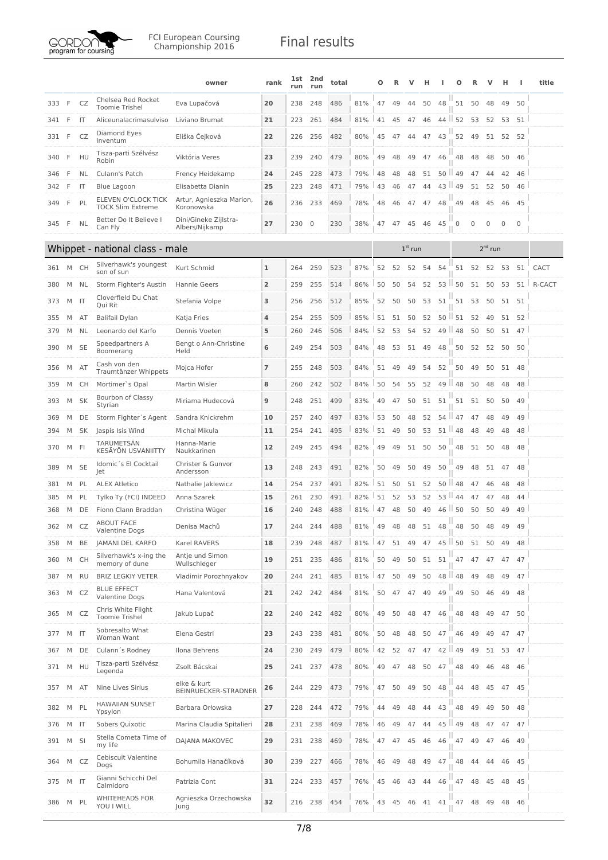

|     |   |              |                                                                 | owner                                           | rank           | 1st<br>run | 2nd<br>run  | total |     | Ω  | R  | v         | н     |          | O                   | R            | ν         | н           | ш           | title  |
|-----|---|--------------|-----------------------------------------------------------------|-------------------------------------------------|----------------|------------|-------------|-------|-----|----|----|-----------|-------|----------|---------------------|--------------|-----------|-------------|-------------|--------|
| 333 | F | CZ           | Chelsea Red Rocket<br><b>Toomie Trishel</b>                     | Eva Lupačová                                    | 20             | 238        | 248         | 486   | 81% | 47 | 49 | 44        | 50    | 48       | 51                  | -50          | 48        | 49          | 50          |        |
| 341 | F | IT           | Aliceunalacrimasulviso                                          | Liviano Brumat                                  | 21             | 223        | 261         | 484   | 81% | 41 | 45 | 47        | 46    | $44$     | 52                  | 53           | 52        | 53          | 51          |        |
| 331 | F | CZ           | Diamond Eyes<br>Inventum                                        | Eliška Čejková                                  | 22             | 226        | 256         | 482   | 80% | 45 | 47 | 44        | 47    | 43       | 52                  | 49           | 51        | 52          | 52          |        |
| 340 | F | HU           | Tisza-parti Szélvész<br>Robin                                   | Viktória Veres                                  | 23             | 239        | 240         | 479   | 80% | 49 | 48 | 49        | 47    | 46       | 48                  | 48           | 48        | 50          | 46          |        |
| 346 | F | NL           | Culann's Patch                                                  | Frency Heidekamp                                | 24             | 245        | 228         | 473   | 79% | 48 | 48 | 48        | 51    | 50       | 49                  | 47           | 44        | 42          | 46          |        |
| 342 | F | IT           | Blue Lagoon                                                     | Elisabetta Dianin                               | 25             | 223        | 248         | 471   | 79% | 43 | 46 | 47        | 44    | 43       | 49                  | 51           | 52        | 50          | 46          |        |
| 349 | F | PL           | ELEVEN O'CLOCK TICK<br><b>TOCK Slim Extreme</b>                 | Artur, Agnieszka Marion,<br>Koronowska          | 26             | 236        | 233         | 469   | 78% | 48 | 46 | 47        | 47    | 48       | 49                  | 48           | 45        | 46          | 45          |        |
| 345 | F | NL           | Better Do It Believe I<br>Can Fly                               | Dini/Gineke Zijlstra-<br>Albers/Nijkamp         | 27             | 230        | $\mathbf 0$ | 230   | 38% | 47 | 47 | 45        | 46    | 45       | 0                   | $\mathbf{0}$ | 0         | $\mathbf 0$ | $\mathbf 0$ |        |
|     |   |              | Whippet - national class - male                                 |                                                 |                |            |             |       |     |    |    | $1st$ run |       |          |                     |              | $2nd$ run |             |             |        |
| 361 | M | СH           | Silverhawk's youngest<br>son of sun                             | Kurt Schmid                                     | 1              | 264        | 259         | 523   | 87% | 52 | 52 | 52        | 54    | 54       | 51                  | 52           | 52        | 53          | 51          | CACT   |
| 380 | M | NL           | Storm Fighter's Austin                                          | Hannie Geers                                    | $\overline{2}$ | 259        | 255         | 514   | 86% | 50 | 50 | 54        | 52    |          | $53$ $\parallel$ 50 | 51           | 50        | 53          | 51          | R-CACT |
| 373 | М | IT           | Cloverfield Du Chat<br>Oui Rit                                  | Stefania Volpe                                  | 3              | 256        | 256         | 512   | 85% | 52 | 50 | 50        | 53    | 51       | 51                  | 53           | 50        | 51          | -51         |        |
| 355 | M | AT           | <b>Balifail Dylan</b>                                           | Katja Fries                                     | 4              | 254        | 255         | 509   | 85% | 51 | 51 | 50        | 52    | 50       | 51                  | 52           | 49        | 51          | 52          |        |
| 379 | M | NL           | Leonardo del Karfo                                              | Dennis Voeten                                   | 5              | 260        | 246         | 506   | 84% | 52 | 53 | 54        | 52    | 49<br>H. | 48                  | 50           | 50        | 51          | 47          |        |
| 390 | M | <b>SE</b>    | Speedpartners A<br>Boomerang                                    | Bengt o Ann-Christine<br>Held                   | 6              | 249        | 254         | 503   | 84% | 48 | 53 | 51        | 49    | 48       | 50                  | 52           | 52        | 50          | 50          |        |
| 356 | M | AT           | Cash von den<br>Traumtänzer Whippets                            | Mojca Hofer                                     | $\overline{7}$ | 255        | 248         | 503   | 84% | 51 | 49 | 49        | 54    | 52       | 50                  | 49           | 50        | 51 48       |             |        |
| 359 | M | СH           | Mortimer's Opal                                                 | Martin Wisler                                   | 8              | 260        | 242         | 502   | 84% | 50 | 54 | 55        | 52    | 49       | ш<br>48             | 50           | 48        | 48          | 48          |        |
| 393 | М | SK           | Bourbon of Classy<br>Styrian                                    | Miriama Hudecová                                | 9              | 248        | 251         | 499   | 83% | 49 | 47 | 50        | 51    | 51       | 51                  | 51           | 50        | 50          | 49          |        |
| 369 | M | DE           | Storm Fighter's Agent                                           | Sandra Knickrehm                                | 10             | 257        | 240         | 497   | 83% | 53 | 50 | 48        | 52    | $54$     | 47                  | 47           | 48        | 49          | 49          |        |
| 394 | M | SK           | Jaspis Isis Wind                                                | Michal Mikula                                   | 11             | 254        | 241         | 495   | 83% | 51 | 49 | 50        | 53    |          | $51$   48           | 48           | 49        | 48          | 48          |        |
| 370 | M | FI           | <b>TARUMETSÄN</b><br>KESÄYÖN USVANIITTY<br>Idomic's El Cocktail | Hanna-Marie<br>Naukkarinen<br>Christer & Gunvor | 12             | 249        | 245         | 494   | 82% | 49 | 49 | 51        | 50    | 50       | 48                  | 51           | 50        | 48          | 48          |        |
| 389 | M | <b>SE</b>    | Jet                                                             | Andersson                                       | 13             | 248        | 243         | 491   | 82% | 50 | 49 | 50        | 49    | 50       | 49                  | 48           | 51        | 47          | 48          |        |
| 381 | M | PL           | <b>ALEX Atletico</b>                                            | Nathalie Jaklewicz                              | 14             | 254        | 237         | 491   | 82% | 51 | 50 | 51        | 52    | 50<br>ш  | 48                  | 47           | 46        | 48          | 48          |        |
| 385 | М | PL           | Tylko Ty (FCI) INDEED                                           | Anna Szarek                                     | 15             | 261        | 230         | 491   | 82% | 51 | 52 | 53        | 52    | 53 II    | 44                  | 47           | 47        | 48          | 44          |        |
| 368 | М | DE           | Fionn Clann Braddan<br><b>ABOUT FACE</b>                        | Christina Wüger                                 | 16             | 240        | 248         | 488   | 81% | 47 | 48 | 50        | 49    | 46<br>ш  | 50                  | 50           | 50        | 49          | 49          |        |
| 362 | M | CZ           | Valentine Dogs                                                  | Denisa Machů                                    | 17             | 244        | 244         | 488   | 81% | 49 | 48 | 48        | 51    | 48       | 48                  | 50           | 48        | 49          | 49          |        |
| 358 | М | BE           | JAMANI DEL KARFO                                                | Karel RAVERS                                    | 18             | 239        | 248         | 487   | 81% | 47 | 51 | 49        | 47    | 45       | ш<br>50             | 51           | 50        | 49          | 48          |        |
| 360 | M | <b>CH</b>    | Silverhawk's x-ing the<br>memory of dune                        | Antje und Simon<br>Wullschleger                 | 19             | 251        | 235         | 486   | 81% | 50 | 49 | 50        | 51    | 51       | 47                  | 47           | 47        | 47          | 47          |        |
| 387 | М | <b>RU</b>    | <b>BRIZ LEGKIY VETER</b>                                        | Vladimir Porozhnyakov                           | 20             | 244        | 241         | 485   | 81% | 47 | 50 | 49        | 50    | 48       | $\parallel$ 48      | 49           | 48        | 49          | 47          |        |
| 363 | M | CZ           | <b>BLUE EFFECT</b><br><b>Valentine Dogs</b>                     | Hana Valentová                                  | 21             | 242        | 242         | 484   | 81% | 50 | 47 | 47        | 49    | 49       | 49                  | 50           | 46        | 49          | 48          |        |
| 365 | М | CZ           | Chris White Flight<br><b>Toomie Trishel</b>                     | Jakub Lupač                                     | 22             | 240        | 242         | 482   | 80% | 49 | 50 | 48        | 47    | 46       | 48                  | 48           | 49        | 47          | 50          |        |
| 377 | M | IT           | Sobresalto What<br>Woman Want                                   | Elena Gestri                                    | 23             | 243        | 238         | 481   | 80% | 50 | 48 | 48        | 50    | 47       | 46                  | 49           | 49        | 47          | 47          |        |
| 367 | M | DE           | Culann's Rodney                                                 | Ilona Behrens                                   | 24             | 230        | 249         | 479   | 80% | 42 | 52 | 47        | 47    | 42       | 49                  | 49           | 51        | 53          | - 47        |        |
| 371 | M | HU           | Tisza-parti Szélvész<br>Legenda                                 | Zsolt Bácskai                                   | 25             | 241        | 237         | 478   | 80% | 49 | 47 | 48        | 50    | 47       | 48                  | 49           | 46        | 48          | 46          |        |
| 357 | М | AT           | Nine Lives Sirius                                               | elke & kurt<br>BEINRUECKER-STRADNER             | 26             | 244        | 229         | 473   | 79% | 47 | 50 | 49        | 50    | 48       | 44                  | 48           | 45        | 47 45       |             |        |
| 382 | М | PL           | <b>HAWAIIAN SUNSET</b><br>Ypsylon                               | Barbara Orłowska                                | 27             | 228        | 244         | 472   | 79% | 44 | 49 | 48        | 44    | 43       | 48                  | 49           | 49        | 50          | 48          |        |
| 376 | M | $\mathsf{I}$ | Sobers Quixotic                                                 | Marina Claudia Spitalieri                       | 28             | 231        | 238         | 469   | 78% | 46 | 49 | 47        | 44    | 45       | ш<br>49             | 48           | 47        | 47          | 47          |        |
| 391 | M | SI           | Stella Cometa Time of<br>my life                                | DAJANA MAKOVEC                                  | 29             | 231        | 238         | 469   | 78% | 47 | 47 | 45        | 46    | 46       | 47                  | 49           | 47        | 46          | 49          |        |
| 364 | М | CZ           | Cebiscuit Valentine<br>Dogs                                     | Bohumila Hanačíková                             | 30             | 239        | 227         | 466   | 78% | 46 | 49 | 48        | 49    | 47       | 48                  | 44           | 44        | 46 45       |             |        |
| 375 | M | IT           | Gianni Schicchi Del<br>Calmidoro                                | Patrizia Cont                                   | 31             | 224        | 233         | 457   | 76% | 45 | 46 | 43        | 44    | 46       | 47                  | 48           | 45        | 48          | 45          |        |
| 386 | M | <b>PL</b>    | <b>WHITEHEADS FOR</b><br>YOU I WILL                             | Agnieszka Orzechowska<br>Jung                   | 32             | 216        | 238         | 454   | 76% | 43 | 45 | 46        | 41 41 |          | 47                  | 48           | 49        | 48          | 46          |        |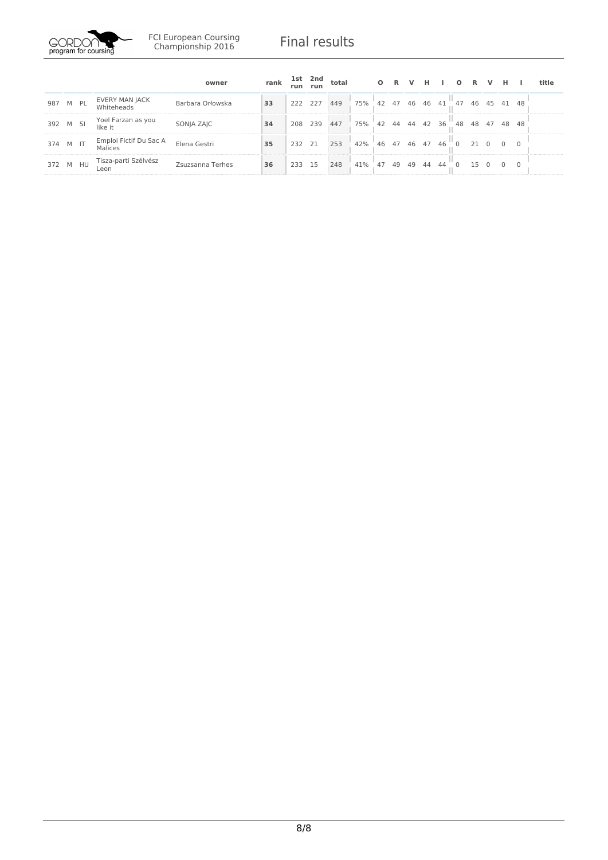

|          |      |                                   | owner            | rank | run     | 1st 2nd<br>run | total |     | $\circ$ | <b>R</b> | v     | н. |    | $\Omega$ | $\mathbb{R}$ | v  | н              |                | title |
|----------|------|-----------------------------------|------------------|------|---------|----------------|-------|-----|---------|----------|-------|----|----|----------|--------------|----|----------------|----------------|-------|
| 987      | M PL | EVERY MAN JACK<br>Whiteheads      | Barbara Orłowska | 33   | 222 227 |                | 449   | 75% |         | 42 47    | 46 46 |    | 41 | 47       | 46           | 45 | 41             | -48            |       |
| 392 M SI |      | Yoel Farzan as you<br>like it     | SONJA ZAJC       | 34   | 208     | 239            | 447   | 75% | 42      | 44 44    |       | 42 | 36 | 48       | 48           | 47 | 48 48          |                |       |
| 374 M IT |      | Emploi Fictif Du Sac A<br>Malices | Elena Gestri     | 35   | 232 21  |                | 253   | 42% | 46      | 47       | 46    | 47 | 46 |          | 21           |    | $\overline{0}$ | $\overline{0}$ |       |
| 372 M HU |      | Tisza-parti Szélvész<br>Leon      | Zsuzsanna Terhes | 36   | 233     | 15             | 248   | 41% | 47      | 49       | 49    | 44 | 44 |          | 15           |    | $\Omega$       | $\Omega$       |       |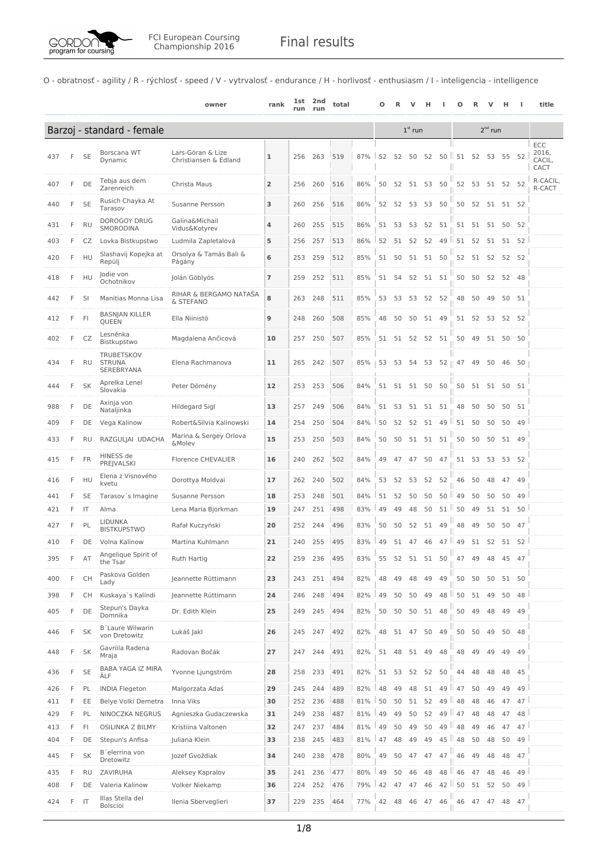

O - obratnosť - agility / R - rýchlosť - speed / V - vytrvalosť - endurance / H - horlivosť - enthusiasm / I - inteligencia - intelligence

|     |   |           |                                           | owner                                      | rank           | 1st<br>run | 2nd<br>run | total |     | О  | R  |           |       |                  | Ο                |       |          | н        |                 | title                          |
|-----|---|-----------|-------------------------------------------|--------------------------------------------|----------------|------------|------------|-------|-----|----|----|-----------|-------|------------------|------------------|-------|----------|----------|-----------------|--------------------------------|
|     |   |           | Barzoj - standard - female                |                                            |                |            |            |       |     |    |    | $1st$ run |       |                  |                  |       |          |          |                 |                                |
| 437 | F | SE        | Borscana WT<br>Dynamic                    | Lars-Göran & Lize<br>Christiansen & Edland | ı              | 256        | 263        | 519   | 87% | 52 | 52 | 50        | 52    |                  | $50$   $51$<br>Ш | 52    | 53       | 55       | 52              | ECC<br>2016,<br>CACIL,<br>CACT |
| 407 | F | DE        | Tebja aus dem<br>Zarenreich               | Christa Maus                               | $\overline{2}$ | 256        | 260        | 516   | 86% | 50 | 52 | 51        | 53    | 50               | 52               | 53    | 51 52 52 |          |                 | R-CACIL,<br>R-CACT             |
| 440 | F | <b>SE</b> | Rusich Chayka At<br>Tarasov               | Susanne Persson                            | 3              | 260        | 256        | 516   | 86% | 52 | 52 | 53        | 53    | 50               | 50               | 52    |          | 51 51 52 |                 |                                |
| 431 | F | <b>RU</b> | <b>DOROGOY DRUG</b><br>SMORODINA          | Galina&Michail<br>Vidus&Kotyrev            | 4              | 260        | 255        | 515   | 86% | 51 | 53 | 53        | 52    | 51               |                  | 51 51 | 51       |          | 50 52           |                                |
| 403 | F | CZ        | Lovka Bistkupstwo                         | Ludmila Zapletalová                        | 5              | 256        | 257        | 513   | 86% | 52 | 51 | 52        | 52    |                  | 49   51          | 52    | 51       | 51       | 52              |                                |
| 420 | F | HU        | Slashavij Kopejka at<br>Repülj            | Orsolya & Tamás Bali &<br>Págány           | 6              | 253        | 259        | 512   | 85% | 51 | 50 | 51        | 51    | 50               | 52               | 51    | 52       | 52       | 52              |                                |
| 418 | F | HU        | Jodie von<br>Ochotnikov                   | Jolán Göblyös                              | $\overline{7}$ | 259        | 252        | 511   | 85% | 51 | 54 | 52        | 51    | 51               | 50               | 50    | 52       |          | 52 48           |                                |
| 442 | F | SI        | Manitias Monna Lisa                       | RIHAR & BERGAMO NATAŠA<br>& STEFANO        | 8              | 263        | 248        | 511   | 85% | 53 | 53 | 53        | 52    | 52               | 48               | 50    | 49       |          | 50 51           |                                |
| 412 | F | FI        | <b>BASNJAN KILLER</b><br>QUEEN            | Ella Niinistö                              | 9              | 248        | 260        | 508   | 85% | 48 | 50 | 50        | 51    | 49               | 51               | 52    | 53       |          | 52 52           |                                |
| 402 | F | CZ        | Lesněnka<br>Bistkupstwo                   | Magdalena Ančicová                         | 10             | 257        | 250        | 507   | 85% | 51 |    | 51 52     | 52 51 |                  | 50               | 49    |          | 51 50 50 |                 |                                |
| 434 | F | RU        | TRUBETSKOV<br><b>STRUNA</b><br>SEREBRYANA | Elena Rachmanova                           | 11             | 265        | 242        | 507   | 85% | 53 | 53 | 54        |       | 53 52    47      |                  | -49   | 50       |          | 46 50           |                                |
| 444 | F | <b>SK</b> | Aprelka Lenel<br>Slovakia                 | Peter Dömény                               | 12             | 253        | 253        | 506   | 84% | 51 | 51 | 51 50     |       | 50               | 50               | 51    | 51       |          | 50 51           |                                |
| 988 | F | DE        | Axinja von<br>Nataljinka                  | Hildegard Sigl                             | 13             | 257        | 249        | 506   | 84% | 51 | 53 | 51        | 51    | 51               | 48               | 50    | 50       |          | 50 51           |                                |
| 409 | F | DE        | Vega Kalinow                              | Robert&Silvia Kalinowski                   | 14             | 254        | 250        | 504   | 84% | 50 | 52 | 52        | 51    | $49$ $\parallel$ | 51               | 50    | 50       | 50       | 49              |                                |
| 433 | F | RU        | RAZGULJAI UDACHA                          | Marina & Sergey Orlova<br>&Molev           | 15             | 253        | 250        | 503   | 84% | 50 | 50 | 51        | 51 51 |                  | 50               | 50    | 50       |          | 51 49           |                                |
| 415 | F | FR        | HINESS de<br>PREJVALSKI                   | <b>Florence CHEVALIER</b>                  | 16             | 240        | 262        | 502   | 84% | 49 | 47 | 47        | 50    | 47               | 51               | 53    | 53       |          | 53 52           |                                |
| 416 | F | HU        | Elena z Visnového<br>kvetu                | Dorottya Moldvai                           | 17             | 262        | 240        | 502   | 84% | 53 | 52 | 53        | 52    | 52               | 46               | 50    | 48       | 47       | 49              |                                |
| 441 | F | <b>SE</b> | Tarasov's Imagine                         | Susanne Persson                            | 18             | 253        | 248        | 501   | 84% | 51 | 52 | 50        | 50    | $50$ $\parallel$ | 49               | 50    | 50       | 50       | 49              |                                |
| 421 | F | IT        | Alma                                      | Lena Maria Bjorkman                        | 19             | 247        | 251        | 498   | 83% | 49 | 49 | 48        | 50    |                  | $51$ $150$       | 49    | 51       | 51       | 50              |                                |
| 427 | F | PL        | <b>LIDUNKA</b><br><b>BISTKUPSTWO</b>      | Rafał Kuczyński                            | 20             | 252        | 244        | 496   | 83% | 50 | 50 | 52        | 51    | 49               | 48               | 49    | 50       | 50       | 47              |                                |
| 410 | F | DE        | Volna Kalinow                             | Martina Kuhlmann                           | 21             | 240        | 255        | 495   | 83% | 49 |    | 51 47     | 46    | $47$   49        |                  |       | 51 52    | 51       | 52              |                                |
| 395 | F | AT        | Angelique Spirit of<br>the Tsar           | Ruth Hartig                                | 22             | 259        | 236        | 495   | 83% | 55 | 52 | 51        | 51    | 50               | 47               | 49    | 48       | 45       | 47              |                                |
| 400 | F | <b>CH</b> | Paskova Golden<br>Lady                    | Jeannette Rüttimann                        | 23             | 243        | 251        | 494   | 82% | 48 | 49 | 48        | 49    | 49               | 50               | 50    | 50       | 51       | 50              |                                |
| 398 | F | <b>CH</b> | Kuskaya`s Kalindi                         | Jeannette Rüttimann                        | 24             | 246        | 248        | 494   | 82% | 49 | 50 | 50        | 49    | 48               | 50               | 51    | 49       | 50       | 48              |                                |
| 405 | F | DE        | Stepun's Dayka<br>Domnika                 | Dr. Edith Klein                            | 25             | 249        | 245        | 494   | 82% | 50 | 50 | 50        | 51    | 48               | 50               | 49    | 48       | 49       | 49              |                                |
| 446 | F | <b>SK</b> | <b>B</b> 'Laure Wilwarin<br>von Dretowitz | Lukáš Jakl                                 | 26             | 245        | 247        | 492   | 82% | 48 | 51 | 47        | 50    | 49               | 50               | 50    | 49       | 50       | 48              |                                |
| 448 | F | SK        | Gavriila Radena<br>Mraja                  | Radovan Bočák                              | 27             | 247        | 244        | 491   | 82% | 51 | 48 | 51        | 49    | 48               | 48               | 49    | 49       | 49       | 49              |                                |
| 436 | F | <b>SE</b> | <b>BABA YAGA IZ MIRA</b><br>ÄLF           | Yvonne Ljungström                          | 28             | 258        | 233        | 491   | 82% | 51 |    | 53 52     | 52    | 50               | 44               | 48    | 48       | 48       | 45              |                                |
| 426 | F | PL        | <b>INDIA Flegeton</b>                     | Malgorzata Adaś                            | 29             | 245        | 244        | 489   | 82% | 48 | 49 | 48        | 51    | 49               | $\parallel$ 47   | 50    | 49       | 49       | 49              |                                |
| 411 | F | EE        | Belye Volki Demetra                       | Inna Viks                                  | 30             | 252        | 236        | 488   | 81% | 50 | 50 | 51        | 52    |                  | 49 48            | 48    | 46       | 47       | 47 <sup>1</sup> |                                |
| 429 | F | PL        | NINOCZKA NEGRUS                           | Agnieszka Gudaczewska                      | 31             | 249        | 238        | 487   | 81% | 49 | 49 | 50        | 52    |                  | 49 47            | 48    | 48       | 47       | 48              |                                |
| 413 | F | FI        | OSILINKA Z BILMY                          | Kristiina Valtonen                         | 32             | 247        | 237        | 484   | 81% | 49 | 50 | 49        | 50    |                  | 49 48            | 49    | 46       | 47       | 47              |                                |
| 404 | F | DE        | Stepun's Anfisa                           | Juliana Klein                              | 33             | 238        | 245        | 483   | 81% | 47 | 48 | 49        | 49    |                  | 45 48            | 50    | 48       | 50       | 49              |                                |
| 445 | F | <b>SK</b> | B'elerrina von<br>Dretowitz               | Jozef Gvoždiak                             | 34             | 240        | 238        | 478   | 80% | 49 | 50 | 47        | 47    | 47               | 46               | 49    | 48       | 48       | 47              |                                |
| 435 | F | <b>RU</b> | ZAVIRUHA                                  | Aleksey Kapralov                           | 35             | 241        | 236        | 477   | 80% | 49 | 50 | 46        | 48    |                  | 48 46            | 47    | 48       | 46       | 49              |                                |
| 408 | F | DE        | Valeria Kalinow                           | Volker Niekamp                             | 36             | 224        | 252        | 476   | 79% | 42 | 47 | 47        | 46    |                  | 42   50          | 51    | 52       | 50       | 49              |                                |
| 424 | F | IT        | Illas Stella del<br>Bolscioi              | Ilenia Sberveglieri                        | 37             | 229        | 235        | 464   | 77% | 42 | 48 | 46        | 47    | 46               | 46               | 47    | 47       |          | 48 47           |                                |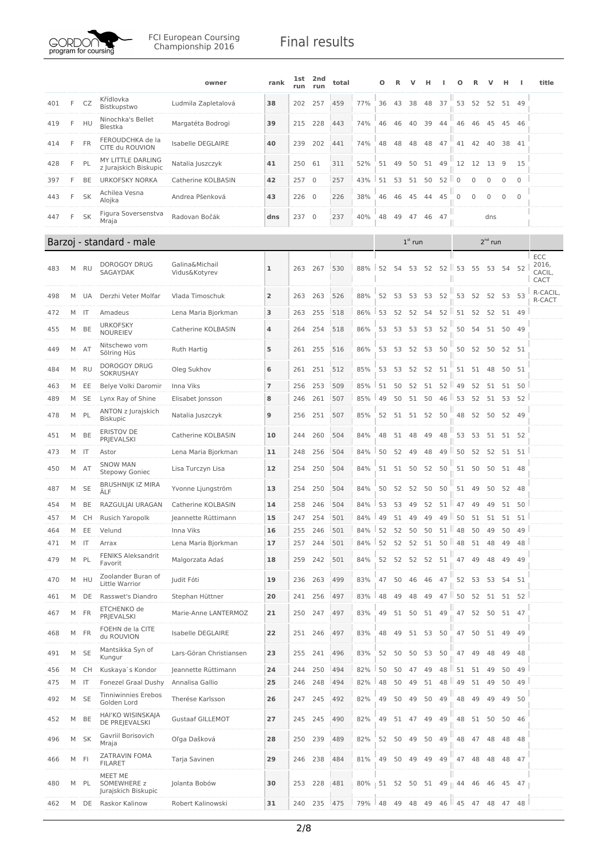

|     |   |                         |                                               | owner                           | rank           | lst<br>run | 2nd<br>run   | total |     | Ο  | R        |           | н  |                  | Ω             |              |              | н           |              | title                          |
|-----|---|-------------------------|-----------------------------------------------|---------------------------------|----------------|------------|--------------|-------|-----|----|----------|-----------|----|------------------|---------------|--------------|--------------|-------------|--------------|--------------------------------|
| 401 | F | CZ                      | Křídlovka<br>Bistkupstwo                      | Ludmila Zapletalová             | 38             | 202        | 257          | 459   | 77% | 36 | 43       | 38        | 48 | 37               |               | 53 52        |              | 52 51       | 49           |                                |
| 419 | F | HU                      | Ninochka's Bellet<br>Blestka                  | Margatéta Bodrogi               | 39             | 215        | 228          | 443   | 74% | 46 | 46       | 40        | 39 | 44               | 46            | 46           | 45           | 45          | 46           |                                |
| 414 | F | FR                      | FEROUDCHKA de la<br>CITE du ROUVION           | Isabelle DEGLAIRE               | 40             | 239        | 202          | 441   | 74% | 48 | 48       | 48        | 48 | 47               | 41            | 42           | 40           | 38          | 41           |                                |
| 428 | F | PL                      | MY LITTLE DARLING<br>z Jurajskich Biskupic    | Natalia Juszczyk                | 41             | 250        | 61           | 311   | 52% | 51 | 49       | 50        | 51 | 49               | 12            | 12           | 13           | 9           | 15           |                                |
| 397 | F | BE                      | <b>URKOFSKY NORKA</b>                         | Catherine KOLBASIN              | 42             | 257        | $\mathbf{0}$ | 257   | 43% | 51 | 53       | 51        | 50 | 52               | ш<br>$\Omega$ | 0            | $\Omega$     | $\Omega$    | 0            |                                |
| 443 | F | SK                      | Achilea Vesna<br>Alojka                       | Andrea Pšenková                 | 43             | 226        | 0            | 226   | 38% | 46 | 46       | 45        | 44 | 45               | 0             | $\mathbf{0}$ | $\mathbf 0$  | $\mathbf 0$ | $\mathbf{0}$ |                                |
| 447 | F | SK                      | Figura Soversenstva<br>Mraja                  | Radovan Bočák                   | dns            | 237        | $\mathbf{0}$ | 237   | 40% | 48 | 49       | 47        | 46 | 47               |               |              | dns          |             |              |                                |
|     |   |                         | Barzoj - standard - male                      |                                 |                |            |              |       |     |    |          | $1st$ run |    |                  |               |              | $2^{nd}$ run |             |              |                                |
| 483 | М | <b>RU</b>               | DOROGOY DRUG<br>SAGAYDAK                      | Galina&Michail<br>Vidus&Kotyrev | 1              | 263        | 267          | 530   | 88% | 52 | 54       | 53        | 52 |                  | 52   53       | 55           | 53           | 54          | 52           | ECC<br>2016,<br>CACIL,<br>CACT |
| 498 | M | UA                      | Derzhi Veter Molfar                           | Vlada Timoschuk                 | $\overline{2}$ | 263        | 263          | 526   | 88% | 52 | 53       | 53        | 53 | 52               | 53            | 52           |              | 52 53 53    |              | R-CACIL,<br>R-CACT             |
| 472 | M | IT                      | Amadeus                                       | Lena Maria Bjorkman             | 3              | 263        | 255          | 518   | 86% | 53 | 52       | 52        | 54 | 52               | 51            | 52           | 52           | 51          | 49           |                                |
| 455 | М | BE                      | <b>URKOFSKY</b><br><b>NOUREIEV</b>            | Catherine KOLBASIN              | 4              | 264        | 254          | 518   | 86% | 53 | 53       | 53        |    | 53 52            | 50            | 54           |              | 51 50 49    |              |                                |
| 449 | M | AT                      | Nitschewo vom<br>Sölring Hüs                  | Ruth Hartig                     | 5              | 261        | 255          | 516   | 86% | 53 | 53       | 52        | 53 | 50               | 50            | 52           | 50           |             | 52 51        |                                |
| 484 | М | RU                      | <b>DOROGOY DRUG</b><br>SOKRUSHAY              | Oleg Sukhov                     | 6              | 261        | 251          | 512   | 85% | 53 | 53       | 52        | 52 | 51               | 51            | 51           | 48           | 50          | 51           |                                |
| 463 | M | EE                      | Belye Volki Daromir                           | Inna Viks                       | 7              | 256        | 253          | 509   | 85% | 51 | 50       | 52        | 51 | $52$ $\parallel$ | 49            | 52           | 51           | 51          | 50           |                                |
| 489 | M | <b>SE</b>               | Lynx Ray of Shine                             | Elisabet Jonsson                | 8              | 246        | 261          | 507   | 85% | 49 | 50       | 51        | 50 | $46$             | 53            | 52           | 51           | 53          | 52           |                                |
| 478 | M | PL                      | ANTON z Jurajskich<br><b>Biskupic</b>         | Natalia Juszczyk                | 9              | 256        | 251          | 507   | 85% | 52 | 51       | 51        | 52 | 50               | 48            | 52           |              | 50 52 49    |              |                                |
| 451 | М | BE                      | ERISTOV DE<br><b>PRJEVALSKI</b>               | Catherine KOLBASIN              | 10             | 244        | 260          | 504   | 84% | 48 | 51       | 48        | 49 | 48               | 53            | 53           | 51           |             | 51 52        |                                |
| 473 | М | $\overline{\mathsf{I}}$ | Astor                                         | Lena Maria Bjorkman             | 11             | 248        | 256          | 504   | 84% | 50 | 52       | 49        | 48 | 49               | 50            | 52           | 52           | 51          | 51           |                                |
| 450 | М | AT                      | <b>SNOW MAN</b><br>Stepowy Goniec             | Lisa Turczyn Lisa               | 12             | 254        | 250          | 504   | 84% | 51 | 51       | 50        | 52 | 50               | 51            | 50           | 50           | 51          | 48           |                                |
| 487 | М | <b>SE</b>               | <b>BRUSHNIJK IZ MIRA</b><br>ÄLF               | Yvonne Ljungström               | 13             | 254        | 250          | 504   | 84% | 50 | 52       | 52        | 50 | 50               | 51            | 49           | 50           | 52          | - 48         |                                |
| 454 | M | BE                      | RAZGULJAI URAGAN                              | Catherine KOLBASIN              | 14             | 258        | 246          | 504   | 84% | 53 | 53       | 49        | 52 | 51 II            | 47            | 49           | 49           | 51          | 50           |                                |
| 457 | M | CH                      | Rusich Yaropolk                               | Jeannette Rüttimann             | 15             | 247        | 254          | 501   | 84% | 49 | 51       | 49        | 49 |                  | 49 50         | 51           | 51           | 51          | 51           |                                |
| 464 | M | EE                      | Velund                                        | Inna Viks                       | 16             | 255        | 246          | 501   | 84% |    | 52       | 50        | 50 | 51               | Ш<br>48       | 50           | 49           | 50          | 49           |                                |
| 471 | М | IT                      | Arrax                                         | Lena Maria Bjorkman             | 17             | 257        | 244          | 501   | 84% | 52 | 52       | 52        | 51 |                  | $50$   48     | 51           | 48           | 49          | 48           |                                |
| 479 | M | PL                      | <b>FENIKS Aleksandrit</b><br>Favorit          | Malgorzata Adaś                 | 18             | 259        | 242          | 501   | 84% | 52 | 52       | 52        | 52 | 51               | 47            | 49           | 48           | 49          | 49           |                                |
| 470 | М | HU                      | Zoolander Buran of<br>Little Warrior          | Judit Fóti                      | 19             | 236        | 263          | 499   | 83% | 47 | 50       | 46        | 46 | 47               | 52            | 53           | 53           | 54          | -51          |                                |
| 461 | М | DE                      | Rasswet's Diandro                             | Stephan Hüttner                 | 20             | 241        | 256          | 497   | 83% | 48 | 49       | 48        | 49 | $47$ $\parallel$ | 50            | 52           | 51           | 51          | 52           |                                |
| 467 | М | FR                      | ETCHENKO de<br>PRJEVALSKI                     | Marie-Anne LANTERMOZ            | 21             | 250        | 247          | 497   | 83% | 49 | 51       | 50        | 51 | 49               | 47            | 52           | 50           | 51          | 47           |                                |
| 468 | M | <b>FR</b>               | FOEHN de la CITE<br>du ROUVION                | Isabelle DEGLAIRE               | 22             | 251        | 246          | 497   | 83% | 48 | 49       | 51        | 53 | 50               | 47            | 50           | 51           | 49          | 49           |                                |
| 491 | М | <b>SE</b>               | Mantsikka Syn of<br>Kungur                    | Lars-Göran Christiansen         | 23             | 255        | 241          | 496   | 83% | 52 | 50       | 50        | 53 | 50               | 47            | 49           | 48           | 49          | 48           |                                |
| 456 | M | СH                      | Kuskaya`s Kondor                              | Jeannette Rüttimann             | 24             | 244        | 250          | 494   | 82% | 50 | 50       | 47        | 49 | 48               | ш<br>51       | 51           | 49           | 50          | 49           |                                |
| 475 | M | $\mathsf{I}$            | Fonezel Graal Dushy                           | Annalisa Gallio                 | 25             | 246        | 248          | 494   | 82% | 48 | 50       | 49        | 51 | 48               | ш<br>49       | 51           | 49           | 50          | 49           |                                |
| 492 | М | <b>SE</b>               | <b>Tinniwinnies Erebos</b><br>Golden Lord     | Therése Karlsson                | 26             | 247        | 245          | 492   | 82% | 49 | 50       | 49        | 50 | 49               | 48            | 49           | 49           | 49          | 50           |                                |
| 452 | М | BE                      | HAI'KO WISINSKAJA<br>DE PREJEVALSKI           | <b>Gustaaf GILLEMOT</b>         | 27             | 245        | 245          | 490   | 82% | 49 | 51       | - 47      | 49 | 49               | 48            | 51           | 50           | 50          | 46           |                                |
| 496 | М | <b>SK</b>               | Gavriil Borisovich<br>Mraja                   | Oľga Dašková                    | 28             | 250        | 239          | 489   | 82% | 52 | 50       | 49        | 50 | 49               | 48            | 47           | 48           | 48          | 48           |                                |
| 466 |   | M FI                    | ZATRAVIN FOMA<br><b>FILARET</b>               | Tarja Savinen                   | 29             | 246        | 238          | 484   | 81% | 49 | 50       | 49        | 49 | 49               | 47            | 48           | 48           | 48          | - 47         |                                |
| 480 |   | M PL                    | MEET ME<br>SOMEWHERE z<br>Jurajskich Biskupic | Jolanta Bobów                   | 30             | 253        | 228          | 481   | 80% |    | 51 52 50 |           |    | 51 49    44      |               | 46           |              | 46 45 47    |              |                                |
| 462 | M | DE                      | Raskor Kalinow                                | Robert Kalinowski               | 31             | 240        | 235          | 475   | 79% | 48 | 49       | 48        | 49 |                  | $46$   $45$   | 47           | 48           | 47          | 48           |                                |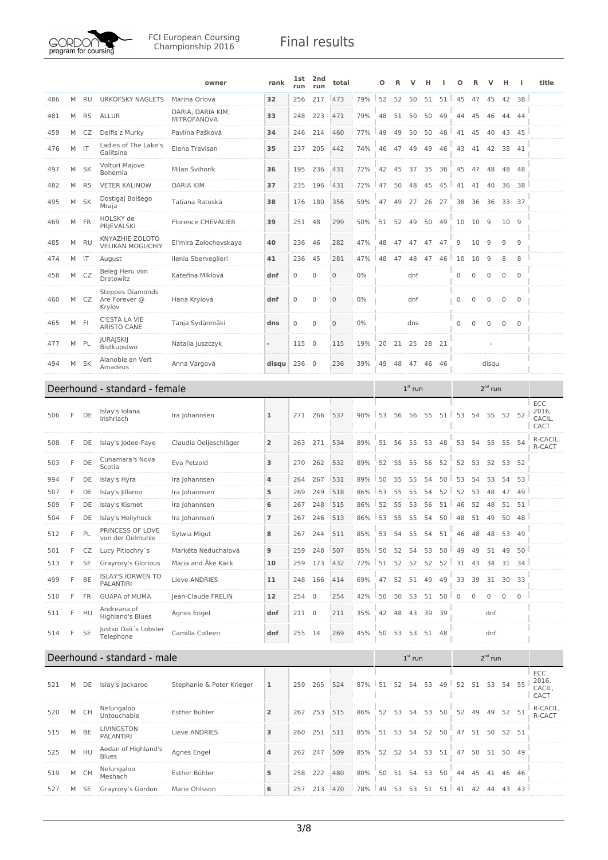

|     |   |           |                                                    | owner                            | rank           | 1st<br>run  | 2nd<br>run     | total        |     | О  |    |             |       |                            |                          |             |                  | н           |                     | title                   |
|-----|---|-----------|----------------------------------------------------|----------------------------------|----------------|-------------|----------------|--------------|-----|----|----|-------------|-------|----------------------------|--------------------------|-------------|------------------|-------------|---------------------|-------------------------|
| 486 | M | <b>RU</b> | <b>URKOFSKY NAGLETS</b>                            | Marina Orlova                    | 32             | 256         | 217            | 473          | 79% | 52 | 52 | 50          | 51    | 51                         | 45                       | 47          | 45               | 42          | 38                  |                         |
| 481 | M | RS        | <b>ALLUR</b>                                       | DARIA, DARIA KIM,<br>MITROFANOVA | 33             | 248         | 223            | 471          | 79% | 48 | 51 | 50          | 50    | 49                         | 44                       | 45          | 46               | 44          | 44                  |                         |
| 459 | M | CZ        | Delfis z Murky                                     | Pavlína Pašková                  | 34             | 246         | 214            | 460          | 77% | 49 | 49 | 50          | 50    |                            | $48$   $41$              | 45          | 40               | 43          | 45                  |                         |
| 476 | M | -IT       | Ladies of The Lake's<br>Galitsine                  | Elena Trevisan                   | 35             | 237         | 205            | 442          | 74% | 46 | 47 | 49          | 49    | 46                         | 43                       | 41          | 42               | 38          | 41                  |                         |
| 497 | M | <b>SK</b> | Volturi Majove<br>Bohemia                          | Milan Švihorík                   | 36             | 195         | 236            | 431          | 72% | 42 | 45 | 37          | 35    | 36                         | 45                       | 47          | 48               | 48          | 48                  |                         |
| 482 | M | <b>RS</b> | <b>VETER KALINOW</b>                               | <b>DARIA KIM</b>                 | 37             | 235         | 196            | 431          | 72% | 47 | 50 | 48          | 45    | $45$   $41$                |                          | 41          | 40               | 36          | 38                  |                         |
| 495 | M | <b>SK</b> | Dostigaj Bolšego<br>Mraja                          | Tatiana Ratuská                  | 38             | 176         | 180            | 356          | 59% | 47 | 49 | 27          | 26    | 27                         | 38                       | 36          | 36               | 33 37       |                     |                         |
| 469 | M | FR        | HOLSKY de<br><b>PRJEVALSKI</b>                     | <b>Florence CHEVALIER</b>        | 39             | 251         | 48             | 299          | 50% | 51 | 52 | 49          | 50    | 49                         | 10                       | 10          | 9                | 10          | 9                   |                         |
| 485 | M | RU        | KNYAZHIE ZOLOTO<br><b>VELIKAN MOGUCHIY</b>         | El'mira Zolochevskaya            | 40             | 236         | 46             | 282          | 47% | 48 | 47 | 47          | 47    | 47                         | 9                        | 10          | 9                | 9           | 9                   |                         |
| 474 |   | M IT      | August                                             | Ilenia Sberveglieri              | 41             | 236         | 45             | 281          | 47% | 48 | 47 | 48          | 47    | 46                         | u<br>10                  | 10          | 9                | 8           | 8                   |                         |
| 458 | M | CZ        | Beleg Heru von<br>Dretowitz                        | Kateřina Miklová                 | dnf            | $\mathbf 0$ | 0              | $\mathbf 0$  | 0%  |    |    | dnf         |       |                            | 0                        | $\mathbf 0$ | $\mathbf 0$      | $\mathbf 0$ | $\mathsf{O}\xspace$ |                         |
| 460 | M | CZ        | <b>Steppes Diamonds</b><br>Are Forever @<br>Krylov | Hana Krylová                     | dnf            | $\mathbf 0$ | 0              | $\mathbf 0$  | 0%  |    |    | dnf         |       |                            | Ш<br>$\overline{0}$<br>Ш | 0           | $\mathbf 0$      | 0           | $\mathbf 0$         |                         |
| 465 | M | -FI       | C'ESTA LA VIE<br><b>ARISTO CANE</b>                | Tanja Sydänmäki                  | dns            | $\bf 0$     | 0              | $\mathbf{0}$ | 0%  |    |    | dns         |       |                            | $\mathbf 0$              | 0           | $\mathbf 0$      | $\mathbf 0$ | $\mathbf 0$         |                         |
| 477 | M | PL        | <b>JURAJSKIJ</b><br>Bistkupstwo                    | Natalia Juszczyk                 | ÷,             | 115         | $\overline{0}$ | 115          | 19% | 20 | 21 | 25          | 28    | 21                         |                          |             |                  |             |                     |                         |
| 494 | М | <b>SK</b> | Alanoble en Vert<br>Amadeus                        | Anna Vargová                     | disqu          | 236         | $\mathbf 0$    | 236          | 39% | 49 | 48 | 47          | 46    | 46                         |                          |             | disqu            |             |                     |                         |
|     |   |           | Deerhound - standard - female                      |                                  |                |             |                |              |     |    |    | $1st$ run   |       |                            |                          |             | $2nd$ run        |             |                     |                         |
|     |   |           |                                                    |                                  |                |             |                |              |     |    |    |             |       |                            |                          |             |                  |             |                     | ECC                     |
| 506 | F | DE        | Islay's Iolana<br>Inshriach                        | Ira Johannsen                    | 1              | 271         | 266            | 537          | 90% | 53 | 56 | 56          | 55    | 51                         | 53<br>Ш                  | 54          | 55               | 52          | 52                  | 2016,<br>CACIL,<br>CACT |
| 508 | F | DE        | Islay's Jodee-Faye                                 | Claudia Oeljeschläger            | $\overline{2}$ | 263         | 271            | 534          | 89% | 51 | 56 | 55          | 53 48 |                            | 53                       | 54          | 55               | 55          | 54                  | R-CACIL,<br>R-CACT      |
| 503 | F | DE        | Cunamara's Nova<br>Scotia                          | Eva Petzold                      | 3              | 270         | 262            | 532          | 89% | 52 | 55 | 55          | 56    | 52                         | 52                       | 53          | 52               |             | 53 52               |                         |
| 994 | F | DE        | Islay's Hyra                                       | Ira Johannsen                    | 4              | 264         | 267            | 531          | 89% | 50 | 55 | 55          | 54    | $50$ $\parallel$           | 53                       | 54          | 53               | 54          | 53                  |                         |
| 507 | F | DE        | Islay's Jillaroo                                   | Ira Johannsen                    | 5              | 269         | 249            | 518          | 86% | 53 | 55 | 55          | 54    | 52 II                      | 52                       | 53          | 48               | 47          | 49                  |                         |
| 509 | F | DE        | Islay's Kismet                                     | Ira Johannsen                    | 6              | 267         | 248            | 515          | 86% | 52 | 55 | 53          | 56    |                            | $51$   46                | 52          | 48               | 51          | 51                  |                         |
| 504 | F | DE        | Islay's Hollyhock                                  | Ira Johannsen                    | $\overline{7}$ | 267         | 246            | 513          | 86% | 53 | 55 | 55          | 54    |                            | $50$ 48                  | 51          | 49               | 50          | 48                  |                         |
| 512 | F | PL        | PRINCESS OF LOVE<br>von der Oelmuhle               | Sylwia Migut                     | 8              | 267         | 244            | 511          | 85% | 53 | 54 | 55          | 54    | 51                         | 46                       | 48          | 48               |             | 53 49               |                         |
| 501 | F | CZ        | Lucy Pitlochry's                                   | Markéta Neduchalová              | 9              | 259         | 248            | 507          | 85% | 50 | 52 | 54          | 53    |                            | 50   49                  | 49          | 51               | 49          | 50                  |                         |
| 513 | F | <b>SE</b> | Grayrory's Glorious                                | Maria and Åke Käck               | 10             | 259         | 173            | 432          | 72% | 51 |    | 52 52       |       | $52 \quad 52 \parallel 31$ |                          | 43          | 34               |             | 31 34               |                         |
| 499 | F | BE        | <b>ISLAY'S IORWEN TO</b><br><b>PALANTIRI</b>       | Lieve ANDRIES                    | 11             | 248         | 166            | 414          | 69% | 47 | 52 | 51          | 49    | 49                         | 33                       | 39          | 31               | 30          | 33                  |                         |
| 510 | F | FR        | <b>GUAPA of MUMA</b>                               | Jean-Claude FRELIN               | 12             | 254         | $\overline{0}$ | 254          | 42% | 50 | 50 | 53          | 51    | $50$    0                  |                          | $\mathbf 0$ | $\boldsymbol{0}$ | $\mathbf 0$ | $\mathsf{O}\xspace$ |                         |
| 511 | F | HU        | Andreana of<br><b>Highland's Blues</b>             | Ágnes Engel                      | dnf            | 211 0       |                | 211          | 35% | 42 | 48 | 43          | 39    | 39                         |                          |             | dnf              |             |                     |                         |
| 514 | F | <b>SE</b> | Justso Dali's Lobster<br>Telephone                 | Camilla Colleen                  | dnf            | 255         | 14             | 269          | 45% | 50 |    | 53 53 51 48 |       |                            |                          |             | dnf              |             |                     |                         |
|     |   |           | Deerhound - standard - male                        |                                  |                |             |                |              |     |    |    | $1st$ run   |       |                            |                          |             | $2nd$ run        |             |                     |                         |
|     |   |           |                                                    |                                  |                |             |                |              |     |    |    |             |       |                            | Ш                        |             |                  |             |                     | ECC                     |
| 521 | M | DE        | Islay's Jackaroo                                   | Stephanie & Peter Krieger        | 1              | 259         | 265            | 524          | 87% | 51 | 52 | 54          | 53    | Ш                          | $49$   52                | 51          | 53               |             | 54 55               | 2016,<br>CACIL,<br>CACT |
| 520 | М | CH        | Nelungaloo<br>Untouchable                          | Esther Bühler                    | $\overline{2}$ | 262         | 253            | 515          | 86% |    |    | 52 53 54 53 |       | 50                         | 52                       | 49          | 49               |             | 52 51               | R-CACIL,<br>R-CACT      |
| 515 |   |           |                                                    |                                  |                |             |                |              |     |    |    | 51 53 54    |       | 52 50                      | 47                       |             |                  |             |                     |                         |
|     | M | BE        | LIVINGSTON<br>PALANTIRI                            | Lieve ANDRIES                    | 3              | 260         | 251            | 511          | 85% |    |    |             |       |                            |                          |             |                  | 51 50 52 51 |                     |                         |
| 525 |   | M HU      | Aedan of Highland's<br>Blues                       | Ágnes Engel                      | 4              | 262         | 247            | 509          | 85% | 52 | 52 | 54          | 53    | 51                         |                          | 47 50       | 51               |             | 50 49               |                         |
| 519 | M | CH        | Nelungaloo<br>Meshach                              | Esther Bühler                    | 5              | 258         | 222            | 480          | 80% | 50 |    | 51 54 53    |       | 50                         | 44                       | 45          | 41               |             | 46 46               |                         |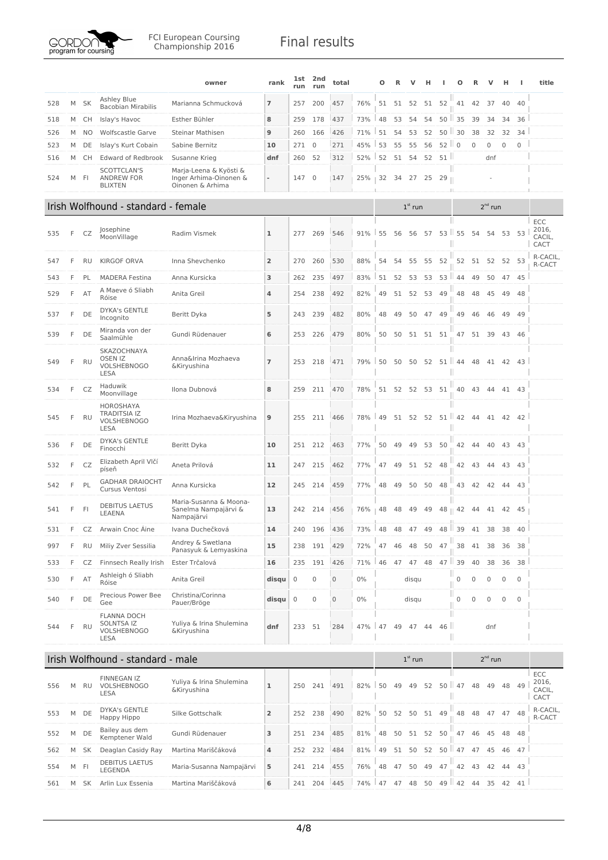

|     |    |           |                                                                       | owner                                                                | rank           | <b>1st</b><br>run | 2nd<br>run       | total       |       | Ο  | R        |                | н        |                               |                   |                    |                  | н           | ш            | title                          |
|-----|----|-----------|-----------------------------------------------------------------------|----------------------------------------------------------------------|----------------|-------------------|------------------|-------------|-------|----|----------|----------------|----------|-------------------------------|-------------------|--------------------|------------------|-------------|--------------|--------------------------------|
| 528 | M  | SK        | Ashley Blue<br><b>Bacobian Mirabilis</b>                              | Marianna Schmucková                                                  | 7              | 257               | 200              | 457         | 76%   |    | 51 51 52 |                |          | 51 52                         | 41                | 42                 | 37               | 40          | 40           |                                |
| 518 | M  | СH        | Islay's Havoc                                                         | Esther Bühler                                                        | 8              | 259               | 178              | 437         | 73%   | 48 | 53       | 54             | 54       | $50$ $\parallel$ 35           |                   | 39                 | 34               | 34          | 36           |                                |
| 526 | M  | NO        | Wolfscastle Garve                                                     | Steinar Mathisen                                                     | 9              | 260               | 166              | 426         | 71%   | 51 | 54       | 53             | 52       |                               | $50$   30         | 38                 | 32               | 32          | 34           |                                |
| 523 | M  | DE        | Islay's Kurt Cobain                                                   | Sabine Bernitz                                                       | 10             | 271               | $\mathbf 0$      | 271         | 45%   | 53 | 55       | 55             | 56       | $52$    0                     |                   | $\mathbf 0$        | $\boldsymbol{0}$ | $\mathbf 0$ | $\mathbf{0}$ |                                |
| 516 | M  | СH        | <b>Edward of Redbrook</b>                                             | Susanne Krieg                                                        | dnf            | 260               | 52               | 312         | 52%   | 52 | 51       | 54             | 52       | 51                            |                   |                    | dnf              |             |              |                                |
| 524 |    | M FI      | SCOTTCLAN'S<br><b>ANDREW FOR</b><br><b>BLIXTEN</b>                    | Marja-Leena & Kyösti &<br>Inger Arhima-Oinonen &<br>Oinonen & Arhima | ÷              | 147 0             |                  | 147         | 25%   |    |          | 32 34 27 25 29 |          |                               | Ш                 |                    |                  |             |              |                                |
|     |    |           | Irish Wolfhound - standard - female                                   |                                                                      |                |                   |                  |             |       |    |          | $1st$ run      |          |                               |                   |                    | $2^{nd}$ run     |             |              |                                |
| 535 | F  | CZ        | Josephine<br>MoonVillage                                              | Radim Vismek                                                         | ı              | 277               | 269              | 546         | 91%   | 55 | 56       | 56 57          |          | $53$   55                     |                   | 54                 | 54               | 53          | 53           | ECC<br>2016,<br>CACIL,<br>CACT |
| 547 | F  | <b>RU</b> | <b>KIRGOF ORVA</b>                                                    | Inna Shevchenko                                                      | $\overline{2}$ | 270               | 260              | 530         | 88%   | 54 | 54       | 55             | 55       | 52                            | 52                |                    | 51 52 52 53      |             |              | R-CACIL,<br>R-CACT             |
| 543 | F  | PL        | <b>MADERA Festina</b>                                                 | Anna Kursicka                                                        | з              | 262               | 235              | 497         | 83%   | 51 | 52       | 53             | 53       |                               | $53$   44         | 49                 | 50               |             | 47 45        |                                |
| 529 | F  | AT        | A Maeve ó Sliabh<br>Róise                                             | Anita Greil                                                          | 4              | 254               | 238              | 492         | 82%   | 49 | 51       | 52             | 53       | 49                            | 48                | 48                 | 45               | 49          | 48           |                                |
| 537 | F  | DE        | <b>DYKA's GENTLE</b><br>Incognito                                     | Beritt Dyka                                                          | 5              | 243               | 239              | 482         | 80%   | 48 | 49       | 50             | 47       | 49                            | 49                | 46                 | 46               | 49          | 49           |                                |
| 539 | F  | DE        | Miranda von der<br>Saalmühle                                          | Gundi Rüdenauer                                                      | 6              | 253               | 226              | 479         | 80%   | 50 | 50       |                | 51 51 51 |                               | 47                |                    | 51 39            |             | 43 46        |                                |
| 549 | F  | <b>RU</b> | SKAZOCHNAYA<br><b>OSEN IZ</b><br><b>VOLSHEBNOGO</b><br><b>LESA</b>    | Anna&Irina Mozhaeva<br>&Kiryushina                                   | 7              | 253               | 218              | 471         | 79%   | 50 | 50       | 50             |          | 52 51 $\parallel$ 44 48       |                   |                    | 41 42 43         |             |              |                                |
| 534 | F  | CZ        | Haduwik<br>Moonvillage                                                | Ilona Dubnová                                                        | 8              | 259               | 211              | 470         | 78%   |    |          | 51 52 52 53 51 |          |                               |                   | 40  43  44  41  43 |                  |             |              |                                |
| 545 | F  | <b>RU</b> | HOROSHAYA<br><b>TRADITSIA IZ</b><br><b>VOLSHEBNOGO</b><br>LESA        | Irina Mozhaeva&Kiryushina                                            | 9              | 255               | 211              | 466         | 78%   | 49 | 51       | 52             | 52       |                               | $51 \parallel 42$ | -44                | 41               | 42          | 42           |                                |
| 536 | F  | DE        | <b>DYKA's GENTLE</b><br>Finocchi                                      | Beritt Dyka                                                          | 10             | 251               | 212              | 463         | 77%   | 50 | 49       | 49             | 53       | 50                            | 42                | 44                 | 40               |             | 43 43        |                                |
| 532 | F  | CZ        | Elizabeth April Vlčí<br>píseň                                         | Aneta Prilová                                                        | 11             | 247               | 215              | 462         | 77%   | 47 | 49       | 51             | 52       | 48                            | 42                | 43                 | 44               |             | 43 43        |                                |
| 542 | F  | PL        | <b>GADHAR DRAIOCHT</b><br>Cursus Ventosi                              | Anna Kursicka                                                        | 12             | 245               | 214              | 459         | 77%   | 48 | 49       | 50             |          | 50 48                         | 43                | 42                 | 42 44 43         |             |              |                                |
| 541 | F  | FI        | <b>DEBITUS LAETUS</b><br>LEAENA                                       | Maria-Susanna & Moona-<br>Sanelma Nampajärvi &<br>Nampajärvi         | 13             | 242               | 214              | 456         | 76%   | 48 | 48       | 49             | 49       |                               | $48 \parallel 42$ | -44                |                  | 41 42       | 45           |                                |
| 531 | E. |           | CZ Arwain Cnoc Áine                                                   | Ivana Duchečková                                                     | 14             |                   | 240 196          | 436         | 73%   |    |          |                |          | 48 48 47 49 48 39 41 38 38 40 |                   |                    |                  |             |              |                                |
| 997 | F  | <b>RU</b> | Miliy Zver Sessilia                                                   | Andrey & Swetlana<br>Panasyuk & Lemyaskina                           | 15             | 238               | 191              | 429         | 72%   | 47 | 46       | 48             | 50       | 47                            | 38                |                    | 41 38            | 36          | 38           |                                |
| 533 | F  | CZ        | Finnsech Really Irish                                                 | Ester Trčalová                                                       | 16             | 235               | 191              | 426         | 71%   | 46 | 47       | 47             | 48       | $47$   39                     |                   | 40                 | 38               | 36          | 38           |                                |
| 530 | F  | AT        | Ashleigh ó Sliabh<br>Róise                                            | Anita Greil                                                          | disqu          | $\mathbf 0$       | $\mathbf 0$      | 0           | $0\%$ |    |          | disqu          |          |                               | $\boldsymbol{0}$  | $\mathbf 0$        | $\mathbf 0$      | 0           | $\mathbf{0}$ |                                |
| 540 | F  | DE        | Precious Power Bee<br>Gee                                             | Christina/Corinna<br>Pauer/Bröge                                     | disqu          | $\overline{0}$    | $\boldsymbol{0}$ | $\mathbf 0$ | 0%    |    |          | disqu          |          |                               | Ш<br>$\mathbf 0$  | $\mathbf 0$        | $\bf 0$          | 0           | $\mathbf 0$  |                                |
| 544 | F  | <b>RU</b> | <b>FLANNA DOCH</b><br>SOLNTSA IZ<br><b>VOLSHEBNOGO</b><br><b>LESA</b> | Yuliya & Irina Shulemina<br>&Kiryushina                              | dnf            | 233               | 51               | 284         | 47%   | 47 | 49       | 47             | 44       | 46                            | Ш                 |                    | dnf              |             |              |                                |
|     |    |           | Irish Wolfhound - standard - male                                     |                                                                      |                |                   |                  |             |       |    |          | $1st$ run      |          |                               |                   |                    | $2nd$ run        |             |              |                                |
| 556 |    | M RU      | FINNEGAN IZ<br><b>VOLSHEBNOGO</b><br>LESA                             | Yuliya & Irina Shulemina<br>&Kiryushina                              | $\mathbf{1}$   | 250               | 241              | 491         | 82%   | 50 | 49       | 49             | 52       | $50$   47                     |                   | 48                 | 49               |             | 48 49        | ECC<br>2016,<br>CACIL,<br>CACT |
| 553 | М  | DE        | DYKA's GENTLE<br>Happy Hippo                                          | Silke Gottschalk                                                     | $\overline{2}$ | 252               | 238              | 490         | 82%   | 50 | 52       | 50             |          | 51 49                         | 48                | 48                 | 47 47 48         |             |              | R-CACIL,<br>R-CACT             |
| 552 | M  | DE        | Bailey aus dem<br>Kemptener Wald                                      | Gundi Rüdenauer                                                      | з              |                   | 251 234          | 485         | 81%   | 48 | 50       | 51             | 52       | 50                            | 47                | 46                 | 45               | 48          | 48           |                                |
| 562 | M  | SK        | Deaglan Casidy Ray                                                    | Martina Mariščáková                                                  | 4              | 252               | 232              | 484         | 81%   | 49 | 51       | 50             | 52       | $50$ $147$                    |                   | 47                 | 45               | 46          | 47           |                                |
| 554 | M  | - FI      | <b>DEBITUS LAETUS</b><br>LEGENDA                                      | Maria-Susanna Nampajärvi                                             | 5              | 241               | 214              | 455         | 76%   | 48 | 47       | 50             | 49       | 47                            | 42                | 43                 | 42               | 44          | 43           |                                |
| 561 |    | M SK      | Arlin Lux Essenia                                                     | Martina Mariščáková                                                  | 6              |                   | 241 204          | 445         | 74%   |    | 47 47 48 |                | 50       |                               | $49$ 42           | 44                 |                  |             | 35 42 41     |                                |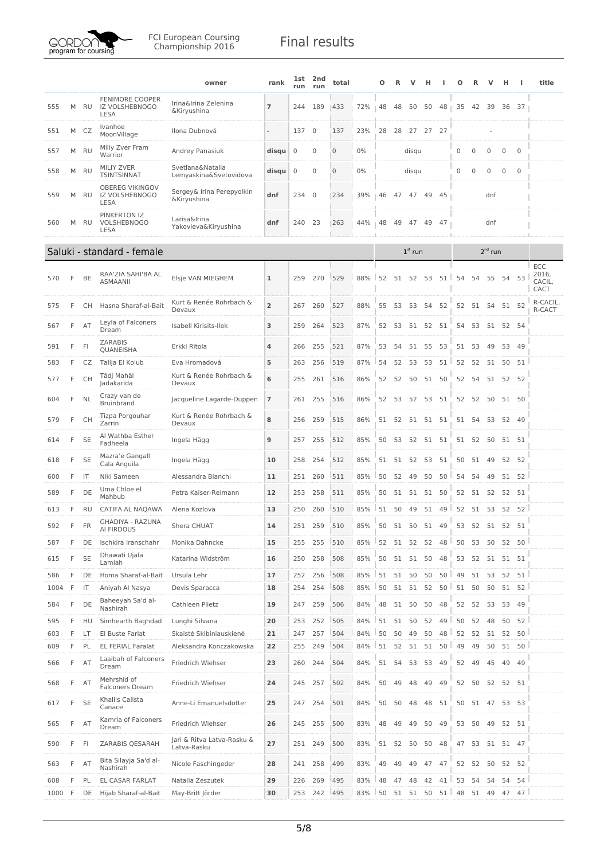

|      |   |              |                                                                | owner                                      | rank           | lst<br>run  | 2nd<br>run     | total       |     | Ω  | R        | ν         | н     | ш               | О         | R              | ν         | н        | ш               | title                   |
|------|---|--------------|----------------------------------------------------------------|--------------------------------------------|----------------|-------------|----------------|-------------|-----|----|----------|-----------|-------|-----------------|-----------|----------------|-----------|----------|-----------------|-------------------------|
| 555  | M | RU           | <b>FENIMORE COOPER</b><br>IZ VOLSHEBNOGO<br>LESA               | Irina&Irina Zelenina<br>&Kiryushina        | 7              | 244         | 189            | 433         | 72% | 48 | 48       | 50        | 50    | 48    35        |           | 42             | 39        | 36       | 37              |                         |
| 551  | M | CZ           | Ivanhoe<br>MoonVillage                                         | Ilona Dubnová                              |                | 137         | $\mathbf 0$    | 137         | 23% | 28 | 28       |           | 27 27 | 27              |           |                |           |          |                 |                         |
| 557  | M | RU           | Miliy Zver Fram<br>Warrior                                     | Andrey Panasiuk                            | disqu          | $\mathbf 0$ | 0              | 0           | 0%  |    |          | disqu     |       |                 | 0         | 0              | 0         | 0        | $\mathbf 0$     |                         |
| 558  | M | RU           | <b>MILIY ZVER</b><br><b>TSINTSINNAT</b>                        | Svetlana&Natalia<br>Lemyaskina&Svetovidova | disqu          | $\mathbf 0$ | $\mathbf 0$    | $\mathbf 0$ | 0%  |    |          | disqu     |       |                 | 0         | $\mathbf{0}$   | 0         | 0        | $\mathbf 0$     |                         |
| 559  | M | RU           | <b>OBEREG VIKINGOV</b><br><b>IZ VOLSHEBNOGO</b><br><b>LESA</b> | Sergey& Irina Perepyolkin<br>&Kiryushina   | dnf            | 234         | $\overline{0}$ | 234         | 39% | 46 | 47       |           | 47 49 | 45              | Ш         |                | dnf       |          |                 |                         |
| 560  | M | RU           | PINKERTON IZ<br>VOLSHEBNOGO<br><b>LESA</b>                     | Larisa&Irina<br>Yakovleva&Kiryushina       | dnf            | 240         | 23             | 263         | 44% | 48 | 49       |           | 47 49 | 47              |           |                | dnf       |          |                 |                         |
|      |   |              | Saluki - standard - female                                     |                                            |                |             |                |             |     |    |          | $1st$ run |       |                 |           |                | $2nd$ run |          |                 |                         |
|      |   |              |                                                                |                                            |                |             |                |             |     |    |          |           |       |                 |           |                |           |          |                 | ECC                     |
| 570  | F | BE           | RAA'ZIA SAHI'BA AL<br>ASMAANII                                 | Elsje VAN MIEGHEM                          | ı              | 259         | 270            | 529         | 88% | 52 | 51       | 52        | 53    | $51$   $54$     |           | 54             | 55        | 54       | 53              | 2016,<br>CACIL,<br>CACT |
| 575  | F | <b>CH</b>    | Hasna Sharaf-al-Bait                                           | Kurt & Renée Rohrbach &<br>Devaux          | $\overline{2}$ | 267         | 260            | 527         | 88% | 55 | 53       | 53        |       | 54 52           | 52        | 51             | 54 51 52  |          |                 | R-CACIL,<br>R-CACT      |
| 567  | F | AT           | Leyla of Falconers<br>Dream                                    | Isabell Kirisits-Ilek                      | з              | 259         | 264            | 523         | 87% | 52 | 53       | 51        | 52 51 |                 | 54        | 53             |           | 51 52 54 |                 |                         |
| 591  | F | F            | <b>ZARABIS</b><br>QUANEISHA                                    | Erkki Ritola                               | 4              | 266         | 255            | 521         | 87% | 53 | 54       | 51        | 55    | 53              | 51        | - 53           | 49        | 53       | 49              |                         |
| 583  | F | CZ           | Talija El Kolub                                                | Eva Hromadová                              | 5              | 263         | 256            | 519         | 87% | 54 | 52       | 53        | 53    | 51              | 52        | 52             | 51        | 50       | 51              |                         |
| 577  | F | СH           | Tâdj Mahâl<br>Jadakarida                                       | Kurt & Renée Rohrbach &<br>Devaux          | 6              | 255         | 261            | 516         | 86% | 52 | 52       | 50        | 51 50 |                 | 52        | 54             | 51 52 52  |          |                 |                         |
| 604  | F | <b>NL</b>    | Crazy van de<br><b>Bruinbrand</b>                              | Jacqueline Lagarde-Duppen                  | 7              | 261         | 255            | 516         | 86% | 52 | 53       | 52        | 53    | 51              | 52        | 52             | 50        |          | 51 50           |                         |
| 579  | F | <b>CH</b>    | Tizpa Porgouhar<br>Zarrin                                      | Kurt & Renée Rohrbach &<br>Devaux          | 8              | 256         | 259            | 515         | 86% |    | 51 52    | 51 51 51  |       |                 | 51        | 54             | 53 52     |          | 49              |                         |
| 614  | F | <b>SE</b>    | Al Wathba Esther<br>Fadheela                                   | Ingela Hägg                                | 9              | 257         | 255            | 512         | 85% | 50 | 53       | 52        |       | 51 51           | 51        | 52             | - 50      |          | 51 51           |                         |
| 618  | F | <b>SE</b>    | Mazra'e Gangall<br>Cala Anguila                                | Ingela Hägg                                | 10             | 258         | 254            | 512         | 85% | 51 | 51       | 52        | 53    | 51              | 50        | 51             | 49        | 52       | - 52            |                         |
| 600  | F | IT           | Niki Sameen                                                    | Alessandra Bianchi                         | 11             | 251         | 260            | 511         | 85% | 50 | 52       | 49        | 50    | 50              | ш<br>54   | 54             | 49        | 51       | 52              |                         |
| 589  | F | DE           | Uma Chloe el<br>Mahbub                                         | Petra Kaiser-Reimann                       | 12             | 253         | 258            | 511         | 85% | 50 | 51       | 51        | 51    | 50              | 52        | 51             | 52        | 52       | 51              |                         |
| 613  | F | <b>RU</b>    | CATIFA AL NAQAWA                                               | Alena Kozlova                              | 13             | 250         | 260            | 510         | 85% | 51 | 50       | 49        | 51    | 49              | 52        | 51             | 53        | 52       | 52              |                         |
| 592  | F | <b>FR</b>    | <b>GHADIYA - RAZUNA</b><br>AI FIRDOUS                          | Shera CHUAT                                | 14             | 251         | 259            | 510         | 85% | 50 | 51       | 50        | 51    | 49              | 53        | 52             | 51        | 52       | 51              |                         |
| 587  | F | DE           | Ischkira Iranschahr                                            | Monika Dahncke                             | 15             | 255         | 255            | 510         | 85% | 52 | 51       | 52        | 52    |                 | 48   50   | 53             | 50        |          | 52 50           |                         |
| 615  | F | <b>SE</b>    | Dhawati Ujala<br>Lamiah                                        | Katarina Widström                          | 16             | 250         | 258            | 508         | 85% | 50 |          | 51 51     | 50    | 48              | 53        | 52             | 51        | 51       | 51              |                         |
| 586  | F | DE           | Homa Sharaf-al-Bait                                            | Ursula Lehr                                | 17             | 252         | 256            | 508         | 85% |    | 51 51 50 |           |       | $50$ $50$ $149$ |           | 51 53 52 51    |           |          |                 |                         |
| 1004 | F | $\mathsf{I}$ | Aniyah Al Nasya                                                | Devis Sparacca                             | 18             | 254         | 254            | 508         | 85% | 50 | 51       | 51        | 52    | $50$   $51$     |           | 50             |           |          | 50 51 52        |                         |
| 584  | F | DE           | Baheeyah Sa'd al-<br>Nashirah                                  | Cathleen Plietz                            | 19             | 247         | 259            | 506         | 84% | 48 | 51       | 50        | 50    | 48              | 52        | 52             | 53        | 53       | 49              |                         |
| 595  | F | HU           | Simhearth Baghdad                                              | Lunghi Silvana                             | 20             | 253         | 252            | 505         | 84% | 51 | 51       | 50        | 52    |                 | $49$   50 | 52             | 48        | 50       | 52              |                         |
| 603  | F | LT           | El Buste Farlat                                                | Skaistė Skibiniauskienė                    | 21             | 247         | 257            | 504         | 84% | 50 | 50       | 49        | 50    |                 | 48 52     | 52             | 51        | 52       | 50              |                         |
| 609  | F | PL           | <b>EL FERIAL Faralat</b>                                       | Aleksandra Konczakowska                    | 22             | 255         | 249            | 504         | 84% | 51 | 52       | 51        | 51    | $50$   49       |           | 49             | 50        | 51       | 50              |                         |
| 566  | F | AT           | Laaibah of Falconers<br>Dream                                  | Friedrich Wiehser                          | 23             | 260         | 244            | 504         | 84% | 51 | 54       | 53        | 53    | 49              | 52        | 49             | 45        | 49       | 49              |                         |
| 568  | F | AT           | Mehrshid of<br><b>Falconers Dream</b>                          | Friedrich Wiehser                          | 24             | 245         | 257            | 502         | 84% | 50 | 49       | 48        | 49    | 49              |           | 52 50 52 52 51 |           |          |                 |                         |
| 617  | F | <b>SE</b>    | Khalils Calista<br>Canace                                      | Anne-Li Emanuelsdotter                     | 25             | 247         | 254            | 501         | 84% | 50 | 50       | 48        | 48    | 51              | 50        | 51 47 53 53    |           |          |                 |                         |
| 565  | F | AT           | Kamria of Falconers<br>Dream                                   | Friedrich Wiehser                          | 26             | 245         | 255            | 500         | 83% | 48 | 49       | 49        | 50    | 49              | 53        | 50             | 49        |          | 52 51           |                         |
| 590  | F | FI           | ZARABIS QESARAH                                                | Jari & Ritva Latva-Rasku &<br>Latva-Rasku  | 27             |             | 251 249        | 500         | 83% |    | 51 52    | 50        | 50    | 48              | 47        | 53             | 51 51 47  |          |                 |                         |
| 563  | F | AT           | Bita Silayja Sa'd al-<br>Nashirah                              | Nicole Faschingeder                        | 28             | 241         | 258            | 499         | 83% | 49 | 49       | 49        |       | 47 47           | 52        | 52             | 50        | 52       | 52              |                         |
| 608  | F | PL           | EL CASAR FARLAT                                                | Natalia Zeszutek                           | 29             | 226         | 269            | 495         | 83% | 48 | 47       | 48        | 42    |                 | $41$   53 | 54             | 54        | 54       | 54              |                         |
| 1000 | F | DE           | Hijab Sharaf-al-Bait                                           | May-Britt Jörder                           | 30             | 253         | 242            | 495         | 83% | 50 | 51       | 51        | 50    | $51$ $148$      |           |                | 51 49     | 47       | 47 <sup>1</sup> |                         |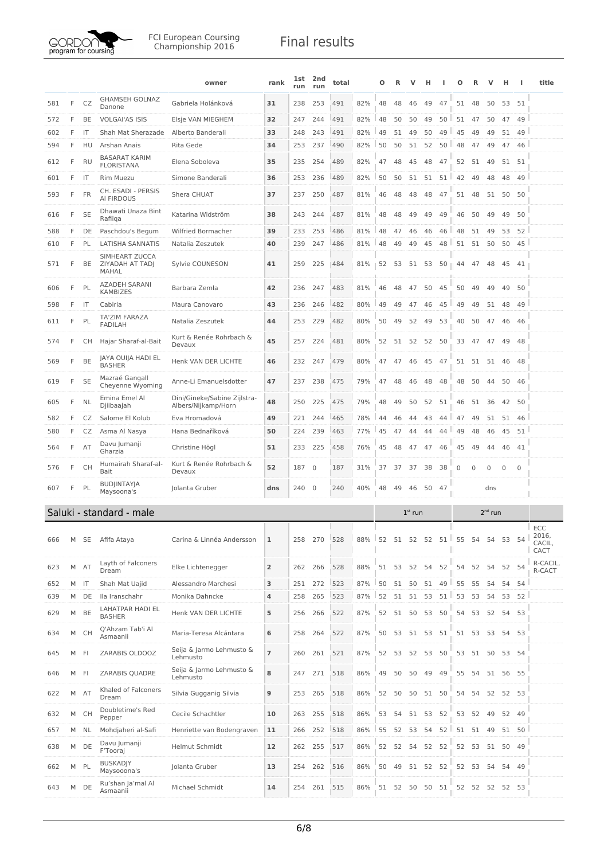

|     |   |           |                                                   | owner                                               | rank | 1st<br>run | 2nd<br>run     | total |     | Ο  | R    | V           | н        |                   | О              | R            | v            | н            | J.           | title                          |
|-----|---|-----------|---------------------------------------------------|-----------------------------------------------------|------|------------|----------------|-------|-----|----|------|-------------|----------|-------------------|----------------|--------------|--------------|--------------|--------------|--------------------------------|
| 581 | F | CZ        | <b>GHAMSEH GOLNAZ</b><br>Danone                   | Gabriela Holánková                                  | 31   | 238        | 253            | 491   | 82% | 48 | 48   | 46          | 49       | 47                | 51             | 48           | 50           | 53           | 51           |                                |
| 572 | F | BE        | <b>VOLGAI'AS ISIS</b>                             | Elsje VAN MIEGHEM                                   | 32   | 247        | 244            | 491   | 82% | 48 | 50   | 50          | 49       | 50                | 51             | 47           | 50           | 47           | 49           |                                |
| 602 | F | IT        | Shah Mat Sherazade                                | Alberto Banderali                                   | 33   | 248        | 243            | 491   | 82% | 49 | 51   | 49          | 50       | 49                | 45             | 49           | 49           | 51           | 49           |                                |
| 594 | F | HU        | Arshan Anais                                      | Rita Gede                                           | 34   | 253        | 237            | 490   | 82% | 50 | 50   | 51          | 52       |                   | 50   48        | 47           | 49           | 47           | 46           |                                |
| 612 | F | <b>RU</b> | <b>BASARAT KARIM</b><br><b>FLORISTANA</b>         | Elena Soboleva                                      | 35   | 235        | 254            | 489   | 82% | 47 | 48   | 45          | 48       | 47                | 52             | 51           | 49           | 51           | 51           |                                |
| 601 | F | IT        | <b>Rim Muezu</b>                                  | Simone Banderali                                    | 36   | 253        | 236            | 489   | 82% | 50 | 50   | 51          | 51       | $51 \,$   42      |                | 49           | 48           | 48           | 49           |                                |
| 593 | F | <b>FR</b> | CH. ESADI - PERSIS<br>AI FIRDOUS                  | Shera CHUAT                                         | 37   | 237        | 250            | 487   | 81% | 46 | 48   | 48          | 48       | 47                | 51             | 48           | 51           | 50           | 50           |                                |
| 616 | F | <b>SE</b> | Dhawati Unaza Bint<br>Rafiiga                     | Katarina Widström                                   | 38   | 243        | 244            | 487   | 81% | 48 | 48   | 49          | 49       | 49                | 46             | 50           | 49           | 49           | 50           |                                |
| 588 | F | DE        | Paschdou's Begum                                  | Wilfried Bormacher                                  | 39   | 233        | 253            | 486   | 81% | 48 | 47   | 46          | 46       | 46<br>ш           | 48             | 51           | 49           | 53           | 52           |                                |
| 610 | F | PL        | <b>LATISHA SANNATIS</b>                           | Natalia Zeszutek                                    | 40   | 239        | 247            | 486   | 81% | 48 | 49   | 49          | 45       | 48                | $\parallel$ 51 | 51           | 50           | 50           | 45           |                                |
| 571 | F | BE        | SIMHEART ZUCCA<br>ZIYADAH AT TADJ<br><b>MAHAL</b> | Sylvie COUNESON                                     | 41   | 259        | 225            | 484   | 81% | 52 | - 53 | 51          | 53       | $50 \parallel 44$ |                | 47           | 48           | 45           | 41           |                                |
| 606 | F | PL        | <b>AZADEH SARANI</b><br><b>KAMBIZES</b>           | Barbara Zemła                                       | 42   | 236        | 247            | 483   | 81% | 46 | 48   | 47          | 50       | 45                | 50             | 49           | 49           | 49           | 50           |                                |
| 598 | F | IT        | Cabiria                                           | Maura Canovaro                                      | 43   | 236        | 246            | 482   | 80% | 49 | 49   | 47          | 46       | 45<br>ш           | 49             | 49           | 51           | 48           | 49           |                                |
| 611 | F | PL        | TA'ZIM FARAZA<br><b>FADILAH</b>                   | Natalia Zeszutek                                    | 44   | 253        | 229            | 482   | 80% | 50 | 49   | 52          | 49       | 53                | 40             | 50           | 47           | 46           | 46           |                                |
| 574 | F | CH.       | Hajar Sharaf-al-Bait                              | Kurt & Renée Rohrbach &<br>Devaux                   | 45   | 257        | 224            | 481   | 80% | 52 | 51   | 52          |          | 52 50             | 33             | 47           | 47           | 49           | 48           |                                |
| 569 | F | BE        | JAYA OUIJA HADI EL<br><b>BASHER</b>               | Henk VAN DER LICHTE                                 | 46   | 232        | 247            | 479   | 80% | 47 | 47   | 46          | 45       | 47                | 51             | 51           | 51           | 46           | - 48         |                                |
| 619 | F | <b>SE</b> | Mazraé Gangall<br>Cheyenne Wyoming                | Anne-Li Emanuelsdotter                              | 47   | 237        | 238            | 475   | 79% | 47 | 48   | 46          | 48       | 48                | 48             | 50           | 44           | 50           | 46           |                                |
| 605 | F | <b>NL</b> | Emina Emel Al<br>Djiibaajah                       | Dini/Gineke/Sabine Zijlstra-<br>Albers/Nijkamp/Horn | 48   | 250        | 225            | 475   | 79% | 48 | 49   | 50          | 52       | 51                | 46             | 51           | 36           | 42           | 50           |                                |
| 582 | F | CZ        | Salome El Kolub                                   | Eva Hromadová                                       | 49   | 221        | 244            | 465   | 78% | 44 | 46   | 44          | 43       | 44                | 47             | 49           | 51           | 51           | 46           |                                |
| 580 | F | CZ        | Asma Al Nasya                                     | Hana Bednaříková                                    | 50   | 224        | 239            | 463   | 77% | 45 | 47   | 44          | 44       | 44                | 49             | 48           | 46           | 45           | 51           |                                |
| 564 | F | AT        | Davu Jumanji<br>Gharzia                           | Christine Högl                                      | 51   | 233        | 225            | 458   | 76% | 45 | 48   | 47          | 47       | 46                | 45             | 49           | 44           | 46           | 41           |                                |
| 576 | F | СH        | Humairah Sharaf-al-<br>Bait                       | Kurt & Renée Rohrbach &<br>Devaux                   | 52   | 187        | $\overline{0}$ | 187   | 31% | 37 | 37   | 37          | 38       | 38                | $\mathbf 0$    | $\mathbf{0}$ | $\mathbf 0$  | $\mathbf{0}$ | $\mathbf{0}$ |                                |
| 607 | F | PL        | <b>BUDJINTAYJA</b><br>Maysoona's                  | Iolanta Gruber                                      | dns  | 240        | $\overline{0}$ | 240   | 40% | 48 | 49   | 46          | 50       | 47                |                |              | dns          |              |              |                                |
|     |   |           | Saluki - standard - male                          |                                                     |      |            |                |       |     |    |      | $1st$ run   |          |                   |                |              | $2^{nd}$ run |              |              |                                |
| 666 | М | SE        | Afifa Ataya                                       | Carina & Linnéa Andersson                           | 1    | 258        | 270            | 528   | 88% | 52 |      | 51 52       | 52       |                   | $51$   55 54   |              | 54           | 53           | 54           | ECC<br>2016,<br>CACIL,<br>CACT |
| 623 | М | AT        | Layth of Falconers<br>Dream                       | Elke Lichtenegger                                   | 2    | 262        | 266            | 528   | 88% |    |      | 51 53 52 54 |          | 52                | 54             | 52           | 54           |              | 52 54        | R-CACIL,<br>R-CACT             |
| 652 | M | - IT      | Shah Mat Uajid                                    | Alessandro Marchesi                                 | 3    | 251        | 272            | 523   | 87% | 50 | 51   | 50          | 51       | 49 55             |                | 55           | 54           | 54           | 54           |                                |
| 639 | M | DE        | Ila Iranschahr                                    | Monika Dahncke                                      | 4    | 258        | 265            | 523   | 87% | 52 | 51   | 51          | 53       | 51                | 53             | 53           | 54           | 53           | 52           |                                |
| 629 | М | BE        | LAHATPAR HADI EL<br><b>BASHER</b>                 | Henk VAN DER LICHTE                                 | 5    | 256        | 266            | 522   | 87% | 52 |      | 51 50       | 53       | 50                | 54             | 53           | 52           | 54           | 53           |                                |
| 634 | М | <b>CH</b> | Q'Ahzam Tab'i Al<br>Asmaanii                      | Maria-Teresa Alcántara                              | 6    | 258        | 264            | 522   | 87% | 50 | 53   | 51 53 51    |          |                   | 51             | 53           | 53           | 54           | 53           |                                |
| 645 | М | FI        | ZARABIS OLDOOZ                                    | Seija & Jarmo Lehmusto &<br>Lehmusto                | 7    | 260        | 261            | 521   | 87% | 52 | 53   | 52          |          | 53 50             | 53             |              | 51 50        |              | 53 54        |                                |
| 646 | М | F         | ZARABIS QUADRE                                    | Seija & Jarmo Lehmusto &<br>Lehmusto                | 8    | 247        | 271            | 518   | 86% | 49 | 50   | 50          | 49       | 49                | 55             | 54           | 51           | 56           | 55           |                                |
| 622 |   | M AT      | Khaled of Falconers<br>Dream                      | Silvia Gugganig Silvia                              | 9    | 253        | 265            | 518   | 86% | 52 | 50   | 50          |          | 51 50             | 54             | 54           | 52           |              | 52 53        |                                |
| 632 | М | <b>CH</b> | Doubletime's Red<br>Pepper                        | Cecile Schachtler                                   | 10   | 263        | 255            | 518   | 86% | 53 | 54   | 51          |          | 53 52             | 53             | 52           | 49           | 52           | 49           |                                |
| 657 |   | M NL      | Mohdjaheri al-Safi                                | Henriette van Bodengraven                           | 11   | 266        | 252            | 518   | 86% | 55 | 52   | 53          | 54       | 52<br>ш           | 51             |              | 51 49        |              | 51 50        |                                |
| 638 | М | DE        | Davu Jumanji<br>F'Tooraj                          | Helmut Schmidt                                      | 12   | 262        | 255            | 517   | 86% | 52 | 52   | - 54        | 52       | 52                | 52             | 53           | 51           | 50           | 49           |                                |
| 662 |   | M PL      | <b>BUSKADJY</b><br>Maysooona's                    | Jolanta Gruber                                      | 13   | 254        | 262            | 516   | 86% | 50 | 49   |             | 51 52 52 |                   |                | 52 53        | 54           |              | 54 49        |                                |
|     |   |           | Ru'shan Ja'mal Al                                 |                                                     |      |            |                |       |     |    |      |             |          |                   |                |              |              |              |              |                                |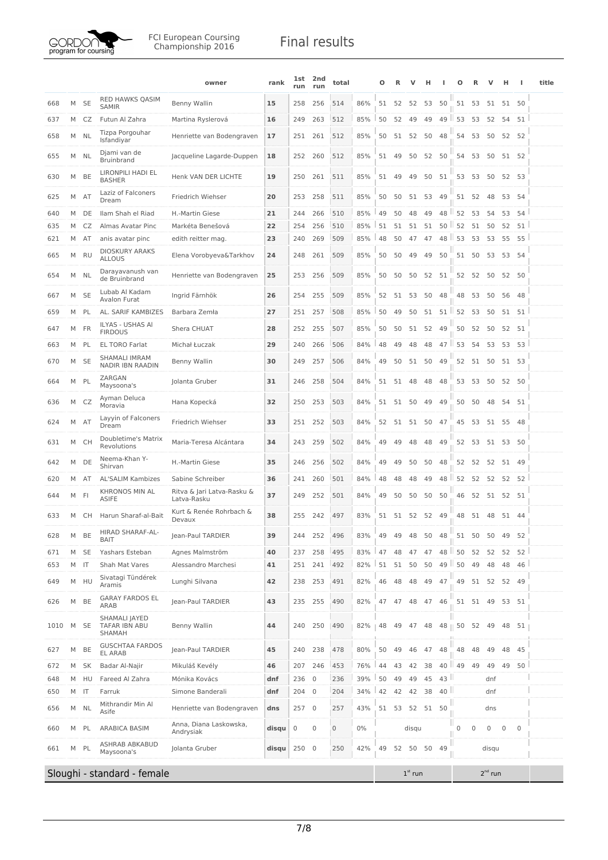

|      |   |           |                                                        | owner                                     | rank  | 1st<br>run  | 2nd<br>run  | total |       | Ω  | R  | v           | н  |                  | Ω                 | R     |              | н           |             | title |
|------|---|-----------|--------------------------------------------------------|-------------------------------------------|-------|-------------|-------------|-------|-------|----|----|-------------|----|------------------|-------------------|-------|--------------|-------------|-------------|-------|
| 668  | M | <b>SE</b> | <b>RED HAWKS QASIM</b><br><b>SAMIR</b>                 | Benny Wallin                              | 15    | 258         | 256         | 514   | 86%   | 51 | 52 | 52          | 53 | 50               | 51                | 53    | 51           | 51          | 50          |       |
| 637  | M | CZ        | Futun Al Zahra                                         | Martina Ryslerová                         | 16    | 249         | 263         | 512   | 85%   | 50 | 52 | 49          | 49 |                  | $49$   53         | 53    | 52           | 54          | 51          |       |
| 658  | M | NL        | Tizpa Porgouhar<br>Isfandiyar                          | Henriette van Bodengraven                 | 17    | 251         | 261         | 512   | 85%   | 50 |    | 51 52       | 50 | 48               | 54                | 53    | 50           | 52          | 52          |       |
| 655  | M | <b>NL</b> | Djami van de<br><b>Bruinbrand</b>                      | Jacqueline Lagarde-Duppen                 | 18    | 252         | 260         | 512   | 85%   | 51 | 49 | 50          | 52 | 50               | 54                | 53    | 50           |             | 51 52       |       |
| 630  | M | BE        | LIRONPILI HADI EL<br><b>BASHER</b>                     | Henk VAN DER LICHTE                       | 19    | 250         | 261         | 511   | 85%   | 51 | 49 | 49          | 50 | 51               | 53                | 53    | 50           | 52          | 53          |       |
| 625  | M | AT        | Laziz of Falconers<br>Dream                            | Friedrich Wiehser                         | 20    | 253         | 258         | 511   | 85%   | 50 | 50 | 51          | 53 | 49               | 51                | 52    | 48           | 53          | 54          |       |
| 640  | M | DE        | Ilam Shah el Riad                                      | H.-Martin Giese                           | 21    | 244         | 266         | 510   | 85%   | 49 | 50 | 48          | 49 | 48 II            | 52                | 53    | 54           | 53          | 54          |       |
| 635  | M | CZ        | Almas Avatar Pinc                                      | Markéta Benešová                          | 22    | 254         | 256         | 510   | 85%   | 51 | 51 | 51          | 51 | $50$ $\parallel$ | 52                | 51    | 50           | 52          | 51          |       |
| 621  | M | AT        | anis avatar pinc                                       | edith reitter mag.                        | 23    | 240         | 269         | 509   | 85%   | 48 | 50 | 47          | 47 |                  | 48 53             | 53    | 53           | 55          | 55          |       |
| 665  | M | <b>RU</b> | <b>DIOSKURY ARAKS</b><br><b>ALLOUS</b>                 | Elena Vorobyeva&Tarkhov                   | 24    | 248         | 261         | 509   | 85%   | 50 | 50 | 49          | 49 | 50               | 51                | 50    | 53           | 53          | 54          |       |
| 654  | M | NL        | Darayavanush van<br>de Bruinbrand                      | Henriette van Bodengraven                 | 25    | 253         | 256         | 509   | 85%   | 50 | 50 | 50          | 52 | 51               |                   | 52 52 | 50           |             | 52 50       |       |
| 667  | M | <b>SE</b> | Lubab Al Kadam<br><b>Avalon Furat</b>                  | Ingrid Färnhök                            | 26    | 254         | 255         | 509   | 85%   | 52 |    | 51 53       | 50 | 48               | 48                | 53    | 50           | 56          | 48          |       |
| 659  | M | PL        | AL. SARIF KAMBIZES                                     | Barbara Zemła                             | 27    | 251         | 257         | 508   | 85%   | 50 | 49 | 50          | 51 | 51               | 52                | 53    | 50           | 51          | 51          |       |
| 647  | M | FR        | ILYAS - USHAS AI<br><b>FIRDOUS</b>                     | Shera CHUAT                               | 28    | 252         | 255         | 507   | 85%   | 50 | 50 | 51          | 52 | 49               | 50                | 52    | 50           | 52          | 51          |       |
| 663  |   | M PL      | <b>EL TORO Farlat</b>                                  | Michał Łuczak                             | 29    | 240         | 266         | 506   | 84%   | 48 | 49 | 48          | 48 | $47$             | 53                | 54    | 53           | 53          | 53          |       |
| 670  | M | <b>SE</b> | <b>SHAMALI IMRAM</b><br><b>NADIR IBN RAADIN</b>        | Benny Wallin                              | 30    | 249         | 257         | 506   | 84%   | 49 | 50 | 51          | 50 | 49               | 52                | 51    | 50           | 51          | 53          |       |
| 664  | M | PL        | ZARGAN<br>Maysoona's                                   | Jolanta Gruber                            | 31    | 246         | 258         | 504   | 84%   | 51 | 51 | 48          | 48 | 48               | 53                | 53    | 50           | 52          | 50          |       |
| 636  | M | CZ        | Ayman Deluca<br>Moravia                                | Hana Kopecká                              | 32    | 250         | 253         | 503   | 84%   | 51 | 51 | 50          | 49 | 49               | 50                | 50    | 48           | 54          | 51          |       |
| 624  | M | AT        | Layyin of Falconers<br>Dream                           | Friedrich Wiehser                         | 33    | 251         | 252         | 503   | 84%   | 52 | 51 | 51          | 50 | 47               | 45                | 53    | 51 55 48     |             |             |       |
| 631  | M | <b>CH</b> | Doubletime's Matrix<br>Revolutions                     | Maria-Teresa Alcántara                    | 34    | 243         | 259         | 502   | 84%   | 49 | 49 | 48          | 48 | 49               | 52                | 53    | 51 53 50     |             |             |       |
| 642  | M | DE        | Neema-Khan Y-<br>Shirvan                               | H.-Martin Giese                           | 35    | 246         | 256         | 502   | 84%   | 49 | 49 | 50          | 50 | 48               | 52                | 52    | 52           | 51          | 49          |       |
| 620  |   | M AT      | <b>AL'SALIM Kambizes</b>                               | Sabine Schreiber                          | 36    | 241         | 260         | 501   | 84%   | 48 | 48 | 48          | 49 | 48               | 52                | 52    | 52           | 52          | 52          |       |
| 644  | M | FI        | <b>KHRONOS MIN AL</b><br>ASIFE                         | Ritva & Jari Latva-Rasku &<br>Latva-Rasku | 37    | 249         | 252         | 501   | 84%   | 49 | 50 | 50          | 50 | 50               | 46                | 52    | 51           |             | 52 51       |       |
| 633  |   | M CH      | Harun Sharaf-al-Bait                                   | Kurt & Renée Rohrbach &<br>Devaux         | 38    | 255         | 242         | 497   | 83%   | 51 |    | 51 52 52 49 |    |                  | 48                |       | 51 48 51 44  |             |             |       |
| 628  | M | BE        | HIRAD SHARAF-AL-<br><b>BAIT</b>                        | Jean-Paul TARDIER                         | 39    | 244         | 252         | 496   | 83%   | 49 | 49 | 48          | 50 | 48               | 51                | 50    | 50           | 49          | 52          |       |
| 671  | M | <b>SE</b> | Yashars Esteban                                        | Agnes Malmström                           | 40    | 237         | 258         | 495   | 83%   | 47 | 48 | 47          | 47 | 48               | ш<br>50           | 52    | 52           | 52          | 52          |       |
| 653  | M | IT        | Shah Mat Vares                                         | Alessandro Marchesi                       | 41    | 251         | 241         | 492   | 82%   | 51 | 51 | 50          | 50 | 49               | ш<br>50           | 49    | 48           | 48          | 46          |       |
| 649  | M | HU        | Sivatagi Tündérek<br>Aramis                            | Lunghi Silvana                            | 42    | 238         | 253         | 491   | 82%   | 46 | 48 | 48          | 49 | 47               | 49                | 51    | 52           |             | 52 49       |       |
| 626  | M | BE        | <b>GARAY FARDOS EL</b><br>ARAB                         | Jean-Paul TARDIER                         | 43    | 235         | 255         | 490   | 82%   | 47 | 47 | 48          | 47 | 46               |                   | 51 51 | 49           |             | 53 51       |       |
| 1010 |   | M SE      | SHAMALI JAYED<br><b>TAFAR IBN ABU</b><br><b>SHAMAH</b> | Benny Wallin                              | 44    | 240         | 250         | 490   | 82%   | 48 | 49 | 47          | 48 |                  | 48    50          | 52    | - 49         |             | 48 51       |       |
| 627  | M | BE        | <b>GUSCHTAA FARDOS</b><br><b>EL ARAB</b>               | Jean-Paul TARDIER                         | 45    | 240         | 238         | 478   | 80%   | 50 | 49 | 46          | 47 | 48               | 48                | 48    | 49           | 48          | 45          |       |
| 672  | M | <b>SK</b> | Badar Al-Najir                                         | Mikuláš Kevély                            | 46    | 207         | 246         | 453   | 76%   | 44 | 43 | 42          | 38 |                  | 40 $\parallel$ 49 | 49    | 49           | 49          | 50          |       |
| 648  | M | HU        | Fareed Al Zahra                                        | Mónika Kovács                             | dnf   | 236         | $\mathbf 0$ | 236   | 39%   | 50 | 49 | 49          | 45 | 43               |                   |       | dnf          |             |             |       |
| 650  | M | IT        | Farruk                                                 | Simone Banderali                          | dnf   | 204         | $\mathbf 0$ | 204   | 34%   | 42 | 42 | 42          | 38 | 40               |                   |       | dnf          |             |             |       |
| 656  | M | NL        | Mithrandir Min Al<br>Asife                             | Henriette van Bodengraven                 | dns   | 257         | $\mathbf 0$ | 257   | 43%   | 51 | 53 | 52          | 51 | 50               |                   |       | dns          |             |             |       |
| 660  | M | PL        | ARABICA BASIM                                          | Anna, Diana Laskowska,<br>Andrysiak       | disqu | $\mathbf 0$ | 0           | 0     | $0\%$ |    |    | disqu       |    |                  | $\mathbf 0$       | 0     | $\mathbf 0$  | $\mathbf 0$ | $\mathbf 0$ |       |
| 661  | M | PL        | ASHRAB ABKABUD<br>Maysoona's                           | Jolanta Gruber                            | disqu | 250 0       |             | 250   | 42%   | 49 |    | 52 50 50    |    | 49               |                   |       | disqu        |             |             |       |
|      |   |           | Sloughi - standard - female                            |                                           |       |             |             |       |       |    |    | $1st$ run   |    |                  |                   |       | $2^{nd}$ run |             |             |       |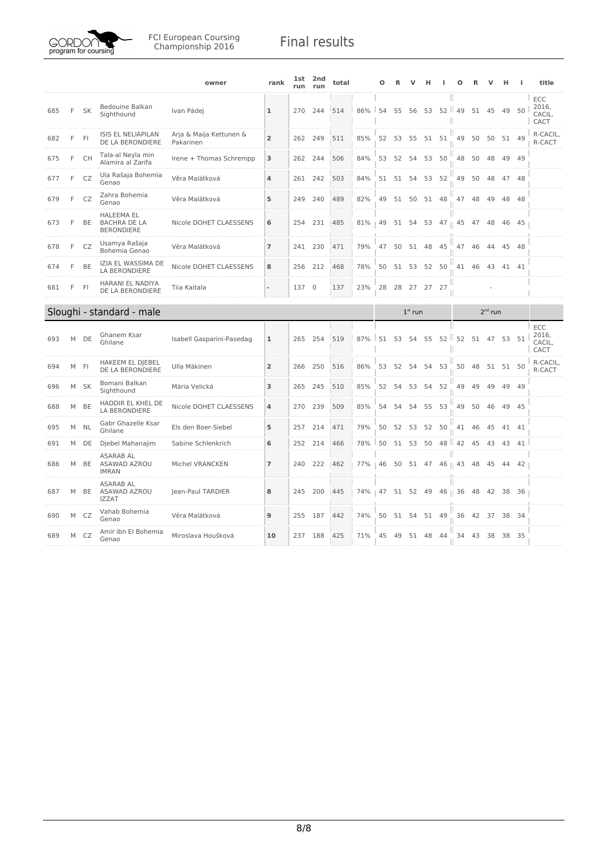

|     |   |           |                                                               | owner                                | rank           | <b>1st</b><br>run | 2nd<br>run  | total |     | О  | R  | v         | н     |                  | Ω  | R  |              | н        |       | title                          |
|-----|---|-----------|---------------------------------------------------------------|--------------------------------------|----------------|-------------------|-------------|-------|-----|----|----|-----------|-------|------------------|----|----|--------------|----------|-------|--------------------------------|
| 685 | F | <b>SK</b> | Bedouine Balkan<br>Sighthound                                 | Ivan Pádej                           | 1              | 270               | 244         | 514   | 86% | 54 | 55 | 56        | 53    | 52   49<br>Ш     |    | 51 | 45           | 49       | 50    | ECC<br>2016,<br>CACIL,<br>CACT |
| 682 | F | F         | <b>ISIS EL NELIAPILAN</b><br>DE LA BERONDIERE                 | Arja & Maija Kettunen &<br>Pakarinen | $\overline{2}$ | 262               | 249         | 511   | 85% | 52 | 53 | 55        | 51    | 51               | 49 | 50 | 50           |          | 51 49 | R-CACIL,<br>R-CACT             |
| 675 | F | CH        | Tala-al Neyla min<br>Alamira al Zarifa                        | Irene + Thomas Schrempp              | 3              | 262               | 244         | 506   | 84% | 53 | 52 | 54        | 53    | 50               | 48 | 50 | 48           | 49       | - 49  |                                |
| 677 | F | CZ        | Ula Rašaja Bohemia<br>Genao                                   | Věra Malátková                       | 4              | 261               | 242         | 503   | 84% | 51 | 51 | 54        | 53    | 52               | 49 | 50 | 48           | 47       | 48    |                                |
| 679 | F | CZ        | Zahra Bohemia<br>Genao                                        | Věra Malátková                       | 5              | 249               | 240         | 489   | 82% | 49 | 51 | 50        | 51    | 48               | 47 | 48 | 49           | 48       | 48    |                                |
| 673 | F | BE        | <b>HALEEMA EL</b><br><b>BACHRA DE LA</b><br><b>BERONDIERE</b> | Nicole DOHET CLAESSENS               | 6              | 254               | 231         | 485   | 81% | 49 | 51 | 54        | 53    | $47$             | 45 | 47 | 48           | 46       | -45   |                                |
| 678 | F | CZ        | Usamya Rašaja<br>Bohemia Genao                                | Věra Malátková                       | $\overline{7}$ | 241               | 230         | 471   | 79% | 47 | 50 | 51        | 48    | 45               | 47 | 46 | 44           | 45 48    |       |                                |
| 674 | F | BE        | IZIA EL WASSIMA DE<br>LA BERONDIERE                           | Nicole DOHET CLAESSENS               | 8              | 256               | 212         | 468   | 78% | 50 | 51 | 53        | 52    | 50               | 41 | 46 | 43           |          | 41 41 |                                |
| 681 | F | FI        | HARANI EL NADIYA<br>DE LA BERONDIERE                          | Tiia Kaitala                         | ÷,             | 137               | $\mathbf 0$ | 137   | 23% | 28 | 28 | 27        | 27 27 |                  |    |    |              |          |       |                                |
|     |   |           |                                                               |                                      |                |                   |             |       |     |    |    |           |       |                  |    |    |              |          |       |                                |
|     |   |           |                                                               |                                      |                |                   |             |       |     |    |    | $1st$ run |       |                  |    |    | $2^{nd}$ run |          |       |                                |
| 693 | M | DE        | Sloughi - standard - male<br>Ghanem Ksar<br>Ghilane           | Isabell Gasparini-Pasedag            | $\mathbf{1}$   | 265               | 254         | 519   | 87% | 51 | 53 | 54        | 55    | $52$   $52$<br>Ш |    | 51 |              | 47 53 51 |       | ECC<br>2016,<br>CACIL,<br>CACT |
| 694 | M | -FI       | HAKEEM EL DJEBEL<br>DE LA BERONDIERE                          | Ulla Mäkinen                         | $\overline{2}$ | 266               | 250         | 516   | 86% | 53 | 52 | 54        | 54    | 53               | 50 | 48 | 51           | 51 50    |       | R-CACIL,<br>R-CACT             |
| 696 | M | <b>SK</b> | Bomani Balkan<br>Sighthound                                   | Mária Velická                        | 3              | 265               | 245         | 510   | 85% | 52 | 54 | 53        | 54    | 52               | 49 | 49 | 49           | 49       | 49    |                                |
| 688 | M | BE        | HADDIR EL KHEL DE<br><b>LA BERONDIERE</b>                     | Nicole DOHET CLAESSENS               | 4              | 270               | 239         | 509   | 85% | 54 | 54 | 54        | 55    | 53               | 49 | 50 | 46           | 49       | - 45  |                                |
| 695 | M | <b>NL</b> | Gabr Ghazelle Ksar<br>Ghilane                                 | Els den Boer-Siebel                  | 5              | 257               | 214         | 471   | 79% | 50 | 52 | 53        | 52    | 50               | 41 | 46 | 45           | 41 41    |       |                                |
| 691 | M | DE        | Djebel Mahanajim                                              | Sabine Schlenkrich                   | 6              | 252               | 214         | 466   | 78% | 50 | 51 | 53        | 50    | $48$   $42$      |    | 45 | 43           | 43       | 41    |                                |
| 686 | M | BE        | <b>ASARAB AL</b><br>ASAWAD AZROU<br><b>IMRAN</b>              | Michel VRANCKEN                      | $\overline{7}$ | 240               | 222         | 462   | 77% | 46 | 50 |           |       | 51 47 46    43   |    | 48 | 45           | 44       | 42    |                                |
| 687 | M | BE        | <b>ASARAB AL</b><br>ASAWAD AZROU<br><b>IZZAT</b>              | Jean-Paul TARDIER                    | 8              | 245               | 200         | 445   | 74% | 47 | 51 |           |       | 52 49 46    36   |    | 48 | 42           | 38       | - 36  |                                |
| 690 | M | CZ        | Vahab Bohemia<br>Genao                                        | Věra Malátková                       | 9              | 255               | 187         | 442   | 74% | 50 | 51 | 54        | 51    | 49               | 36 |    | 42 37        | 38 34    |       |                                |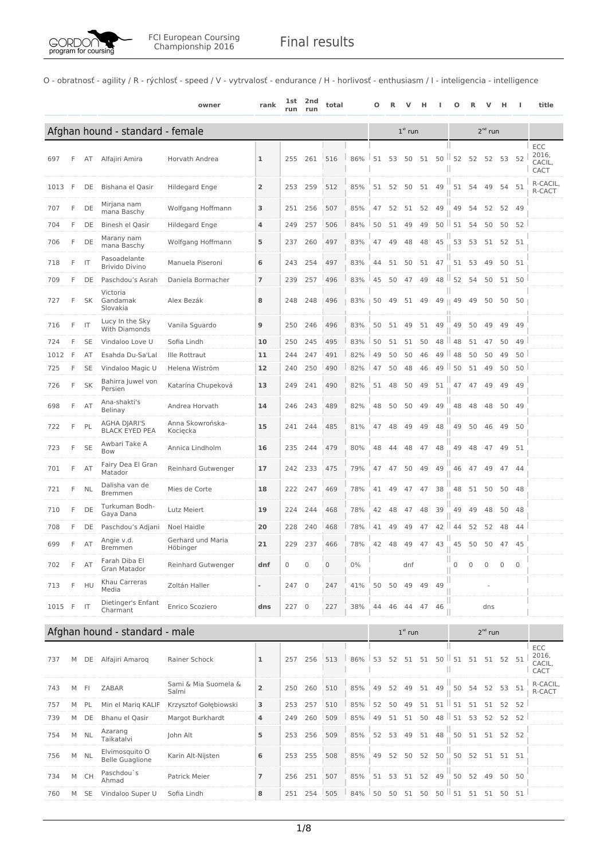O - obratnosť - agility / R - rýchlosť - speed / V - vytrvalosť - endurance / H - horlivosť - enthusiasm / I - inteligencia - intelligence

|        |   |                |                                              | owner                         | rank                     | lst<br>run | 2nd<br>run | total |        | Ω  |    |           | н     |          | Ω              |    | ν            | н            |             | title                          |
|--------|---|----------------|----------------------------------------------|-------------------------------|--------------------------|------------|------------|-------|--------|----|----|-----------|-------|----------|----------------|----|--------------|--------------|-------------|--------------------------------|
|        |   |                | Afghan hound - standard - female             |                               |                          |            |            |       |        |    |    | $1st$ run |       |          |                |    | $2^{nd}$ run |              |             |                                |
| 697    | F | AT             | Alfajiri Amira                               | Horvath Andrea                | ı                        | 255        | 261        | 516   | 86%    | 51 | 53 | 50        | 51    |          | $50$   52      | 52 | 52           | 53           | 52          | ECC<br>2016,<br>CACIL,<br>CACT |
| 1013   | F | DE             | Bishana el Qasir                             | Hildegard Enge                | $\overline{2}$           | 253        | 259        | 512   | 85%    | 51 | 52 | 50        |       | 51 49    | 51             | 54 | 49           |              | 54 51       | R-CACIL,<br>R-CACT             |
| 707    | F | DE             | Mirjana nam<br>mana Baschy                   | Wolfgang Hoffmann             | 3                        | 251        | 256        | 507   | 85%    | 47 | 52 |           | 51 52 | 49       | 49             | 54 | 52           |              | 52 49       |                                |
| 704    | F | DE             | Binesh el Qasir                              | Hildegard Enge                | 4                        | 249        | 257        | 506   | 84%    | 50 | 51 | 49        | 49    |          | $50$ $151$     | 54 | 50           | 50           | 52          |                                |
| 706    | F | DE             | Marany nam<br>mana Baschy                    | Wolfgang Hoffmann             | 5                        | 237        | 260        | 497   | 83%    | 47 | 49 | 48        | 48    | 45       | 53             | 53 | 51           | 52           | 51          |                                |
| 718    | F | IT             | Pasoadelante<br><b>Brivido Divino</b>        | Manuela Piseroni              | 6                        | 243        | 254        | 497   | 83%    | 44 | 51 | 50        | 51    | 47       | 51             | 53 | 49           |              | 50 51       |                                |
| 709    | F | DE             | Paschdou's Asrah                             | Daniela Bormacher             | $\overline{ }$           | 239        | 257        | 496   | 83%    | 45 | 50 | 47        | 49    | 48       | 52             | 54 | 50           | 51           | 50          |                                |
| 727    | F | SK             | Victoria<br>Gandamak<br>Slovakia             | Alex Bezák                    | 8                        | 248        | 248        | 496   | 83%    | 50 | 49 | 51        | 49    | 49       | 49             | 49 | 50           | 50           | 50          |                                |
| 716    | F | IT             | Lucy In the Sky<br>With Diamonds             | Vanila Sguardo                | 9                        | 250        | 246        | 496   | 83%    | 50 | 51 | 49        | 51    | 49       | 49             | 50 | 49           | 49           | 49          |                                |
| 724    | F | <b>SE</b>      | Vindaloo Love U                              | Sofia Lindh                   | 10                       | 250        | 245        | 495   | 83%    | 50 | 51 | 51        | 50    | 48       | $\parallel$ 48 | 51 | 47           | 50           | 49          |                                |
| 1012   | F | AT             | Esahda Du-Sa'Lal                             | Ille Rottraut                 | 11                       | 244        | 247        | 491   | 82%    | 49 | 50 | 50        | 46    |          | $49$   $48$    | 50 | 50           | 49           | 50          |                                |
| 725    | F | <b>SE</b>      | Vindaloo Magic U                             | Helena Wiström                | 12                       | 240        | 250        | 490   | 82%    | 47 | 50 | 48        | 46    |          | $49$   50      | 51 | 49           | 50           | 50          |                                |
| 726    | F | <b>SK</b>      | Bahirra Juwel von<br>Persien                 | Katarína Chupeková            | 13                       | 249        | 241        | 490   | 82%    | 51 | 48 | 50        | 49    | 51       | 47             | 47 | 49           | 49           | 49          |                                |
| 698    | F | AT             | Ana-shakti's<br>Belinay                      | Andrea Horvath                | 14                       | 246        | 243        | 489   | 82%    | 48 | 50 | 50        | 49    | 49       | 48             | 48 | 48           | 50           | 49          |                                |
| 722    | F | PL             | <b>AGHA DJARI'S</b><br><b>BLACK EYED PEA</b> | Anna Skowrońska-<br>Kocięcka  | 15                       |            | 241 244    | 485   | 81%    | 47 | 48 | 49        | 49    | 48       | 49             | 50 | 46           | 49           | 50          |                                |
| 723    | F | <b>SE</b>      | Awbari Take A<br>Bow                         | Annica Lindholm               | 16                       | 235        | 244        | 479   | 80%    | 48 | 44 | 48        | 47    | 48       | 49             | 48 | 47           |              | 49 51       |                                |
| 701    | F | AT             | Fairy Dea El Gran<br>Matador                 | Reinhard Gutwenger            | 17                       | 242        | 233        | 475   | 79%    | 47 | 47 | 50        | 49    | 49       | 46             | 47 | 49           |              | 47 44       |                                |
| 721    | F | NL             | Dalisha van de<br><b>Bremmen</b>             | Mies de Corte                 | 18                       | 222        | 247        | 469   | 78%    | 41 | 49 | 47        | 47    | 38       | 48             | 51 | 50           |              | 50 48       |                                |
| 710    | F | DE             | Turkuman Bodh-<br>Gaya Dana                  | Lutz Meiert                   | 19                       | 224        | 244        | 468   | 78%    | 42 | 48 | 47        | 48    | 39       | 49             | 49 | 48           | 50           | 48          |                                |
| 708    | F | DE             | Paschdou's Adjani                            | Noel Haidle                   | 20                       | 228        | 240        | 468   | 78%    | 41 | 49 | 49        | 47    | 42<br>H. | 44             | 52 | 52           | 48           | 44          |                                |
| 699    | F | AT             | Angie v.d.<br><b>Bremmen</b>                 | Gerhard und Maria<br>Höbinger | 21                       | 229        | 237        | 466   | 78%    | 42 | 48 | 49        | 47    | 43       | 45             | 50 | 50           |              | 47 45       |                                |
| 702    | F | AT             | Farah Diba El<br><b>Gran Matador</b>         | Reinhard Gutwenger            | dnf                      | 0          | 0          | 0     | $0\%$  |    |    | dnf       |       |          | Ш<br>0         | 0  | $\mathbf{0}$ | $\mathbf{0}$ | $\mathbf 0$ |                                |
| 713    | F | HU             | Khau Carreras<br>Media                       | Zoltán Haller                 | $\overline{\phantom{a}}$ | 247 0      |            | 247   | 41%    | 50 | 50 | 49        | 49    | 49       |                |    |              |              |             |                                |
| 1015 F |   | $\mathsf{I}$   | Dietinger's Enfant<br>Charmant               | Enrico Scoziero               | dns                      | 227 0      |            | 227   | 38%    | 44 | 46 | 44        | 47    | 46       |                |    | dns          |              |             |                                |
|        |   |                | Afghan hound - standard - male               |                               |                          |            |            |       |        |    |    | $1st$ run |       |          |                |    | $2^{nd}$ run |              |             |                                |
|        |   |                |                                              |                               |                          |            |            |       |        |    |    |           |       |          |                |    |              |              |             | ECC                            |
| 737    | M | DE             | Alfajiri Amaroq                              | Rainer Schock                 | ı                        | 257        | 256        | 513   | 86%    | 53 | 52 | 51        | 51    | $50$     | 51             | 51 |              | 51 52 51     |             | 2016,<br>CACIL.<br>CACT        |
| 743    | M | F <sub>1</sub> | ZABAR                                        | Sami & Mia Suomela &<br>Salmi | $\overline{2}$           | 250        | 260        | 510   | 85%    | 49 | 52 | 49        | 51    | 49       | 50             | 54 | 52           | 53           | 51          | R-CACIL,<br>R-CACT             |
| 757    | М | PL             | Min el Marig KALIF                           | Krzysztof Gołębiowski         | 3                        | 253        | 257        | 510   | 85%    | 52 | 50 | 49        | 51    | 51       | 51             | 51 | 51           | 52           | 52          |                                |
| 739    | M | DE             | Bhanu el Qasir                               | Margot Burkhardt              | 4                        | 249        | 260        | 509   | 85%    | 49 | 51 | 51        | 50    |          | $48$   51      | 53 | 52           | 52           | 52          |                                |
| 754    | М | <b>NL</b>      | Azarang<br>Taikatalvi                        | John Alt                      | 5                        | 253        | 256        | 509   | 85%    | 52 | 53 | 49        | 51    | 48       | 50             |    |              | 51 51 52 52  |             |                                |
| 756    | M | <b>NL</b>      | Elvimosquito O<br><b>Belle Guaglione</b>     | Karin Alt-Nijsten             | 6                        | 253        | 255        | 508   | 85%    | 49 | 52 |           | 50 52 | 50       | 50             | 52 | 51           |              | 51 51       |                                |
| 734    | M | <b>CH</b>      | Paschdou's<br>Ahmad                          | Patrick Meier                 | $\overline{ }$           | 256        | 251        | 507   | 85%    | 51 | 53 |           | 51 52 | 49       | 50             | 52 | 49           |              | 50 50       |                                |
| 760    | M | <b>SE</b>      | Vindaloo Super U                             | Sofia Lindh                   | 8                        |            | 251 254    | 505   | $84\%$ | 50 | 50 | 51        | 50    |          | $50$ $151$     | 51 | 51           | 50           | 51          |                                |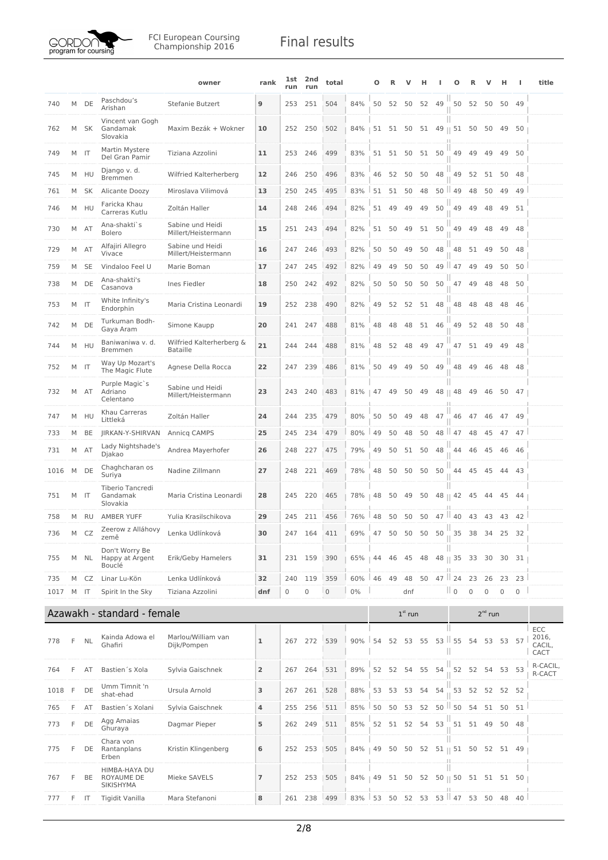

FCI European Coursing<br>Championship 2016 **Final results** 

|      |   |              |                                                 | owner                                       | rank           | <b>1st</b><br>run | 2nd<br>run  | total        |        | Ο  |    |                | н        |                               | O                 |             |              | н                   | ı           | title                          |
|------|---|--------------|-------------------------------------------------|---------------------------------------------|----------------|-------------------|-------------|--------------|--------|----|----|----------------|----------|-------------------------------|-------------------|-------------|--------------|---------------------|-------------|--------------------------------|
| 740  | M | DE           | Paschdou's<br>Arishan                           | Stefanie Butzert                            | 9              | 253               | 251         | 504          | 84%    | 50 | 52 |                | 50 52    | 49                            |                   | 50 52 50    |              | 50 49               |             |                                |
| 762  | M | SK           | Vincent van Gogh<br>Gandamak<br>Slovakia        | Maxim Bezák + Wokner                        | 10             |                   | 252 250     | 502          | 84%    |    |    |                |          | 51 51 50 51 49    51 50       |                   |             | 50           | 49                  | 50          |                                |
| 749  |   | M IT         | Martin Mystere<br>Del Gran Pamir                | Tiziana Azzolini                            | 11             |                   | 253 246     | 499          | 83%    |    |    | 51 51 50 51 50 |          |                               | 49 49             |             | 49           |                     | 49 50       |                                |
| 745  |   | M HU         | Django v. d.<br><b>Bremmen</b>                  | Wilfried Kalterherberg                      | 12             | 246               | 250         | 496          | 83%    | 46 | 52 | 50             | 50       | 48                            | 49                | 52          | 51           | 50                  | 48          |                                |
| 761  |   | M SK         | Alicante Doozy                                  | Miroslava Vilimová                          | 13             | 250               | 245         | 495          | 83%    | 51 | 51 | 50             | 48       | 50                            | $\parallel$ 49    | 48          | 50           | 49                  | 49          |                                |
| 746  | M | HU           | Faricka Khau<br>Carreras Kutlu                  | Zoltán Haller                               | 14             | 248               | 246         | 494          | 82%    | 51 | 49 | 49             | 49       | 50                            | 49                | 49          | 48           | 49                  | 51          |                                |
| 730  | M | AT           | Ana-shakti`s<br><b>Bolero</b>                   | Sabine und Heidi<br>Millert/Heistermann     | 15             | 251               | 243         | 494          | 82%    | 51 | 50 |                | 49 51 50 |                               | 49                | 49          | 48           | 49                  | - 48        |                                |
| 729  |   | M AT         | Alfajiri Allegro<br>Vivace                      | Sabine und Heidi<br>Millert/Heistermann     | 16             | 247               | 246         | 493          | 82%    | 50 | 50 | 49             | 50       | 48                            |                   | 48 51       | - 49         | 50                  | 48          |                                |
| 759  | M | <b>SE</b>    | Vindaloo Feel U                                 | Marie Boman                                 | 17             | 247               | 245         | 492          | 82%    | 49 | 49 | 50             | 50       |                               | 49 $\parallel$ 47 | 49          | 49           | 50                  | 50          |                                |
| 738  | M | DE           | Ana-shakti's<br>Casanova                        | Ines Fiedler                                | 18             | 250               | 242         | 492          | 82%    | 50 | 50 | 50             | 50       | 50                            | 47                | 49          | 48           | 48                  | 50          |                                |
| 753  | M | $\mathsf{I}$ | White Infinity's<br>Endorphin                   | Maria Cristina Leonardi                     | 19             | 252               | 238         | 490          | 82%    | 49 |    | 52 52 51 48    |          |                               | 48                | 48          | 48           | 48                  | - 46        |                                |
| 742  |   | M DE         | Turkuman Bodh-<br>Gaya Aram                     | Simone Kaupp                                | 20             |                   | 241 247     | 488          | 81%    | 48 | 48 |                | 48 51 46 |                               | 49                | 52          | 48           | 50 48               |             |                                |
| 744  | M | HU           | Baniwaniwa v. d.<br><b>Bremmen</b>              | Wilfried Kalterherberg &<br><b>Bataille</b> | 21             | 244               | 244         | 488          | 81%    | 48 | 52 | 48             | 49       | 47                            | 47                | 51          | 49           | 49                  | 48          |                                |
| 752  |   | M IT         | Way Up Mozart's<br>The Magic Flute              | Agnese Della Rocca                          | 22             | 247               | 239         | 486          | 81%    | 50 | 49 | 49             | 50       | 49                            | 48                | 49          | 46           | 48                  | - 48        |                                |
| 732  | M | AT           | Purple Magic`s<br>Adriano<br>Celentano          | Sabine und Heidi<br>Millert/Heistermann     | 23             | 243               | 240         | 483          | 81%    | 47 | 49 | 50             | 49       | 48    48                      |                   | 49          | 46           | 50                  | - 47        |                                |
| 747  | M | HU           | Khau Carreras<br>Littleká                       | Zoltán Haller                               | 24             | 244               | 235         | 479          | 80%    | 50 | 50 | 49             | 48       | 47                            | 46                | 47          | 46           | 47 49               |             |                                |
| 733  | M | BE           | JIRKAN-Y-SHIRVAN                                | Annicg CAMPS                                | 25             | 245               | 234         | 479          | 80%    | 49 | 50 | 48             | 50       |                               | $48$   47         | 48          | 45           | 47                  | 47          |                                |
| 731  | М | AT           | Lady Nightshade's<br>Djakao                     | Andrea Mayerhofer                           | 26             | 248               | 227         | 475          | 79%    | 49 | 50 | 51             | 50       | 48                            | 44                | 46          | 45           |                     | 46 46       |                                |
| 1016 | M | DE           | Chaghcharan os<br>Suriya                        | Nadine Zillmann                             | 27             | 248               | 221         | 469          | 78%    | 48 | 50 | 50             |          | 50 50                         |                   | 44 45       | 45           |                     | 44 43       |                                |
| 751  |   | M IT         | Tiberio Tancredi<br>Gandamak<br>Slovakia        | Maria Cristina Leonardi                     | 28             | 245               | 220         | 465          | 78%    | 48 | 50 | 49             | 50       |                               | $48 \parallel 42$ | 45          | 44           | 45                  | - 44        |                                |
| 758  |   | M RU         | <b>AMBER YUFF</b>                               | Yulia Krasilschikova                        | 29             | 245               | 211         | 456          | 76%    | 48 | 50 | 50             | 50       |                               | $47 \parallel 40$ | 43          | 43           | 43 42               |             |                                |
| 736  | М | CZ           | Zeerow z Alláhovy<br>země                       | Lenka Udlínková                             | 30             | 247               | 164         | 411          | 69%    | 47 | 50 | 50             | 50       | 50                            | 35                | 38          | 34           |                     | 25 32       |                                |
| 755  |   | M NL         | Don't Worry Be<br>Happy at Argent<br>Bouclé     | Erik/Geby Hamelers                          | 31             |                   | 231 159     | 390          | 65%    | 44 | 46 | 45             | 48       | ш                             | 48    35 33       |             | - 30         | 30 31               |             |                                |
| 735  | M | CZ           | Linar Lu-Kön                                    | Lenka Udlínková                             | 32             | 240               | 119         | 359          | 60%    | 46 | 49 | 48             | 50       | $47$ 24                       |                   | 23          | 26           | 23                  | 23          |                                |
| 1017 |   | M IT         | Spirit In the Sky                               | Tiziana Azzolini                            | dnf            | 0                 | $\mathbf 0$ | $\mathbf{0}$ | $0\%$  |    |    | dnf            |          |                               | $\parallel$ 0     | $\mathbf 0$ | 0            | $\mathsf{O}\xspace$ | $\mathbb O$ |                                |
|      |   |              | Azawakh - standard - female                     |                                             |                |                   |             |              |        |    |    | $1st$ run      |          |                               |                   |             | $2^{nd}$ run |                     |             |                                |
| 778  | F | NL           | Kainda Adowa el<br>Ghafiri                      | Marlou/William van<br>Dijk/Pompen           | $\mathbf 1$    | 267               | 272         | 539          | 90%    | 54 | 52 | 53             | 55       |                               | $53$   55         | 54          |              | 53 53               | 57          | ECC<br>2016,<br>CACIL,<br>CACT |
| 764  | F | AT           | Bastien 's Xola                                 | Sylvia Gaischnek                            | $\overline{2}$ | 267               | 264         | 531          | 89%    | 52 |    | 52 54 55       |          | 54                            | 52                | 52          | 54           | 53 53               |             | R-CACIL,<br>R-CACT             |
| 1018 | F | DE           | Umm Timnit 'n<br>shat-ehad                      | Ursula Arnold                               | 3              | 267               | 261         | 528          | 88%    | 53 | 53 | 53             | 54       | 54                            |                   | 53 52       | 52           | 52 52               |             |                                |
| 765  | F | AT           | Bastien's Xolani                                | Sylvia Gaischnek                            | 4              | 255               | 256         | 511          | 85%    | 50 | 50 | 53             | 52       |                               | $50$   $50$       | 54          | 51           | 50                  | 51          |                                |
| 773  | F | DE           | Agg Amaias<br>Ghuraya                           | Dagmar Pieper                               | 5              | 262               | 249         | 511          | 85%    | 52 |    | 51 52          | 54       | 53                            |                   | 51 51       | 49           |                     | 50 48       |                                |
| 775  | F | DE           | Chara von<br>Rantanplans<br>Erben               | Kristin Klingenberg                         | 6              |                   | 252 253     | 505          | 84%    | 49 |    |                |          | 50 50 52 51    51 50 52 51 49 |                   |             |              |                     |             |                                |
| 767  | F | BE           | HIMBA-HAYA DU<br>ROYAUME DE<br><b>SIKISHYMA</b> | Mieke SAVELS                                | $\overline{ }$ | 252               | 253         | 505          | $84\%$ | 49 | 51 | 50             | 52       |                               | $50 \parallel 50$ | 51          | 51           |                     | 51 50       |                                |
| 777  |   | F IT         | Tigidit Vanilla                                 | Mara Stefanoni                              | 8              |                   | 261 238     | 499          | 83%    | 53 |    | 50 52 53       |          |                               | 53 L 47           | 53          | 50           | 48 40               |             |                                |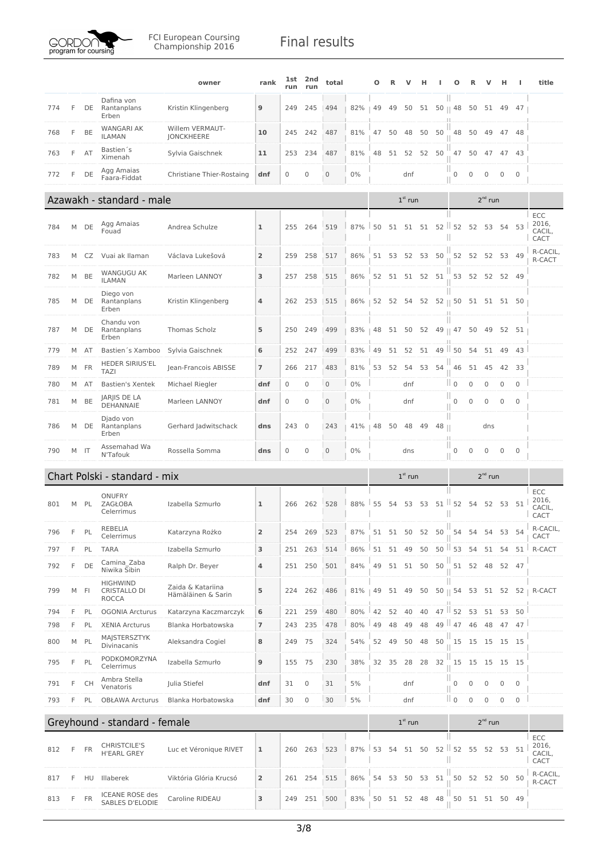

FCI European Coursing<br>Championship 2016 **Final results** 

|     |   |           |                                                 | owner                                   | rank           | lst<br>run   | 2nd<br>run     | total        |        | Ο  |       |             | н  |         | Ω                       |                |              |                     | J.              | title                          |
|-----|---|-----------|-------------------------------------------------|-----------------------------------------|----------------|--------------|----------------|--------------|--------|----|-------|-------------|----|---------|-------------------------|----------------|--------------|---------------------|-----------------|--------------------------------|
| 774 | F | DE        | Dafina von<br>Rantanplans<br>Erben              | Kristin Klingenberg                     | 9              | 249          | 245            | 494          | 82%    | 49 | 49    | 50          | 51 |         | $50 \parallel 48$       | 50             | 51           | 49                  | 47              |                                |
| 768 | F | BE        | WANGARI AK<br><b>ILAMAN</b>                     | Willem VERMAUT-<br><b>JONCKHEERE</b>    | 10             | 245          | 242            | 487          | 81%    | 47 | 50    | 48          | 50 | 50      | 48                      | 50             | 49           | 47 48               |                 |                                |
| 763 | F | AT        | Bastien's<br>Ximenah                            | Sylvia Gaischnek                        | 11             | 253          | 234            | 487          | 81%    | 48 |       | 51 52 52    |    | 50      | 47                      | 50             | 47           | 47 43               |                 |                                |
| 772 | F | DE        | Agg Amaias<br>Faara-Fiddat                      | Christiane Thier-Rostaing               | dnf            | $\mathbf 0$  | $\mathbf 0$    | $\mathbf 0$  | $0\%$  |    |       | dnf         |    |         | 0                       | 0              | 0            | 0                   | $\mathbf 0$     |                                |
|     |   |           | Azawakh - standard - male                       |                                         |                |              |                |              |        |    |       | $1st$ run   |    |         |                         |                | $2^{nd}$ run |                     |                 |                                |
|     |   |           |                                                 |                                         |                |              |                |              |        |    |       |             |    |         |                         |                |              |                     |                 | <b>ECC</b>                     |
| 784 | М | DE        | Agg Amaias<br>Fouad                             | Andrea Schulze                          | $\mathbf{1}$   | 255          | 264            | 519          | 87%    | 50 |       | 51 51 51    |    |         | $52$   $52$ 52 53       |                |              | 54                  | 53              | 2016,<br>CACIL,<br>CACT        |
| 783 | M | CZ        | Vuai ak Ilaman                                  | Václava Lukešová                        | $\overline{2}$ | 259          | 258            | 517          | 86%    |    |       | 51 53 52    | 53 | 50      | 52                      | 52             | 52           | 53 49               |                 | R-CACIL,<br>R-CACT             |
| 782 | M | <b>BE</b> | <b>WANGUGU AK</b><br><b>ILAMAN</b>              | Marleen LANNOY                          | 3              | 257          | 258            | 515          | 86%    | 52 |       | 51 51 52 51 |    |         | 53                      | 52             | 52 52 49     |                     |                 |                                |
| 785 | M | DE        | Diego von<br>Rantanplans<br>Erben               | Kristin Klingenberg                     | 4              | 262          | 253            | 515          | $86\%$ |    |       | 52 52 54    |    |         | 52 52    50 51 51 51 50 |                |              |                     |                 |                                |
| 787 | M | DE        | Chandu von<br>Rantanplans<br>Erben              | Thomas Scholz                           | 5              | 250          | 249            | 499          | 83%    | 48 |       | 51 50       | 52 |         | 49    47                | 50             | 49           |                     | 52 51           |                                |
| 779 | M | AT        | Bastien's Xamboo                                | Sylvia Gaischnek                        | 6              | 252          | 247            | 499          | 83%    | 49 | 51    | 52          | 51 | 49      | 50<br>ш                 | 54             | 51           | 49                  | 43              |                                |
| 789 |   | M FR      | <b>HEDER SIRIUS'EL</b><br><b>TAZI</b>           | Jean-Francois ABISSE                    | $\overline{7}$ | 266          | 217            | 483          | 81%    |    | 53 52 | 54          | 53 | 54      | 46                      | 51             | 45           |                     | 42 33           |                                |
| 780 |   | M AT      | <b>Bastien's Xentek</b>                         | Michael Riegler                         | dnf            | $\mathbf{0}$ | 0              | $\mathbf{0}$ | $0\%$  |    |       | dnf         |    |         | $\mathbb{I}$ 0          | 0              | $\mathbf 0$  | $\mathbf 0$         | $\mathbf 0$     |                                |
| 781 | М | <b>BE</b> | JARJIS DE LA<br>DEHANNAIE                       | Marleen LANNOY                          | dnf            | $\mathbf 0$  | 0              | $\mathbf 0$  | $0\%$  |    |       | dnf         |    |         | Ш<br>0                  | 0              | $\mathbf 0$  | $\mathbf 0$         | $\mathbf 0$     |                                |
| 786 | М | DE        | Djado von<br>Rantanplans<br>Erben               | Gerhard Jadwitschack                    | dns            | 243          | $\overline{0}$ | 243          | 41%    | 48 | 50    | 48          | 49 | 48      | Ш<br>П<br>н             |                | dns          |                     |                 |                                |
| 790 |   | M IT      | Assemahad Wa<br>N'Tafouk                        | Rossella Somma                          | dns            | $\mathbf 0$  | $\mathbf 0$    | $\mathbf 0$  | $0\%$  |    |       | dns         |    |         | Ш<br>0                  | 0              | 0            | $\mathbf 0$         | $\mathbf 0$     |                                |
|     |   |           | Chart Polski - standard - mix                   |                                         |                |              |                |              |        |    |       | $1st$ run   |    |         |                         |                | $2nd$ run    |                     |                 |                                |
|     |   |           |                                                 |                                         |                |              |                |              |        |    |       |             |    |         | н                       |                |              |                     |                 | ECC                            |
| 801 | M | PL        | ONUFRY<br>ZAGŁOBA<br>Celerrimus                 | Izabella Szmurło                        | $\mathbf{1}$   | 266          | 262            | 528          | 88%    | 55 | 54    | 53          | 53 | 51      | 52<br>Ш                 | 54             | 52           | 53                  | 51              | 2016,<br>CACIL,<br><b>CACT</b> |
| 796 | F | PL        | REBELIA<br>Celerrimus                           | Katarzyna Rożko                         | 2              | 254          | 269            | 523          | 87%    |    |       | 51 51 50 52 |    | 50      | Ш<br>54                 | 54             | 54           | 53                  | 54              | R-CACIL,<br>CACT               |
| 797 | F | PL        | <b>TARA</b>                                     | Izabella Szmurło                        | 3              | 251          | 263            | 514          | 86%    | 51 | 51    | 49          | 50 |         | $50$   53               | 54             | 51           | 54                  | 51 <sup>1</sup> | R-CACT                         |
| 792 | F | DE        | Camina Zaba<br>Niwika Sibin                     | Ralph Dr. Beyer                         | 4              |              | 251 250        | 501          | 84%    | 49 |       | 51 51 50    |    | 50      | 51                      | 52             | 48           | 52 47               |                 |                                |
| 799 | М | FI        | <b>HIGHWIND</b><br>CRISTALLO DI<br><b>ROCCA</b> | Zaida & Katariina<br>Hämäläinen & Sarin | 5              | 224          | 262            | 486          | 81%    | 49 |       | 51 49       | 50 |         | $50 \parallel 54$       |                |              |                     |                 | 53 51 52 52   R-CACT           |
| 794 | F | PL        | <b>OGONIA Arcturus</b>                          | Katarzyna Kaczmarczyk                   | 6              | 221          | 259            | 480          | 80%    | 42 | 52    | 40          | 40 | $47$ II | 52                      | 53             | 51           | 53                  | 50              |                                |
| 798 | F | PL        | <b>XENIA Arcturus</b>                           | Blanka Horbatowska                      | $\overline{ }$ | 243          | 235            | 478          | 80%    | 49 | 48    | 49          | 48 |         | 49 47                   | 46             | 48           |                     | $47 \quad 47$   |                                |
| 800 |   | M PL      | MAJSTERSZTYK<br>Divinacanis                     | Aleksandra Cogiel                       | 8              | 249 75       |                | 324          | 54%    | 52 | 49    | 50          | 48 | 50      | $\frac{1}{11}$ 15       | 15             | 15 15 15     |                     |                 |                                |
| 795 | F | PL        | PODKOMORZYNA<br>Celerrimus                      | Izabella Szmurło                        | 9              | 155          | 75             | 230          | 38%    | 32 | 35    | 28          | 28 | 32      | 15                      | 15             | 15           | 15 15               |                 |                                |
| 791 | F | <b>CH</b> | Ambra Stella<br>Venatoris                       | Julia Stiefel                           | dnf            | 31           | $\mathbf 0$    | 31           | 5%     |    |       | dnf         |    |         | Ш<br>$\mathbf 0$        | $\mathbf 0$    | 0            | $\mathsf{O}\xspace$ | $\mathbf 0$     |                                |
| 793 | F | PL        | <b>OBŁAWA Arcturus</b>                          | Blanka Horbatowska                      | dnf            | 30           | $\mathbf 0$    | 30           | 5%     |    |       | dnf         |    |         | $\parallel$ 0           | $\overline{0}$ | $\mathbf 0$  | $\mathbf{0}$        | $\mathbf{0}$    |                                |
|     |   |           | Greyhound - standard - female                   |                                         |                |              |                |              |        |    |       | $1st$ run   |    |         |                         |                | $2^{nd}$ run |                     |                 |                                |
| 812 | F | <b>FR</b> | CHRISTCILE'S<br><b>H'EARL GREY</b>              | Luc et Véronique RIVET                  | $\mathbf{1}$   | 260          | 263            | 523          | 87%    | 53 | 54    | 51          | 50 |         | $52$   $52$             | 55             | 52 53 51     |                     |                 | ECC<br>2016,<br>CACIL,         |
|     |   |           |                                                 |                                         |                |              |                |              |        |    |       |             |    |         |                         |                |              |                     |                 | CACT<br>R-CACIL,               |
| 817 | F | HU        | Illaberek                                       | Viktória Glória Krucsó                  | $\overline{2}$ | 261 254      |                | 515          | 86%    | 54 | 53    | 50          | 53 | 51      | 50                      | 52             | 52           | 50 50               |                 |                                |
| 813 | F | <b>FR</b> | ICEANE ROSE des<br>SABLES D'ELODIE              | Caroline RIDEAU                         | 3              | 249          | 251            | 500          | 83%    | 50 |       | 51 52       | 48 | 48      | 50                      |                | 51 51 50 49  |                     |                 | R-CACT                         |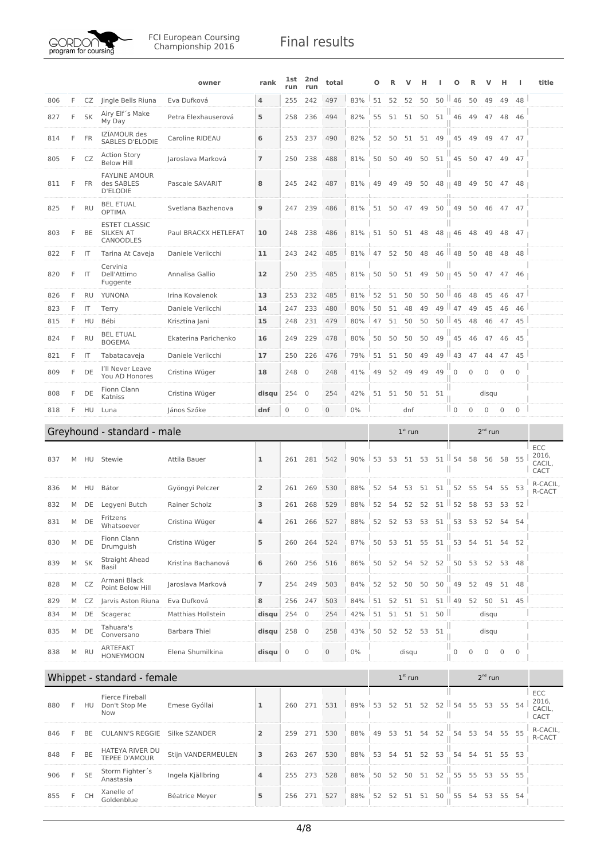

|     |    |           |                                                       | owner                | rank           | lst<br>run     | 2nd<br>run          | total        |       | Ω  |       |           |       |       | o                      |              | ν            | н           |              | title                   |
|-----|----|-----------|-------------------------------------------------------|----------------------|----------------|----------------|---------------------|--------------|-------|----|-------|-----------|-------|-------|------------------------|--------------|--------------|-------------|--------------|-------------------------|
| 806 | F  | CZ        | Jingle Bells Riuna                                    | Eva Dufková          | 4              | 255            | 242                 | 497          | 83%   | 51 | 52    | 52        | 50    |       | $50$   46              | 50           | 49           | 49          | 48           |                         |
| 827 | F  | <b>SK</b> | Airy Elf's Make<br>My Day                             | Petra Elexhauserová  | 5              | 258            | 236                 | 494          | 82%   | 55 |       | 51 51     | 50    | 51    | 46                     | 49           | 47           | 48          | -46          |                         |
| 814 | F  | <b>FR</b> | IZÏAMOUR des<br>SABLES D'ELODIE                       | Caroline RIDEAU      | 6              | 253 237        |                     | 490          | 82%   | 52 | 50    | 51        | 51 49 |       | 45                     | 49           | 49           |             | 47 47        |                         |
| 805 | F  | CZ        | <b>Action Story</b><br><b>Below Hill</b>              | Jaroslava Marková    | $\overline{7}$ | 250            | 238                 | 488          | 81%   | 50 | 50    | 49        | 50    | 51    | 45                     | 50           | 47           |             | 49 47        |                         |
| 811 | F  | FR        | <b>FAYLINE AMOUR</b><br>des SABLES<br><b>D'ELODIE</b> | Pascale SAVARIT      | 8              | 245            | 242                 | 487          | 81%   | 49 | 49    | 49        | 50    |       | ш<br>$48 \parallel 48$ | 49           | 50           | 47          | 48           |                         |
| 825 | F  | <b>RU</b> | <b>BEL ETUAL</b><br><b>OPTIMA</b>                     | Svetlana Bazhenova   | 9              | 247 239        |                     | 486          | 81%   |    |       | 51 50 47  | 49    | 50    | 49                     | 50           | 46           | 47 47       |              |                         |
| 803 | F  | BE        | <b>ESTET CLASSIC</b><br>SILKEN AT<br>CANOODLES        | Paul BRACKX HETLEFAT | 10             | 248            | 238                 | 486          | 81%   | 51 | 50    | 51        | 48    |       | 48    46               | 48           | 49           | 48          | 47           |                         |
| 822 | F. | IT        | Tarina At Caveja                                      | Daniele Verlicchi    | 11             | 243            | 242                 | 485          | 81%   | 47 | 52    | 50        | 48    |       | $46$   $48$            | 50           | 48           | 48          | 48           |                         |
| 820 | F  | IT        | Cervinia<br>Dell'Attimo<br>Fuggente                   | Annalisa Gallio      | 12             | 250            | 235                 | 485          | 81%   | 50 | 50    | 51        | 49    |       | $50 \parallel 45$      | 50           | 47           | 47          | 46           |                         |
| 826 | F  | <b>RU</b> | YUNONA                                                | Irina Kovalenok      | 13             | 253            | 232                 | 485          | 81%   | 52 | 51    | 50        | 50    |       | $50$ $146$             | 48           | 45           | 46          | 47           |                         |
| 823 | F  | IT        | Terry                                                 | Daniele Verlicchi    | 14             | 247            | 233                 | 480          | 80%   | 50 | 51    | 48        | 49    | 49 II | 47                     | 49           | 45           | 46          | 46           |                         |
| 815 | F. | HU        | Bébi                                                  | Krisztina Jani       | 15             | 248            | 231                 | 479          | 80%   | 47 | 51    | 50        | 50    |       | $50$ $145$             | 48           | 46           | 47          | 45           |                         |
| 824 | F  | <b>RU</b> | <b>BEL ETUAL</b><br><b>BOGEMA</b>                     | Ekaterina Parichenko | 16             | 249            | 229                 | 478          | 80%   | 50 | 50    | 50        | 50    | 49    | 45                     | 46           | 47           |             | 46 45        |                         |
| 821 | F. | IT        | Tabatacaveja                                          | Daniele Verlicchi    | 17             | 250            | 226                 | 476          | 79%   | 51 | 51    | 50        | 49    | 49    | ш<br>43                | 47           | 44           | 47          | 45           |                         |
| 809 | F  | DE        | I'll Never Leave<br>You AD Honores                    | Cristina Wüger       | 18             | 248            | $\overline{0}$      | 248          | 41%   | 49 | 52    | 49        | 49    | 49    | $\mathbf 0$            | 0            | $\mathbf{0}$ | $\mathbf 0$ | $\mathbf 0$  |                         |
| 808 | F  | DE        | Fionn Clann<br>Katniss                                | Cristina Wüger       | disqu          | 254            | $\mathbf{0}$        | 254          | 42%   |    | 51 51 | 50        | 51    | - 51  |                        |              | disqu        |             |              |                         |
| 818 | F  | HU        | Luna                                                  | János Szőke          | dnf            | 0              | 0                   | $\mathbf{0}$ | 0%    |    |       | dnf       |       |       | $\mathbb{I}$ 0         | $\mathbf{0}$ | $\mathbf{0}$ | 0           | $\mathbf{0}$ |                         |
|     |    |           | Greyhound - standard - male                           |                      |                |                |                     |              |       |    |       | $1st$ run |       |       |                        |              | $2nd$ run    |             |              |                         |
|     |    |           |                                                       |                      |                |                |                     |              |       |    |       |           |       |       |                        |              |              |             |              |                         |
| 837 | M  | HU        | Stewie                                                | Attila Bauer         | 1              | 261            | 281                 | 542          | 90%   | 53 | 53    | 51        | 53    | 51    | ш<br>54                | 58           | 56           | 58          | 55           | ECC<br>2016,<br>CACIL,  |
| 836 | M  | HU        | Bátor                                                 | Gyöngyi Pelczer      | $\overline{2}$ | 261            | 269                 | 530          | 88%   | 52 | 54    | 53        | 51    | 51    | 52                     | 55           | 54           | 55          | 53           | <b>CACT</b><br>R-CACIL, |
| 832 | M  | DE        | Legyeni Butch                                         | Rainer Scholz        | 3              | 261            | 268                 | 529          | 88%   | 52 | 54    | 52        | 52    | 51    | 52                     | 58           | 53           | 53          | 52           | R-CACT                  |
| 831 | M  | DE        | Fritzens<br>Whatsoever                                | Cristina Wüger       | 4              | 261            | 266                 | 527          | 88%   | 52 | 52    | 53        | 53    | 51    | 53                     | 53           | 52           | 54          | 54           |                         |
| 830 | М  | DE        | Fionn Clann<br>Drumguish                              | Cristina Wüger       | 5              | 260            | 264                 | 524          | 87%   | 50 |       | 53 51     | 55    | 51    | 53                     | 54           | 51           |             | 54 52        |                         |
| 839 |    | M SK      | Straight Ahead<br>Basil                               | Kristína Bachanová   | 6              |                | 260 256             | 516          | 86%   | 50 |       | 52 54     |       | 52 52 | 50                     | 53           | 52           |             | 53 48        |                         |
| 828 | M  | CZ        | Armani Black<br>Point Below Hill                      | Jaroslava Marková    | $\overline{7}$ | 254            | 249                 | 503          | 84%   | 52 | 52    | 50        | 50    | 50    | 49                     | 52           | 49           |             | 51 48        |                         |
| 829 |    | M CZ      | Jarvis Aston Riuna                                    | Eva Dufková          | 8              | 256            | 247                 | 503          | 84%   | 51 | 52    | 51        | 51    |       | $51$   49              | 52           |              | 50 51 45    |              |                         |
| 834 | M  | DE        | Scagerac                                              | Matthias Hollstein   | disqu          | 254 0          |                     | 254          | 42%   | 51 |       | 51 51 51  |       | 50    |                        |              | disqu        |             |              |                         |
| 835 | M  | DE        | Tahuara's<br>Conversano                               | <b>Barbara Thiel</b> | disqu          | 258 0          |                     | 258          | 43%   | 50 | 52    | 52        | 53    | 51    |                        |              | disqu        |             |              |                         |
| 838 | М  | <b>RU</b> | ARTEFAKT<br><b>HONEYMOON</b>                          | Elena Shumilkina     | disqu          | $\overline{0}$ | $\mathsf{O}\xspace$ | $\mathbf{0}$ | $0\%$ |    |       | disqu     |       |       | Ш<br>$\mathbf 0$       | $\mathbf 0$  | $\mathbf{0}$ | $\mathbf 0$ | $\mathbf{0}$ |                         |
|     |    |           | Whippet - standard - female                           |                      |                |                |                     |              |       |    |       | $1st$ run |       |       |                        |              | $2^{nd}$ run |             |              |                         |
|     |    |           | <b>Fierce Fireball</b>                                |                      |                |                |                     |              |       |    |       |           |       |       |                        |              |              |             |              | ECC                     |
| 880 | F  | HU        | Don't Stop Me<br>Now                                  | Emese Gyóllai        | $\mathbf 1$    | 260            | 271                 | 531          | 89%   | 53 | 52    | 51        | 52    | 52    | ш<br>54<br>Ш           | 55           | 53           | 55          | 54           | 2016,<br>CACIL,<br>CACT |
| 846 | F  | BE        | <b>CULANN'S REGGIE</b>                                | Silke SZANDER        | $\overline{2}$ | 259            | 271                 | 530          | 88%   | 49 | 53    | 51        | 54    | 52    | 54                     | 53           | 54           | 55 55       |              | R-CACIL,<br>R-CACT      |
| 848 | F  | BE        | HATEYA RIVER DU<br>TEPEE D'AMOUR                      | Stijn VANDERMEULEN   | 3              | 263            | 267                 | 530          | 88%   | 53 | 54    | 51        | 52    | 53    | 54                     | 54           |              | 51 55 53    |              |                         |
| 906 | F  | <b>SE</b> | Storm Fighter's<br>Anastasia                          | Ingela Kjällbring    | 4              |                | 255 273             | 528          | 88%   | 50 | 52    | 50        | 51    | 52    | 55                     | 55           | 53           | 55          | 55           |                         |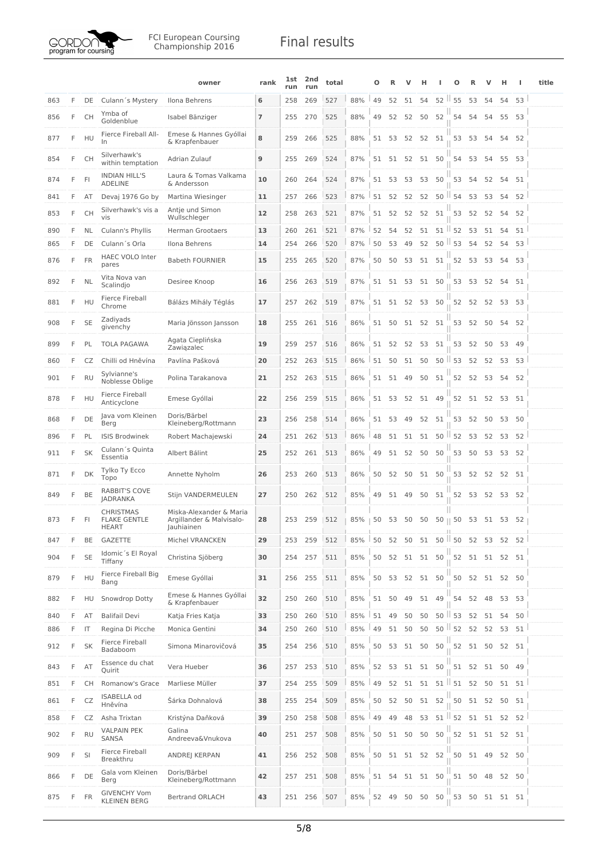

|     |    |           |                                                         | owner                                                             | rank           | lst<br>run | 2nd<br>run | total      |             | О        |       |                   | н        |                               | Ω                   |                                    | ν        | н     | H             | title |
|-----|----|-----------|---------------------------------------------------------|-------------------------------------------------------------------|----------------|------------|------------|------------|-------------|----------|-------|-------------------|----------|-------------------------------|---------------------|------------------------------------|----------|-------|---------------|-------|
| 863 | F. | DE        | Culann's Mystery                                        | Ilona Behrens                                                     | 6              | 258        | 269        | 527        | 88%         | 49       | 52    | 51                | 54       | $52$ $\parallel$              | 55                  | 53                                 | 54       | 54    | 53            |       |
| 856 | F  | <b>CH</b> | Ymba of<br>Goldenblue                                   | Isabel Bänziger                                                   | $\overline{7}$ | 255        | 270        | 525        | 88%         | 49       |       | 52 52             | 50       | 52                            | 54                  | 54                                 | 54       | 55 53 |               |       |
| 877 | F  | HU        | Fierce Fireball All-<br>In                              | Emese & Hannes Gyóllai<br>& Krapfenbauer                          | 8              | 259        | 266        | 525        | 88%         | 51       | 53    | 52                | 52       | 51                            | 53                  | 53                                 | 54       | 54    | 52            |       |
| 854 | F  | <b>CH</b> | Silverhawk's<br>within temptation                       | Adrian Zulauf                                                     | 9              | 255        | 269        | 524        | 87%         |          |       | 51 51 52 51 50    |          |                               |                     | 54 53                              | 54       | 55 53 |               |       |
| 874 | F  | - FI      | <b>INDIAN HILL'S</b><br><b>ADELINE</b>                  | Laura & Tomas Valkama<br>& Andersson                              | 10             | 260        | 264        | 524        | 87%         |          |       | 51 53 53 53       |          | 50                            |                     | 53 54                              | 52       | 54 51 |               |       |
| 841 | F. | AT        | Devaj 1976 Go by                                        | Martina Wiesinger                                                 | 11             | 257        | 266        | 523        | 87%         | 51       | 52    | 52                | 52       |                               | $50$ $154$          | 53                                 | 53       | 54    | 52            |       |
| 853 | F  | <b>CH</b> | Silverhawk's vis a<br>vis                               | Antie und Simon<br>Wullschleger                                   | 12             | 258        | 263        | 521        | 87%         | 51       |       | 52 52             | 52       | 51                            | 53                  | 52                                 | 52       | 54    | 52            |       |
| 890 | F. | <b>NL</b> | Culann's Phyllis                                        | <b>Herman Grootaers</b>                                           | 13             | 260        | 261        | 521        | 87%         | 52       | 54    | 52                | 51       |                               | $51$   $52$         | 53                                 | 51       | 54    | 51            |       |
| 865 | F  | DE        | Culann's Orla                                           | Ilona Behrens                                                     | 14             | 254        | 266        | 520        | 87%         | 50       | 53    | 49                | 52       |                               | $50$ $\parallel$ 53 | 54                                 | 52       | 54    | 53            |       |
| 876 | F  | <b>FR</b> | <b>HAEC VOLO Inter</b><br>pares                         | <b>Babeth FOURNIER</b>                                            | 15             | 255        | 265        | 520        | 87%         | 50       | 50    | 53                | 51       | 51                            | 52                  | 53                                 | 53       | 54    | 53            |       |
| 892 | F  | <b>NL</b> | Vita Nova van<br>Scalindjo                              | Desiree Knoop                                                     | 16             | 256        | 263        | 519        | 87%         | 51       |       | 51 53 51 50       |          |                               |                     | 53 53                              | 52       | 54 51 |               |       |
| 881 | F  | HU        | Fierce Fireball<br>Chrome                               | Bálázs Mihály Téglás                                              | 17             | 257        | 262        | 519        | 87%         |          |       | 51 51 52 53 50    |          |                               |                     | 52 52 52 53 53                     |          |       |               |       |
| 908 | F  | <b>SE</b> | Zadiyads<br>givenchy                                    | Maria Jönsson Jansson                                             | 18             | 255        | 261        | 516        | 86%         | 51       |       | 50 51 52 51       |          |                               |                     | 53 52 50                           |          | 54 52 |               |       |
| 899 | F  | PL        | TOLA PAGAWA                                             | Agata Cieplińska<br>Zawiązalec                                    | 19             | 259        | 257        | 516        | 86%         | 51       | 52    | 52                | 53       | 51                            | 53                  | 52                                 | 50       | 53 49 |               |       |
| 860 | F. | CZ        | Chilli od Hněvína                                       | Pavlína Pašková                                                   | 20             | 252        | 263        | 515        | 86%         | 51       | 50    | 51                | 50       |                               | $50$ $\parallel$ 53 | 52                                 | 52       | 53    | 53            |       |
| 901 | F  | <b>RU</b> | Sylvianne's<br>Noblesse Oblige                          | Polina Tarakanova                                                 | 21             | 252        | 263        | 515        | 86%         | 51       | 51 49 |                   | 50       | 51                            | 52                  | 52                                 | 53       | 54    | 52            |       |
| 878 | F  | HU        | Fierce Fireball<br>Anticyclone                          | Emese Gyóllai                                                     | 22             | 256        | 259        | 515        | 86%         | 51       |       | 53 52             | 51 49    |                               |                     | 52 51 52                           |          | 53 51 |               |       |
| 868 | F. | DE        | Java vom Kleinen<br>Berg                                | Doris/Bärbel<br>Kleineberg/Rottmann                               | 23             | 256        | 258        | 514        | 86%         | 51       | 53    | 49                | 52       | 51                            | 53                  | 52                                 | 50       | 53 50 |               |       |
| 896 | F. | PL        | <b>ISIS Brodwinek</b>                                   | Robert Machajewski                                                | 24             | 251        | 262        | 513        | 86%         | 48       |       |                   |          | 51 51 51 50 52 53 52 53 52    |                     |                                    |          |       |               |       |
| 911 | F  | SK        | Culann's Quinta<br>Essentia                             | Albert Bálint                                                     | 25             | 252        | 261        | 513        | 86%         | 49       | 51    | 52                | 50       | 50                            | 53                  | 50                                 | 53       | 53 52 |               |       |
| 871 | F  | DK        | Tylko Ty Ecco<br>Topo                                   | Annette Nyholm                                                    | 26             | 253        | 260        | 513        | 86%         | 50       | 52    | 50                | 51 50    |                               | 53                  | 52                                 | 52 52 51 |       |               |       |
| 849 | F  | BE        | <b>RABBIT'S COVE</b><br>JADRANKA                        | Stijn VANDERMEULEN                                                | 27             | 250        | 262        | 512        | 85%         | 49       |       | 51 49             | 50 51    |                               |                     | 52 53 52                           |          | 53 52 |               |       |
| 873 | F  | -FI       | <b>CHRISTMAS</b><br><b>FLAKE GENTLE</b><br><b>HEART</b> | Miska-Alexander & Maria<br>Argillander & Malvisalo-<br>Jauhiainen | 28             | 253        | 259        | 512        | $85\%$   50 |          |       |                   |          | 53 50 50 50    50 53 51 53 52 |                     |                                    |          |       |               |       |
| 847 | F  | BE        | GAZETTE                                                 | Michel VRANCKEN                                                   | 29             | 253        | 259        | 512        | 85%         | 50       |       |                   |          | 52 50 51 50 50 52 53 52 52    |                     |                                    |          |       |               |       |
| 904 | F  | <b>SE</b> | Idomic's El Royal<br>Tiffany                            | Christina Sjöberg                                                 | 30             | 254        | 257        | 511        | 85%         | 50       | 52    |                   | 51 51 50 |                               |                     | 52 51 51                           |          | 52 51 |               |       |
| 879 | F. | HU        | Fierce Fireball Big<br>Bang                             | Emese Gyóllai                                                     | 31             | 256        | 255        | 511        | 85%         |          |       | 50 53 52 51 50    |          |                               |                     | 50 52 51 52 50                     |          |       |               |       |
| 882 | F  | HU        | Snowdrop Dotty                                          | Emese & Hannes Gyóllai<br>& Krapfenbauer                          | 32             | 250        | 260        | 510        | 85%         |          | 51 50 | 49                | 51       | 49                            | 54                  | 52                                 | 48       |       | 53 53         |       |
| 840 | F  | AT        | <b>Balifail Devi</b>                                    | Katja Fries Katja                                                 | 33             | 250        | 260        | 510        | 85%         | 51       | 49    | 50                | 50       |                               | $50$   53           | 52                                 | 51       | 54    | 50            |       |
| 886 | F  | IT        | Regina Di Picche<br>Fierce Fireball                     | Monica Gentini                                                    | 34             | 250        | 260        | 510        | 85%         | 49       | 51    | 50                | 50       |                               | $50$   $52$ 52      |                                    | 52       |       | $53 \quad 51$ |       |
| 912 | F. | <b>SK</b> | Badaboom<br>Essence du chat                             | Simona Minarovičová                                               | 35             | 254        | 256        | 510        | 85%         | 50       | 53    | 51 50             |          | 50                            | 52                  | 51                                 | 50       | 52 51 |               |       |
| 843 | F  | AT        | Quirit                                                  | Vera Hueber                                                       | 36<br>37       | 257<br>254 | 253        | 510<br>509 | 85%<br>85%  | 52<br>49 | 52    | 53 51 51 50<br>51 | 51       |                               | $51$   $51$ 52      | 51 52 51 50 49                     | 50       |       |               |       |
| 851 | F. | CH        | Romanow's Grace<br><b>ISABELLA od</b>                   | Marliese Müller                                                   |                |            | 255        |            |             |          |       |                   |          |                               |                     |                                    |          |       | 51 51         |       |
| 861 | F  | CZ        | Hněvína                                                 | Šárka Dohnalová                                                   | 38             | 255        | 254        | 509        | 85%         | 50       |       | 52 50 51 52       |          |                               | 50                  | 51 52 50 51<br>$51$ 52 51 51 52 52 |          |       |               |       |
| 858 | F. | CZ        | Asha Trixtan<br><b>VALPAIN PEK</b>                      | Kristýna Daňková<br>Galina                                        | 39             | 250        | 258        | 508        | 85%         | 49       | 49    | 48                | 53       |                               |                     |                                    |          |       |               |       |
| 902 | F  | <b>RU</b> | SANSA<br>Fierce Fireball                                | Andreeva&Vnukova                                                  | 40             | 251        | 257        | 508        | 85%         | 50       |       | 51 50             | 50       | 50                            | 52                  | 51 51                              |          | 52 51 |               |       |
| 909 | F. | SI        | Breakthru                                               | ANDREJ KERPAN                                                     | 41             |            | 256 252    | 508        | 85%         |          |       | 50 51 51 52 52    |          |                               |                     | 50 51                              | 49       | 52 50 |               |       |
| 866 | F  | DE        | Gala vom Kleinen<br>Berg                                | Doris/Bärbel<br>Kleineberg/Rottmann                               | 42             | 257        | 251        | 508        | 85%         |          | 51 54 |                   | 51 51 50 |                               |                     | 51 50 48                           |          | 52 50 |               |       |
| 875 | F. | <b>FR</b> | <b>GIVENCHY Vom</b><br><b>KLEINEN BERG</b>              | <b>Bertrand ORLACH</b>                                            | 43             |            | 251 256    | 507        | 85%         |          |       | 52 49 50 50 50    |          |                               |                     | 53 50 51 51 51                     |          |       |               |       |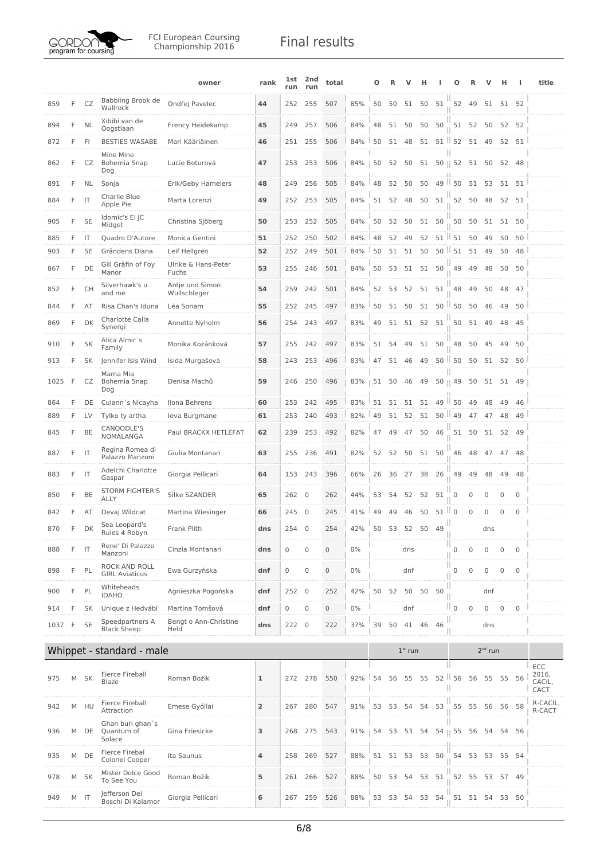

|      |    |           |                                          | owner                           | rank           | lst<br>run | 2nd<br>run     | total        |       | Ω  |    |             | н        |                   | o                      | R            | v            | н           | J.                  | title                   |
|------|----|-----------|------------------------------------------|---------------------------------|----------------|------------|----------------|--------------|-------|----|----|-------------|----------|-------------------|------------------------|--------------|--------------|-------------|---------------------|-------------------------|
| 859  | F  | CZ        | Babbling Brook de<br>Wallrock            | Ondřej Pavelec                  | 44             | 252        | 255            | 507          | 85%   | 50 | 50 | 51          | 50       | 51                |                        | 52 49        |              | 51 51 52    |                     |                         |
| 894  | F  | <b>NL</b> | Xibibi van de<br>Oogstlaan               | Frency Heidekamp                | 45             | 249        | 257            | 506          | 84%   | 48 | 51 | 50          | 50       | 50                | 51                     | 52           | 50           | 52          | 52                  |                         |
| 872  | F  | FI.       | <b>BESTIES WASABE</b>                    | Mari Kääriäinen                 | 46             |            | 251 255        | 506          | 84%   | 50 | 51 | 48          | 51       |                   | $51$ $\parallel$ 52 51 |              | 49           |             | 52 51               |                         |
| 862  | F  | CZ        | Mine Mine<br>Bohemia Snap<br>Dog         | Lucie Boturová                  | 47             | 253        | 253            | 506          | 84%   | 50 | 52 | 50          | 51       |                   | $50 \parallel 52$      | 51           | 50           | 52          | 48                  |                         |
| 891  | F  | NL        | Sonja                                    | Erik/Geby Hamelers              | 48             | 249        | 256            | 505          | 84%   | 48 | 52 | 50          | 50       | 49                | $\parallel$ 50         | 51           | 53           |             | 51 51               |                         |
| 884  | F  | IT        | Charlie Blue<br>Apple Pie                | Marta Lorenzi                   | 49             | 252        | 253            | 505          | 84%   | 51 | 52 | 48          | 50       | 51                | 52                     | 50           | 48           |             | 52 51               |                         |
| 905  | F  | <b>SE</b> | Idomic's El JC<br>Midget                 | Christina Sjöberg               | 50             | 253        | 252            | 505          | 84%   | 50 | 52 | 50          | 51       | 50                | 50                     | 50           | 51           | 51 50       |                     |                         |
| 885  | F  | IT        | Quadro D'Autore                          | Monica Gentini                  | 51             | 252        | 250            | 502          | 84%   | 48 | 52 | 49          | 52       | $51$ $\parallel$  | 51                     | 50           | 49           | 50          | 50                  |                         |
| 903  | F  | <b>SE</b> | Grändens Diana                           | Leif Hellgren                   | 52             | 252        | 249            | 501          | 84%   | 50 | 51 | 51          | 50       | $50$ $\vert$      | 51                     | 51           | 49           | 50          | 48                  |                         |
| 867  | F  | DE        | Gill Gräfin of Foy<br>Manor              | Ulrike & Hans-Peter<br>Fuchs    | 53             | 255        | 246            | 501          | 84%   | 50 | 53 |             | 51 51 50 |                   | 49                     | 49           | 48           |             | 50 50               |                         |
| 852  | F  | <b>CH</b> | Silverhawk's u<br>and me                 | Antje und Simon<br>Wullschleger | 54             | 259        | 242            | 501          | 84%   | 52 | 53 |             | 52 51    | 51                | 48                     | 49           | 50           | 48          | 47                  |                         |
| 844  | F  | AT        | Risa Chan's Iduna                        | Léa Sonam                       | 55             | 252        | 245            | 497          | 83%   | 50 | 51 | 50          | 51       |                   | $50$ $\parallel$ 50    | 50           | 46           | 49          | 50                  |                         |
| 869  | F  | DK        | Charlotte Calla<br>Synergi               | Annette Nyholm                  | 56             | 254        | 243            | 497          | 83%   | 49 | 51 | 51          | 52       | 51                | 50                     | 51           | 49           | 48          | 45                  |                         |
| 910  | F  | <b>SK</b> | Alica Almir´s<br>Family                  | Monika Kozánková                | 57             | 255        | 242            | 497          | 83%   | 51 | 54 | 49          | 51       | 50                | 48                     | 50           | 45           | 49          | 50                  |                         |
| 913  | F  | <b>SK</b> | Jennifer Isis Wind                       | Isida Murgašová                 | 58             | 243        | 253            | 496          | 83%   | 47 |    | 51 46       | 49       |                   | $50$ $150$             | 50           | 51           |             | 52 50               |                         |
| 1025 | F  | CZ        | Mama Mia<br>Bohemia Snap<br>Dog          | Denisa Machů                    | 59             | 246        | 250            | 496          | 83%   | 51 | 50 | 46          | 49       | $50 \parallel 49$ |                        | 50           | 51           | 51          | 49                  |                         |
| 864  | F  | DE        | Culann's Nicayha                         | Ilona Behrens                   | 60             | 253        | 242            | 495          | 83%   | 51 | 51 | 51          | 51       | 49                | H.<br>50               | 49           | 48           | 49          | 46                  |                         |
| 889  | F  | LV        | Tylko ty artha                           | leva Burgmane                   | 61             | 253        | 240            | 493          | 82%   | 49 | 51 | 52          | 51       | 50                | $\parallel$ 49         | 47           | 47           | 48          | 49                  |                         |
| 845  | F  | BE        | CANOODLE'S<br>NOMALANGA                  | Paul BRACKX HETLEFAT            | 62             | 239        | 253            | 492          | 82%   | 47 | 49 | 47          | 50       | 46                | 51                     | 50           | 51           |             | 52 49               |                         |
| 887  | F  | IT        | Regina Romea di<br>Palazzo Manzoni       | Giulia Montanari                | 63             | 255        | 236            | 491          | 82%   | 52 | 52 |             | 50 51    | 50                | 46                     | 48           | 47           | 47 48       |                     |                         |
| 883  | F  | IT        | Adelchi Charlotte<br>Gaspar              | Giorgia Pellicari               | 64             | 153        | 243            | 396          | 66%   | 26 | 36 | 27          | 38       | 26                | 49                     | 49           | 48           | 49          | 48                  |                         |
| 850  | F  | BE        | <b>STORM FIGHTER'S</b><br>ALLY           | Silke SZANDER                   | 65             | 262 0      |                | 262          | 44%   | 53 | 54 | 52          | 52       | 51                | 0                      | 0            | $\mathbf{0}$ | 0           | $\mathbf 0$         |                         |
| 842  | F  | AT        | Devaj Wildcat                            | Martina Wiesinger               | 66             | 245        | $\overline{0}$ | 245          | 41%   | 49 | 49 | 46          | 50       | 51                | $\mathsf{II}$ 0        | 0            | $\mathbf 0$  | $\mathbf 0$ | $\mathbf{0}$        |                         |
| 870  | E. | DK        | Sea Leopard's<br>Rules 4 Robyn           | Frank Plith                     | dns            | 254 0      |                | 254          | 42%   |    |    | 50 53 52 50 |          | 49                |                        |              | dns          |             |                     |                         |
| 888  | F  | IT        | Rene' Di Palazzo<br>Manzoni              | Cinzia Montanari                | dns            | 0          | $\mathbf 0$    | $\mathbf 0$  | $0\%$ |    |    | dns         |          |                   | $\mathbb O$            | $\mathbf{0}$ | $\mathbf 0$  | 0           | $\mathbf 0$         |                         |
| 898  | F  | PL        | ROCK AND ROLL<br><b>GIRL Aviaticus</b>   | Ewa Gurzyńska                   | dnf            | 0          | $\mathbf 0$    | $\mathbf 0$  | $0\%$ |    |    | dnf         |          |                   | Ш<br>$\mathbf 0$       | 0            | $\mathbf 0$  | $\mathbf 0$ | $\mathsf{O}\xspace$ |                         |
| 900  | F  | PL        | Whiteheads<br><b>IDAHO</b>               | Agnieszka Pogońska              | dnf            | 252 0      |                | 252          | 42%   | 50 | 52 | 50          | 50       | 50                |                        |              | dnf          |             |                     |                         |
| 914  | F  | <b>SK</b> | Unique z Hedvábí                         | Martina Tomšová                 | dnf            | 0          | $\mathbf 0$    | $\mathbf{0}$ | $0\%$ |    |    | dnf         |          |                   | $\parallel$ 0          | $\mathbf 0$  | $\mathsf 0$  | $\mathbf 0$ | $\mathbf 0$         |                         |
| 1037 | F  | <b>SE</b> | Speedpartners A<br><b>Black Sheep</b>    | Bengt o Ann-Christine<br>Held   | dns            | 222 0      |                | 222          | 37%   | 39 | 50 | 41          | 46       | 46                |                        |              | dns          |             |                     |                         |
|      |    |           | Whippet - standard - male                |                                 |                |            |                |              |       |    |    | $1st$ run   |          |                   |                        |              | $2^{nd}$ run |             |                     |                         |
|      |    |           |                                          |                                 |                |            |                |              |       |    |    |             |          |                   |                        |              |              |             |                     | ECC                     |
| 975  | М  | <b>SK</b> | Fierce Fireball<br>Blaze                 | Roman Božik                     | ı              | 272        | 278            | 550          | 92%   | 54 | 56 | 55          | 55       |                   | $52$   56<br>Ш         | 56           | 55           | 55          | 56                  | 2016,<br>CACIL,<br>CACT |
| 942  |    | M HU      | Fierce Fireball<br>Attraction            | Emese Gyóllai                   | $\overline{2}$ |            | 267 280        | 547          | 91%   | 53 | 53 | 54          | 54       | 53                | 55                     | 55           | 56           | 56 58       |                     | R-CACIL,<br>R-CACT      |
| 936  | M  | DE        | Ghan buri ghan's<br>Quantum of<br>Solace | Gina Friesicke                  | 3              | 268        | 275            | 543          | 91%   | 54 | 53 | 53          | 54       |                   | 54    55               | 56           | 54           | 54          | 56                  |                         |
| 935  | M  | DE        | Fierce Firebal<br>Colonel Cooper         | Ita Saunus                      | 4              | 258        | 269            | 527          | 88%   | 51 |    | 51 53       | 53       | 50                | 54                     | 53           | 53           |             | 55 54               |                         |
| 978  | M  | <b>SK</b> | Mister Dolce Good<br>To See You          | Roman Božik                     | 5              |            | 261 266        | 527          | 88%   | 50 | 53 | 54          | 53       | 51                | 52                     | 55           | 53           |             | 57 49               |                         |
| 949  |    | $M$ IT    | Jefferson Dei<br>Boschi Di Kalamor       | Giorgia Pellicari               | 6              | 267        | 259            | 526          | 88%   | 53 | 53 |             | 54 53    | 54                | 51                     |              | 51 54        |             | 53 50               |                         |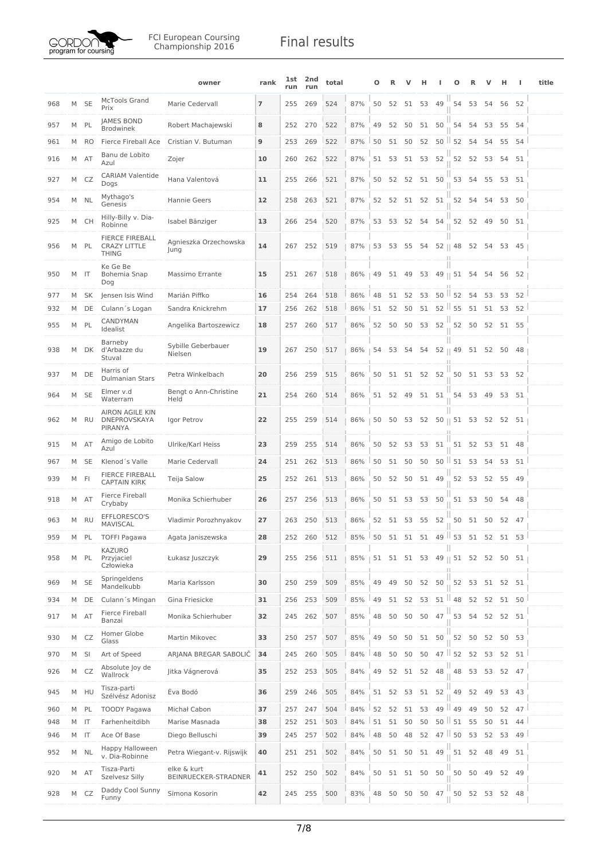

|     |   |           |                                                        | owner                               | rank                     | lst<br>run | 2nd<br>run | total |                                  | Ω   |       |             |          |                      |                   |                | ν  | н           | ı               | title |
|-----|---|-----------|--------------------------------------------------------|-------------------------------------|--------------------------|------------|------------|-------|----------------------------------|-----|-------|-------------|----------|----------------------|-------------------|----------------|----|-------------|-----------------|-------|
| 968 |   | M SE      | <b>McTools Grand</b><br>Prix                           | Marie Cedervall                     | $\overline{\phantom{a}}$ | 255        | 269        | 524   | 87%                              | 50  | 52    | 51 53       |          | 49                   | 54                | 53             | 54 |             | 56 52           |       |
| 957 | M | PL        | JAMES BOND<br><b>Brodwinek</b>                         | Robert Machajewski                  | 8                        | 252        | 270        | 522   | 87%                              | 49  | 52    | 50          | 51       | 50                   | 54                | 54             | 53 | 55          | 54              |       |
| 961 | M | <b>RO</b> | Fierce Fireball Ace                                    | Cristian V. Butuman                 | 9                        | 253        | 269        | 522   | 87%                              | 50  | 51    | 50          | 52       |                      | $50$ $152$        | 54             | 54 |             | 55 54           |       |
| 916 | M | AT        | Banu de Lobito<br>Azul                                 | Zojer                               | 10                       | 260        | 262        | 522   | 87%                              | 51  | 53    |             | 51 53    | 52                   | 52                | 52             | 53 | 54 51       |                 |       |
| 927 | M | CZ        | <b>CARIAM Valentide</b><br>Dogs                        | Hana Valentová                      | 11                       | 255        | 266        | 521   | 87%                              | 50  | 52    |             | 52 51    | 50                   | 53                | 54             | 55 | 53 51       |                 |       |
| 954 | М | <b>NL</b> | Mythago's<br>Genesis                                   | Hannie Geers                        | 12                       | 258        | 263        | 521   | 87%                              | 52  | 52    | 51          |          | 52 51                | 52                | 54             | 54 | 53 50       |                 |       |
| 925 | M | CH        | Hilly-Billy v. Dia-<br>Robinne                         | Isabel Bänziger                     | 13                       | 266        | 254        | 520   | 87%                              | 53  | 53    | 52          | 54       | 54                   | 52                | 52             | 49 | 50 51       |                 |       |
| 956 | M | PL        | FIERCE FIREBALL<br><b>CRAZY LITTLE</b><br><b>THING</b> | Agnieszka Orzechowska<br>Jung       | 14                       | 267        | 252        | 519   | 87%<br>n                         |     |       | 53 53 55    | 54       | ш                    | $52 \parallel 48$ | 52             | 54 | 53 45       |                 |       |
| 950 |   | M IT      | Ke Ge Be<br>Bohemia Snap<br>Dog                        | Massimo Errante                     | 15                       | 251        | 267        | 518   | 86%                              | 49  | 51    | 49          | 53       |                      | $49 \parallel 51$ | 54             | 54 | 56          | 52              |       |
| 977 | M | <b>SK</b> | Jensen Isis Wind                                       | Marián Piffko                       | 16                       | 254        | 264        | 518   | 86%                              | 48  | 51    | 52          | 53       | $50$ $152$           |                   | 54             | 53 | 53          | 52              |       |
| 932 | M | DE        | Culann's Logan                                         | Sandra Knickrehm                    | 17                       | 256        | 262        | 518   | 86%                              | 51  | 52    | 50          | 51       | $52$ $\parallel$ 55  |                   | 51             | 51 | 53          | 52              |       |
| 955 | M | PL        | CANDYMAN<br>Idealist                                   | Angelika Bartoszewicz               | 18                       | 257        | 260        | 517   | 86%                              | 52  | 50    | 50          | 53       | 52                   | 52                | 50             |    | 52 51 55    |                 |       |
| 938 | M | DK        | Barneby<br>d'Arbazze du<br>Stuval                      | Sybille Geberbauer<br>Nielsen       | 19                       | 267        | 250        | 517   | 86%                              |     | 54 53 | 54          | 54       | 52    49             |                   |                |    | 51 52 50 48 |                 |       |
| 937 | M | DE        | Harris of<br><b>Dulmanian Stars</b>                    | Petra Winkelbach                    | 20                       | 256        | 259        | 515   | 86%                              |     |       | 50 51 51 52 |          | 52                   |                   | 50 51 53 53 52 |    |             |                 |       |
| 964 | M | <b>SE</b> | Elmer v.d<br>Waterram                                  | Bengt o Ann-Christine<br>Held       | 21                       | 254        | 260        | 514   | 86%                              | 51  |       | 52 49 51 51 |          |                      |                   | 54 53 49       |    | 53 51       |                 |       |
| 962 | M | <b>RU</b> | <b>AIRON AGILE KIN</b><br>DNEPROVSKAYA<br>PIRANYA      | Igor Petrov                         | 22                       | 255        | 259        | 514   | 86%                              | 50  | 50    | 53          | 52       | $50 \parallel 51$ 53 |                   |                | 52 |             | 52 51           |       |
| 915 | M | <b>AT</b> | Amigo de Lobito<br>Azul                                | Ulrike/Karl Heiss                   | 23                       | 259        | 255        | 514   | 86%                              | 50  | 52    | 53          | 53       | 51                   | 51                | 52             | 53 | 51 48       |                 |       |
| 967 | M | <b>SE</b> | Klenod's Valle                                         | Marie Cedervall                     | 24                       | 251        | 262        | 513   | 86%                              | 50  | 51    | 50          | 50       | $50$ $\vert$         | 51                | 53             | 54 | 53          | 51              |       |
| 939 |   | M FI      | <b>FIERCE FIREBALL</b><br><b>CAPTAIN KIRK</b>          | Teija Salow                         | 25                       | 252        | 261        | 513   | 86%                              | 50  | 52    | 50          | 51       | 49                   | 52                | 53             | 52 | 55          | - 49            |       |
| 918 | M | AT        | Fierce Fireball<br>Crybaby                             | Monika Schierhuber                  | 26                       | 257        | 256        | 513   | 86%                              | 50  | 51    | 53          | 53       | 50                   | 51                | 53             | 50 | 54 48       |                 |       |
| 963 | M | RU        | EFFLORESCO'S<br>MAVISCAL                               | Vladimir Porozhnyakov               | 27                       |            | 263 250    | 513   | 86%                              | 52  |       | 51 53       | 55       | 52                   | 50                |                |    | 51 50 52 47 |                 |       |
| 959 | M | PL        | <b>TOFFI Pagawa</b>                                    | Agata Janiszewska                   | 28                       | 252        | 260        | 512   | 85%                              | 150 | 51    | 51          | 51       |                      | $49$   53         | 51             | 52 | 51          | 53 <sup>1</sup> |       |
| 958 | M | PL        | KAZURO<br>Przyjaciel<br>Człowieka                      | Łukasz Juszczyk                     | 29                       | 255        | 256        | 511   | 85%   51 51 51 53 49    51 52 52 |     |       |             |          | Ш                    |                   |                |    | 50          | 51              |       |
| 969 | M | <b>SE</b> | Springeldens<br>Mandelkubb                             | Maria Karlsson                      | 30                       | 250        | 259        | 509   | 85%                              | 49  | 49    | 50          | 52       | 50                   | 52                | 53             |    | 51 52 51    |                 |       |
| 934 |   | M DE      | Culann's Mingan                                        | Gina Friesicke                      | 31                       | 256        | 253        | 509   | 85%                              | 49  | 51    | 52          | 53       | $51$   48            |                   | 52             | 52 |             | 51 50           |       |
| 917 | М | AT        | Fierce Fireball<br>Banzai                              | Monika Schierhuber                  | 32                       | 245        | 262        | 507   | 85%                              | 48  | 50    | 50          | 50       | 47                   | 53                | 54             | 52 | 52          | 51              |       |
| 930 |   | M CZ      | Homer Globe<br>Glass                                   | Martin Mikovec                      | 33                       |            | 250 257    | 507   | 85%                              | 49  | 50    |             | 50 51 50 |                      | 52                | 50             | 52 | 50 53       |                 |       |
| 970 | M | SI        | Art of Speed                                           | ARJANA BREGAR SABOLIČ               | 34                       | 245        | 260        | 505   | 84%                              | 48  | 50    | 50          | 50       |                      | $47$   52         | 52             | 53 | 52          | 51              |       |
| 926 |   | M CZ      | Absolute Joy de<br>Wallrock                            | Jitka Vágnerová                     | 35                       |            | 252 253    | 505   | 84%                              | 49  | 52    |             | 51 52    | 48                   | 48                | 53             | 53 | 52 47       |                 |       |
| 945 | M | HU        | Tisza-parti<br>Szélvész Adonisz                        | Éva Bodó                            | 36                       | 259        | 246        | 505   | 84%                              | 51  | 52    | 53          | 51       | 52                   | 49                | 52             | 49 |             | 53 43           |       |
| 960 | M | PL        | <b>TOODY Pagawa</b>                                    | Michał Cabon                        | 37                       | 257        | 247        | 504   | 84%                              | 52  | 52    | 51          | 53       | $49$   $49$          |                   | 49             | 50 | 52          | 47              |       |
| 948 |   | M IT      | Farhenheitdibh                                         | Marise Masnada                      | 38                       | 252        | 251        | 503   | 84%                              | 51  | 51    | 50          | 50       | $50$ $\parallel$ 51  |                   | 55             | 50 | 51          | 44              |       |
| 946 |   | M IT      | Ace Of Base                                            | Diego Belluschi                     | 39                       | 245        | 257        | 502   | 84%                              | 48  | 50    | 48          | 52       | $47$   50            |                   | 53             | 52 | 53          | 49              |       |
| 952 | М | <b>NL</b> | Happy Halloween<br>v. Dia-Robinne                      | Petra Wiegant-v. Rijswijk           | 40                       |            | 251 251    | 502   | 84%                              | 50  | 51    | 50          | 51       | 49                   | 51                | 52             | 48 | 49          | 51              |       |
| 920 |   | M AT      | Tisza-Parti<br>Szelvesz Silly                          | elke & kurt<br>BEINRUECKER-STRADNER | 41                       |            | 252 250    | 502   | 84%                              |     |       | 50 51 51 50 |          | 50                   | 50                | 50             | 49 | 52 49       |                 |       |
| 928 |   | M CZ      | Daddy Cool Sunny<br>Funny                              | Simona Kosorin                      | 42                       |            | 245 255    | 500   | 83%                              | 48  | 50    | 50          | 50       | 47                   | 50                | 52             | 53 | 52 48       |                 |       |